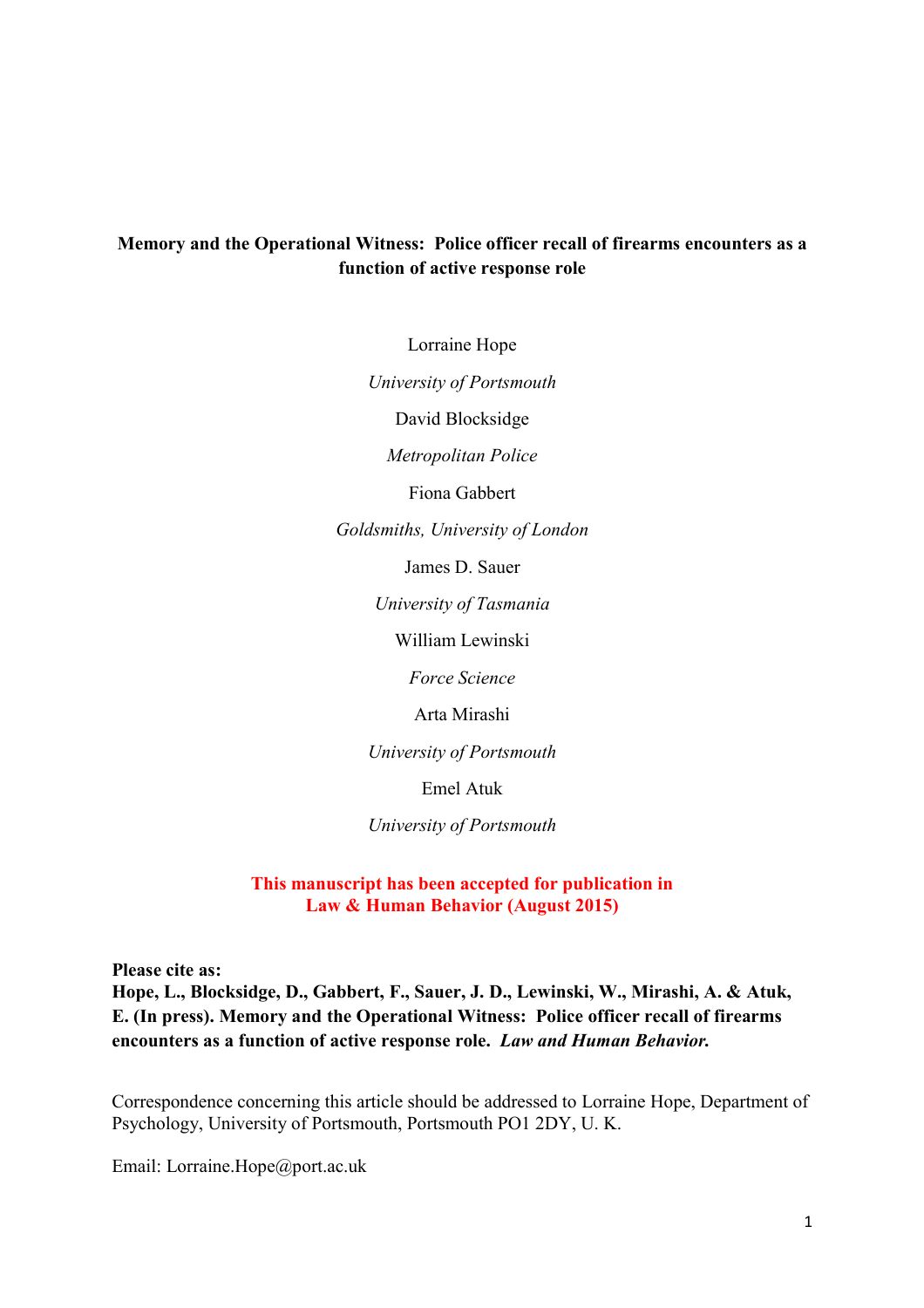# **Memory and the Operational Witness: Police officer recall of firearms encounters as a function of active response role**

Lorraine Hope

*University of Portsmouth* 

David Blocksidge

*Metropolitan Police* 

Fiona Gabbert

*Goldsmiths, University of London* 

James D. Sauer

*University of Tasmania* 

William Lewinski

*Force Science* 

Arta Mirashi

*University of Portsmouth* 

Emel Atuk

*University of Portsmouth* 

**This manuscript has been accepted for publication in Law & Human Behavior (August 2015)** 

**Please cite as:** 

**Hope, L., Blocksidge, D., Gabbert, F., Sauer, J. D., Lewinski, W., Mirashi, A. & Atuk, E. (In press). Memory and the Operational Witness: Police officer recall of firearms encounters as a function of active response role.** *Law and Human Behavior.* 

Correspondence concerning this article should be addressed to Lorraine Hope, Department of Psychology, University of Portsmouth, Portsmouth PO1 2DY, U. K.

Email: Lorraine.Hope@port.ac.uk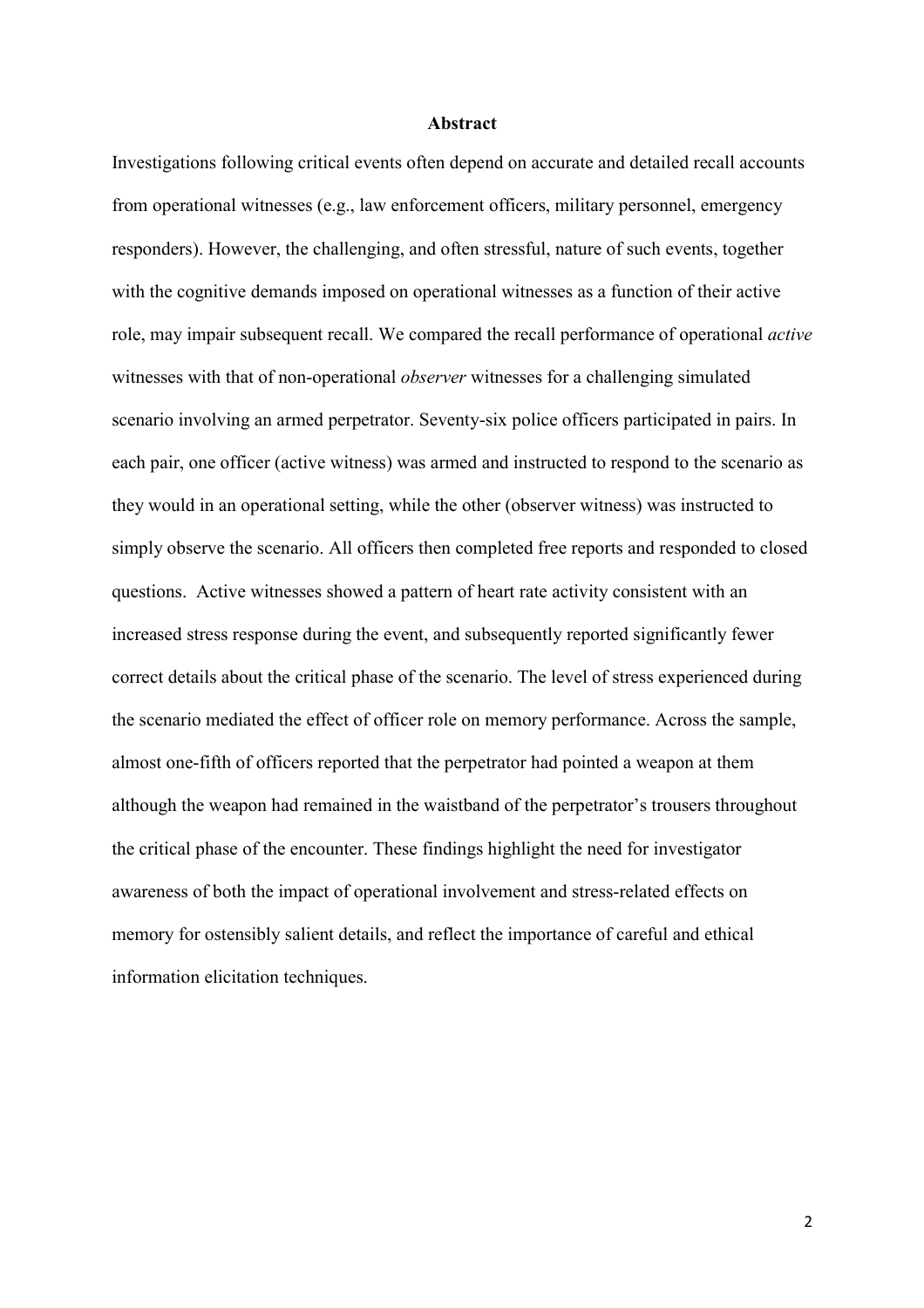#### **Abstract**

Investigations following critical events often depend on accurate and detailed recall accounts from operational witnesses (e.g., law enforcement officers, military personnel, emergency responders). However, the challenging, and often stressful, nature of such events, together with the cognitive demands imposed on operational witnesses as a function of their active role, may impair subsequent recall. We compared the recall performance of operational *active* witnesses with that of non-operational *observer* witnesses for a challenging simulated scenario involving an armed perpetrator. Seventy-six police officers participated in pairs. In each pair, one officer (active witness) was armed and instructed to respond to the scenario as they would in an operational setting, while the other (observer witness) was instructed to simply observe the scenario. All officers then completed free reports and responded to closed questions. Active witnesses showed a pattern of heart rate activity consistent with an increased stress response during the event, and subsequently reported significantly fewer correct details about the critical phase of the scenario. The level of stress experienced during the scenario mediated the effect of officer role on memory performance. Across the sample, almost one-fifth of officers reported that the perpetrator had pointed a weapon at them although the weapon had remained in the waistband of the perpetrator's trousers throughout the critical phase of the encounter. These findings highlight the need for investigator awareness of both the impact of operational involvement and stress-related effects on memory for ostensibly salient details, and reflect the importance of careful and ethical information elicitation techniques.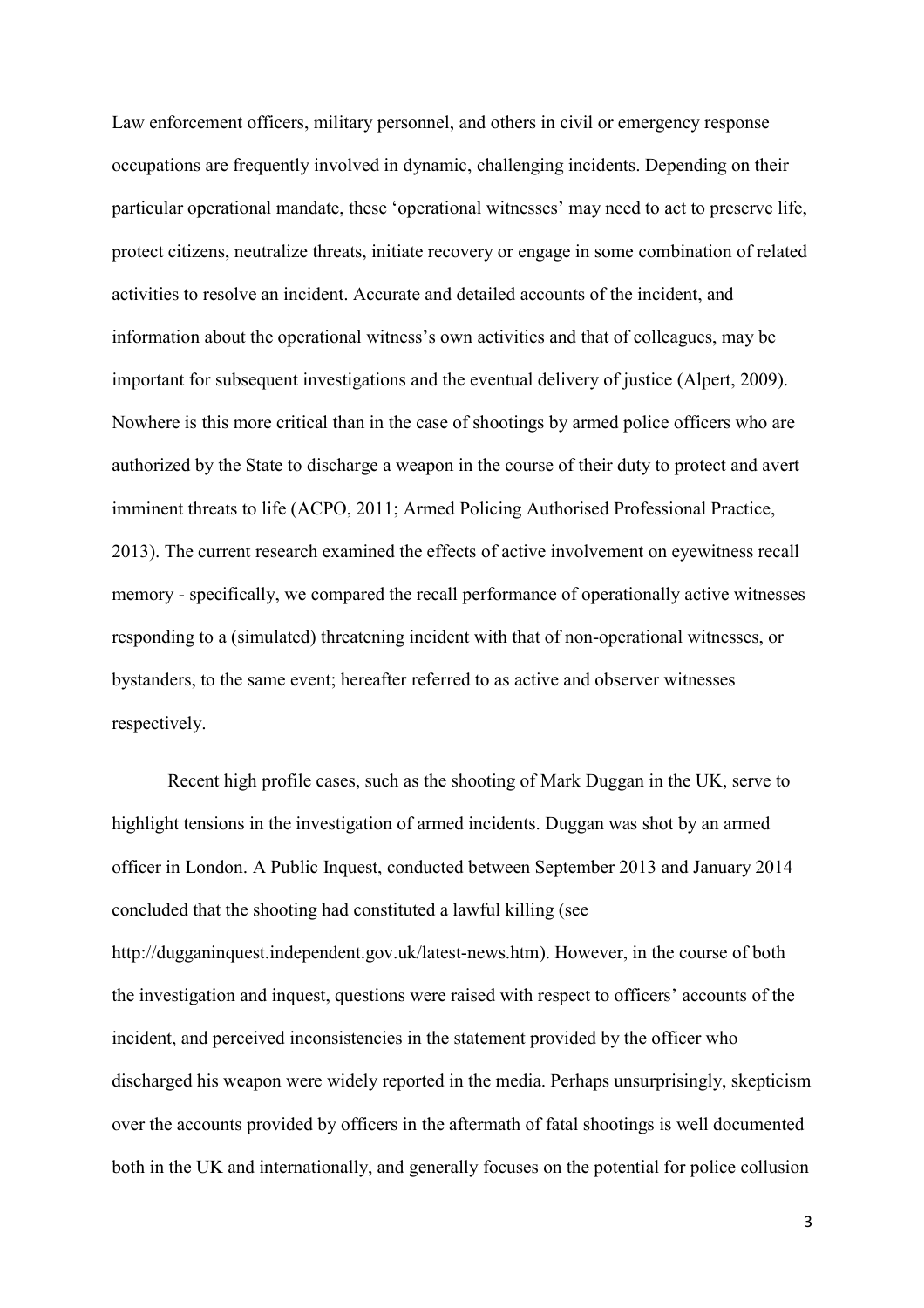Law enforcement officers, military personnel, and others in civil or emergency response occupations are frequently involved in dynamic, challenging incidents. Depending on their particular operational mandate, these 'operational witnesses' may need to act to preserve life, protect citizens, neutralize threats, initiate recovery or engage in some combination of related activities to resolve an incident. Accurate and detailed accounts of the incident, and information about the operational witness's own activities and that of colleagues, may be important for subsequent investigations and the eventual delivery of justice (Alpert, 2009). Nowhere is this more critical than in the case of shootings by armed police officers who are authorized by the State to discharge a weapon in the course of their duty to protect and avert imminent threats to life (ACPO, 2011; Armed Policing Authorised Professional Practice, 2013). The current research examined the effects of active involvement on eyewitness recall memory - specifically, we compared the recall performance of operationally active witnesses responding to a (simulated) threatening incident with that of non-operational witnesses, or bystanders, to the same event; hereafter referred to as active and observer witnesses respectively.

Recent high profile cases, such as the shooting of Mark Duggan in the UK, serve to highlight tensions in the investigation of armed incidents. Duggan was shot by an armed officer in London. A Public Inquest, conducted between September 2013 and January 2014 concluded that the shooting had constituted a lawful killing (see http://dugganinquest.independent.gov.uk/latest-news.htm). However, in the course of both the investigation and inquest, questions were raised with respect to officers' accounts of the incident, and perceived inconsistencies in the statement provided by the officer who discharged his weapon were widely reported in the media. Perhaps unsurprisingly, skepticism over the accounts provided by officers in the aftermath of fatal shootings is well documented both in the UK and internationally, and generally focuses on the potential for police collusion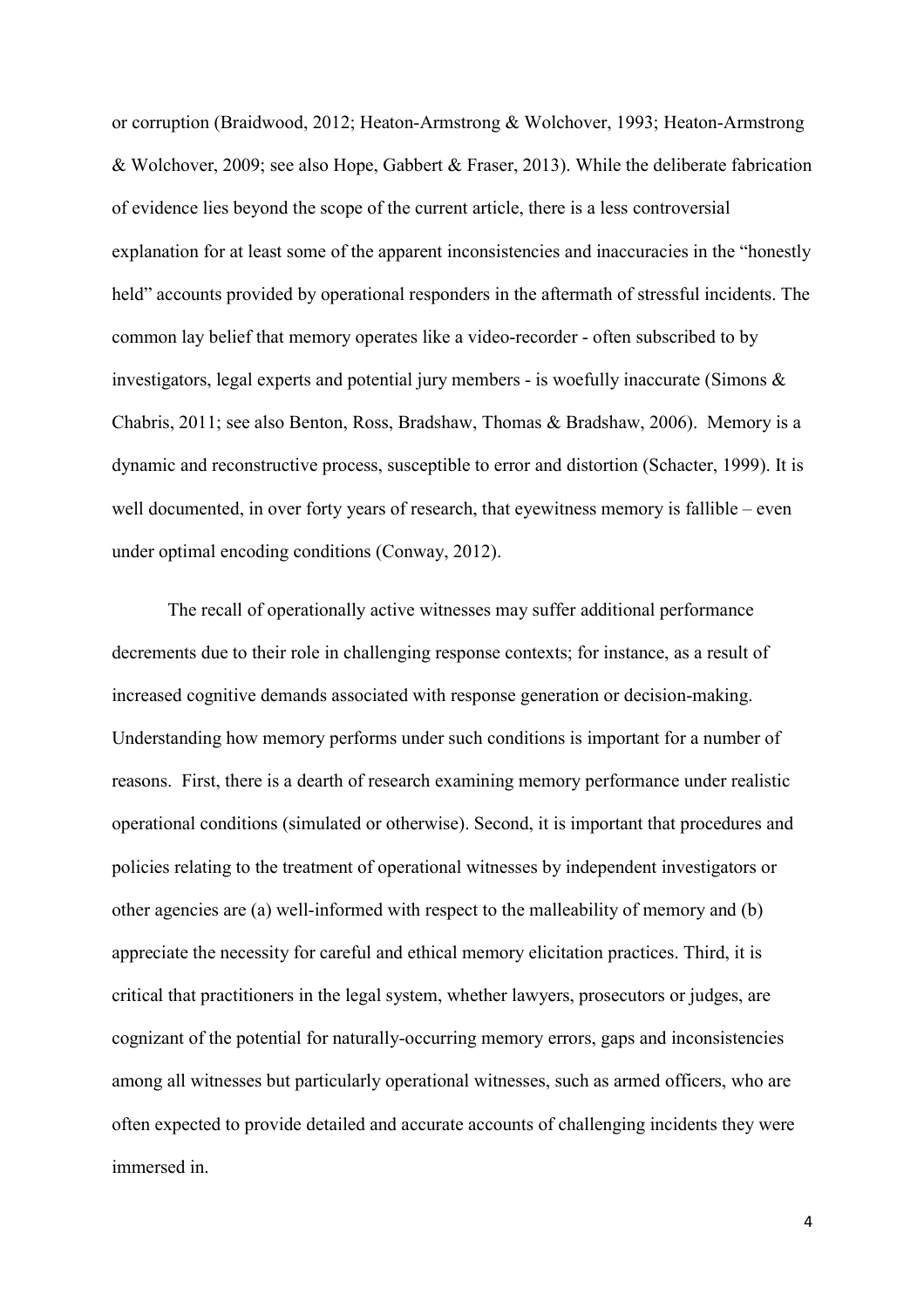or corruption (Braidwood, 2012; Heaton-Armstrong & Wolchover, 1993; Heaton-Armstrong & Wolchover, 2009; see also Hope, Gabbert & Fraser, 2013). While the deliberate fabrication of evidence lies beyond the scope of the current article, there is a less controversial explanation for at least some of the apparent inconsistencies and inaccuracies in the "honestly held" accounts provided by operational responders in the aftermath of stressful incidents. The common lay belief that memory operates like a video-recorder - often subscribed to by investigators, legal experts and potential jury members - is woefully inaccurate (Simons & Chabris, 2011; see also Benton, Ross, Bradshaw, Thomas & Bradshaw, 2006). Memory is a dynamic and reconstructive process, susceptible to error and distortion (Schacter, 1999). It is well documented, in over forty years of research, that eyewitness memory is fallible – even under optimal encoding conditions (Conway, 2012).

The recall of operationally active witnesses may suffer additional performance decrements due to their role in challenging response contexts; for instance, as a result of increased cognitive demands associated with response generation or decision-making. Understanding how memory performs under such conditions is important for a number of reasons. First, there is a dearth of research examining memory performance under realistic operational conditions (simulated or otherwise). Second, it is important that procedures and policies relating to the treatment of operational witnesses by independent investigators or other agencies are (a) well-informed with respect to the malleability of memory and (b) appreciate the necessity for careful and ethical memory elicitation practices. Third, it is critical that practitioners in the legal system, whether lawyers, prosecutors or judges, are cognizant of the potential for naturally-occurring memory errors, gaps and inconsistencies among all witnesses but particularly operational witnesses, such as armed officers, who are often expected to provide detailed and accurate accounts of challenging incidents they were immersed in.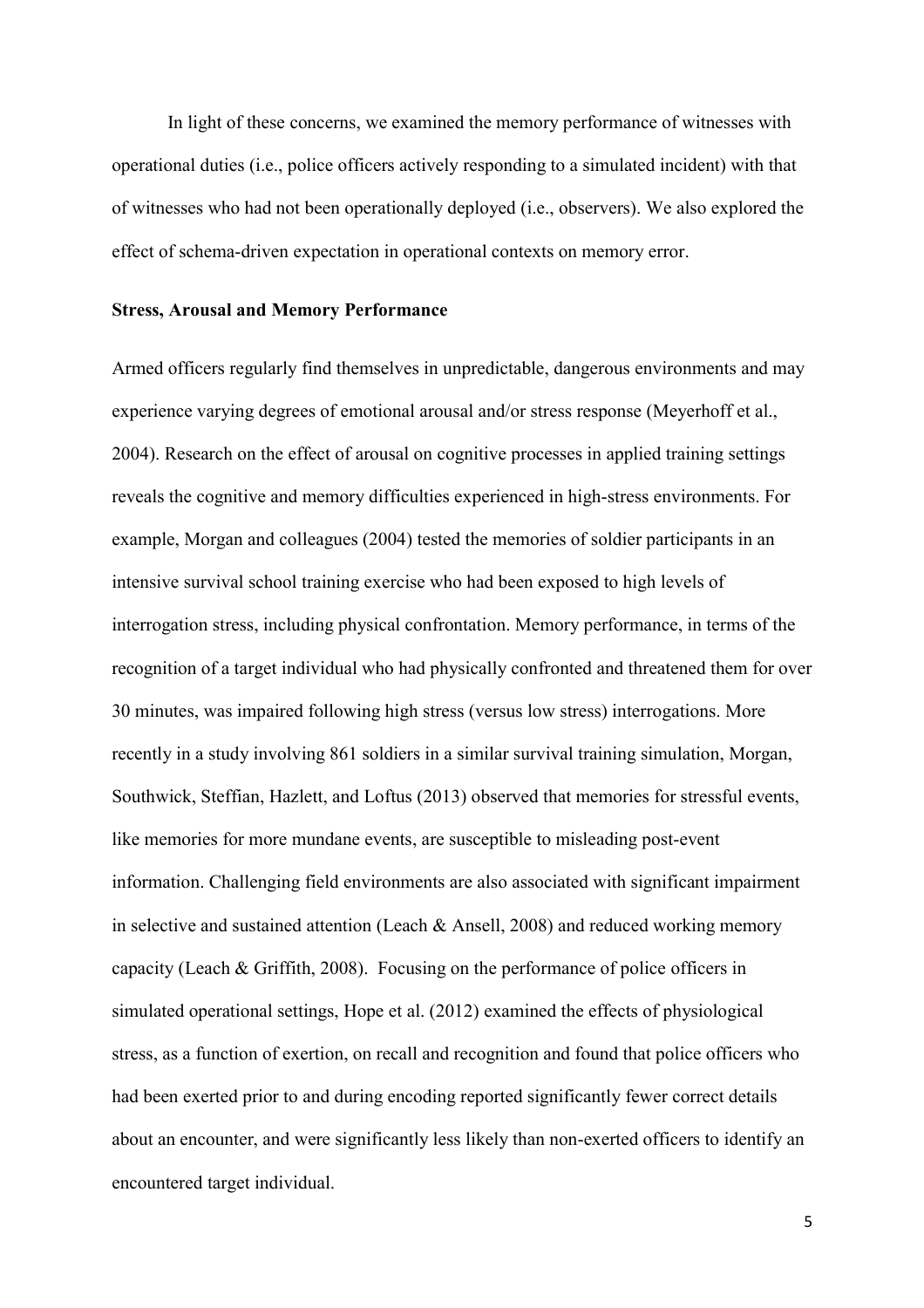In light of these concerns, we examined the memory performance of witnesses with operational duties (i.e., police officers actively responding to a simulated incident) with that of witnesses who had not been operationally deployed (i.e., observers). We also explored the effect of schema-driven expectation in operational contexts on memory error.

#### **Stress, Arousal and Memory Performance**

Armed officers regularly find themselves in unpredictable, dangerous environments and may experience varying degrees of emotional arousal and/or stress response (Meyerhoff et al., 2004). Research on the effect of arousal on cognitive processes in applied training settings reveals the cognitive and memory difficulties experienced in high-stress environments. For example, Morgan and colleagues (2004) tested the memories of soldier participants in an intensive survival school training exercise who had been exposed to high levels of interrogation stress, including physical confrontation. Memory performance, in terms of the recognition of a target individual who had physically confronted and threatened them for over 30 minutes, was impaired following high stress (versus low stress) interrogations. More recently in a study involving 861 soldiers in a similar survival training simulation, Morgan, Southwick, Steffian, Hazlett, and Loftus (2013) observed that memories for stressful events, like memories for more mundane events, are susceptible to misleading post-event information. Challenging field environments are also associated with significant impairment in selective and sustained attention (Leach & Ansell, 2008) and reduced working memory capacity (Leach & Griffith, 2008). Focusing on the performance of police officers in simulated operational settings, Hope et al. (2012) examined the effects of physiological stress, as a function of exertion, on recall and recognition and found that police officers who had been exerted prior to and during encoding reported significantly fewer correct details about an encounter, and were significantly less likely than non-exerted officers to identify an encountered target individual.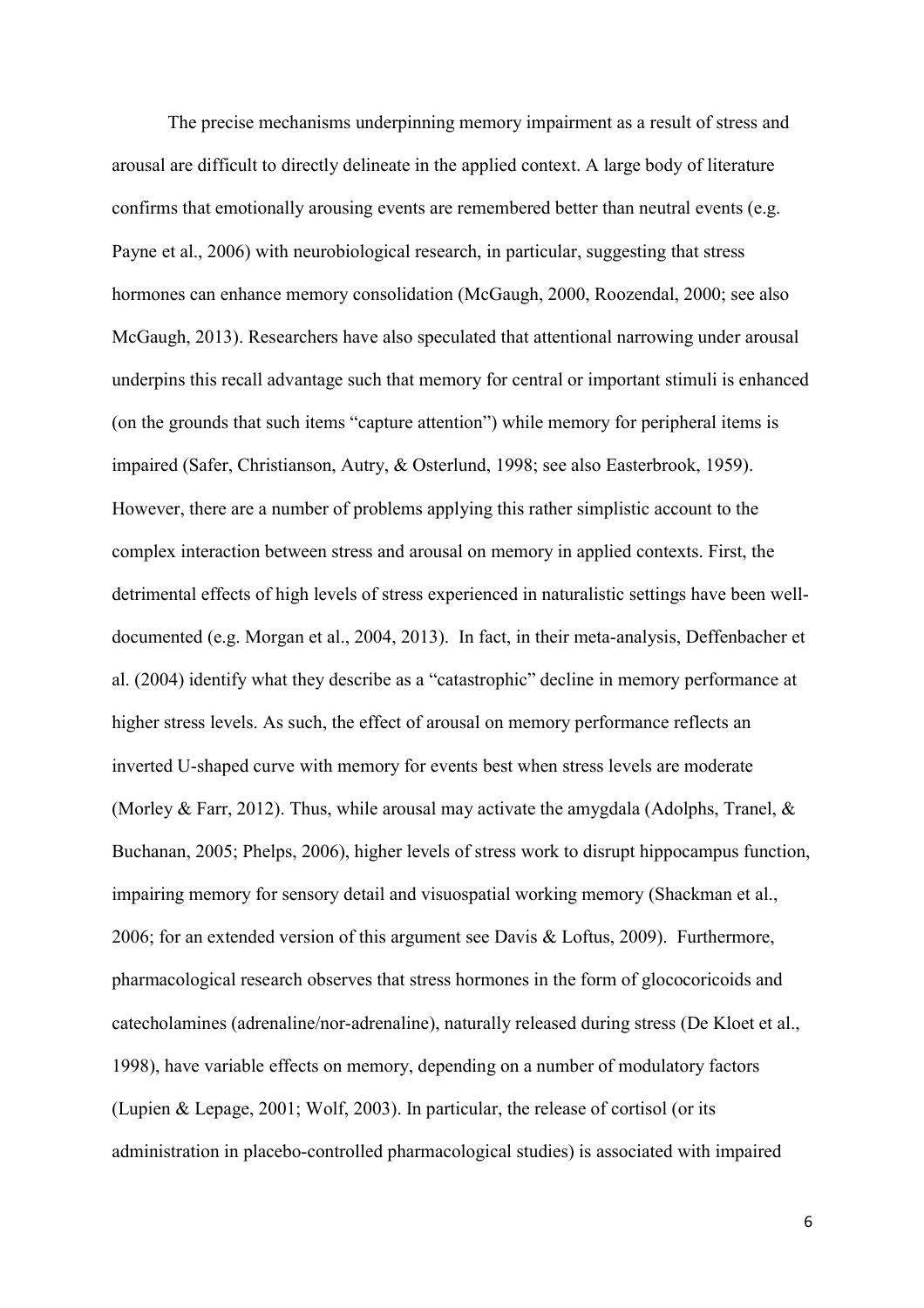The precise mechanisms underpinning memory impairment as a result of stress and arousal are difficult to directly delineate in the applied context. A large body of literature confirms that emotionally arousing events are remembered better than neutral events (e.g. Payne et al., 2006) with neurobiological research, in particular, suggesting that stress hormones can enhance memory consolidation (McGaugh, 2000, Roozendal, 2000; see also McGaugh, 2013). Researchers have also speculated that attentional narrowing under arousal underpins this recall advantage such that memory for central or important stimuli is enhanced (on the grounds that such items "capture attention") while memory for peripheral items is impaired (Safer, Christianson, Autry, & Osterlund, 1998; see also Easterbrook, 1959). However, there are a number of problems applying this rather simplistic account to the complex interaction between stress and arousal on memory in applied contexts. First, the detrimental effects of high levels of stress experienced in naturalistic settings have been welldocumented (e.g. Morgan et al., 2004, 2013). In fact, in their meta-analysis, Deffenbacher et al. (2004) identify what they describe as a "catastrophic" decline in memory performance at higher stress levels. As such, the effect of arousal on memory performance reflects an inverted U-shaped curve with memory for events best when stress levels are moderate (Morley & Farr, 2012). Thus, while arousal may activate the amygdala (Adolphs, Tranel,  $\&$ Buchanan, 2005; Phelps, 2006), higher levels of stress work to disrupt hippocampus function, impairing memory for sensory detail and visuospatial working memory (Shackman et al., 2006; for an extended version of this argument see Davis & Loftus, 2009). Furthermore, pharmacological research observes that stress hormones in the form of glococoricoids and catecholamines (adrenaline/nor-adrenaline), naturally released during stress (De Kloet et al., 1998), have variable effects on memory, depending on a number of modulatory factors (Lupien & Lepage, 2001; Wolf, 2003). In particular, the release of cortisol (or its administration in placebo-controlled pharmacological studies) is associated with impaired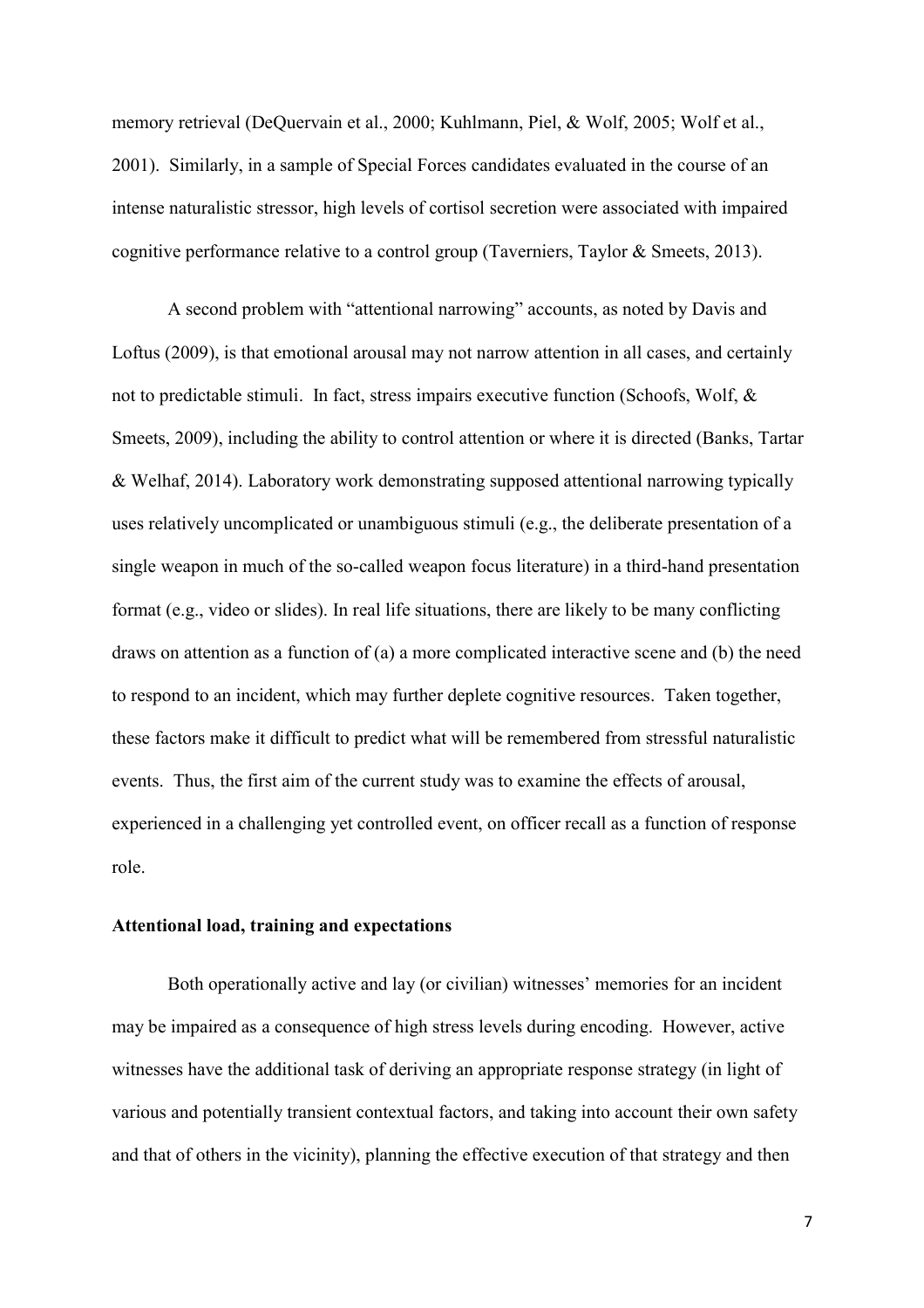memory retrieval (DeQuervain et al., 2000; Kuhlmann, Piel, & Wolf, 2005; Wolf et al., 2001). Similarly, in a sample of Special Forces candidates evaluated in the course of an intense naturalistic stressor, high levels of cortisol secretion were associated with impaired cognitive performance relative to a control group (Taverniers, Taylor & Smeets, 2013).

A second problem with "attentional narrowing" accounts, as noted by Davis and Loftus (2009), is that emotional arousal may not narrow attention in all cases, and certainly not to predictable stimuli. In fact, stress impairs executive function (Schoofs, Wolf, & Smeets, 2009), including the ability to control attention or where it is directed (Banks, Tartar & Welhaf, 2014). Laboratory work demonstrating supposed attentional narrowing typically uses relatively uncomplicated or unambiguous stimuli (e.g., the deliberate presentation of a single weapon in much of the so-called weapon focus literature) in a third-hand presentation format (e.g., video or slides). In real life situations, there are likely to be many conflicting draws on attention as a function of (a) a more complicated interactive scene and (b) the need to respond to an incident, which may further deplete cognitive resources. Taken together, these factors make it difficult to predict what will be remembered from stressful naturalistic events. Thus, the first aim of the current study was to examine the effects of arousal, experienced in a challenging yet controlled event, on officer recall as a function of response role.

# **Attentional load, training and expectations**

Both operationally active and lay (or civilian) witnesses' memories for an incident may be impaired as a consequence of high stress levels during encoding. However, active witnesses have the additional task of deriving an appropriate response strategy (in light of various and potentially transient contextual factors, and taking into account their own safety and that of others in the vicinity), planning the effective execution of that strategy and then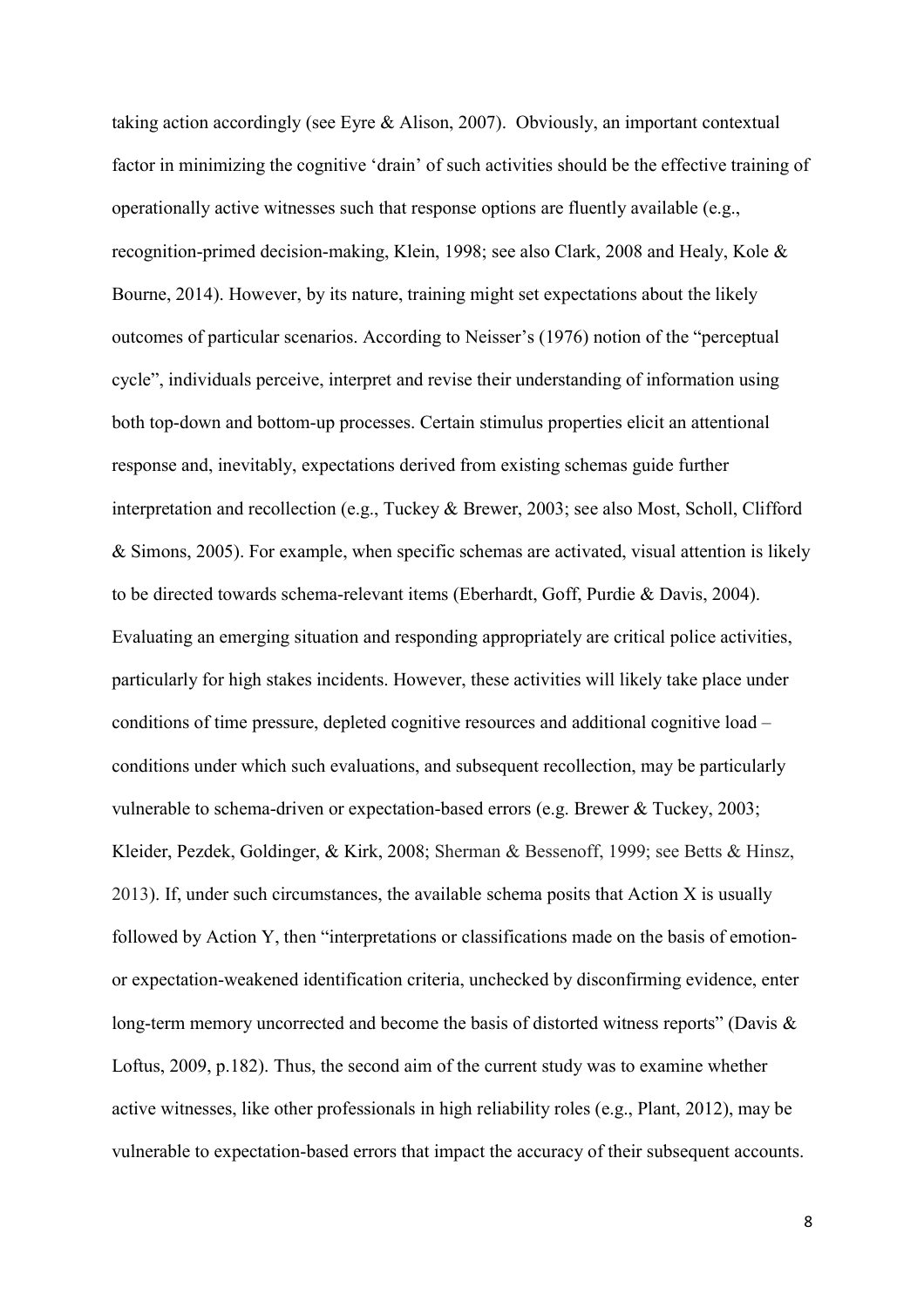taking action accordingly (see Eyre & Alison, 2007). Obviously, an important contextual factor in minimizing the cognitive 'drain' of such activities should be the effective training of operationally active witnesses such that response options are fluently available (e.g., recognition-primed decision-making, Klein, 1998; see also Clark, 2008 and Healy, Kole & Bourne, 2014). However, by its nature, training might set expectations about the likely outcomes of particular scenarios. According to Neisser's (1976) notion of the "perceptual cycle", individuals perceive, interpret and revise their understanding of information using both top-down and bottom-up processes. Certain stimulus properties elicit an attentional response and, inevitably, expectations derived from existing schemas guide further interpretation and recollection (e.g., Tuckey & Brewer, 2003; see also Most, Scholl, Clifford & Simons, 2005). For example, when specific schemas are activated, visual attention is likely to be directed towards schema-relevant items (Eberhardt, Goff, Purdie & Davis, 2004). Evaluating an emerging situation and responding appropriately are critical police activities, particularly for high stakes incidents. However, these activities will likely take place under conditions of time pressure, depleted cognitive resources and additional cognitive load – conditions under which such evaluations, and subsequent recollection, may be particularly vulnerable to schema-driven or expectation-based errors (e.g. Brewer & Tuckey, 2003; Kleider, Pezdek, Goldinger, & Kirk, 2008; Sherman & Bessenoff, 1999; see Betts & Hinsz, 2013). If, under such circumstances, the available schema posits that Action X is usually followed by Action Y, then "interpretations or classifications made on the basis of emotionor expectation-weakened identification criteria, unchecked by disconfirming evidence, enter long-term memory uncorrected and become the basis of distorted witness reports" (Davis & Loftus, 2009, p.182). Thus, the second aim of the current study was to examine whether active witnesses, like other professionals in high reliability roles (e.g., Plant, 2012), may be vulnerable to expectation-based errors that impact the accuracy of their subsequent accounts.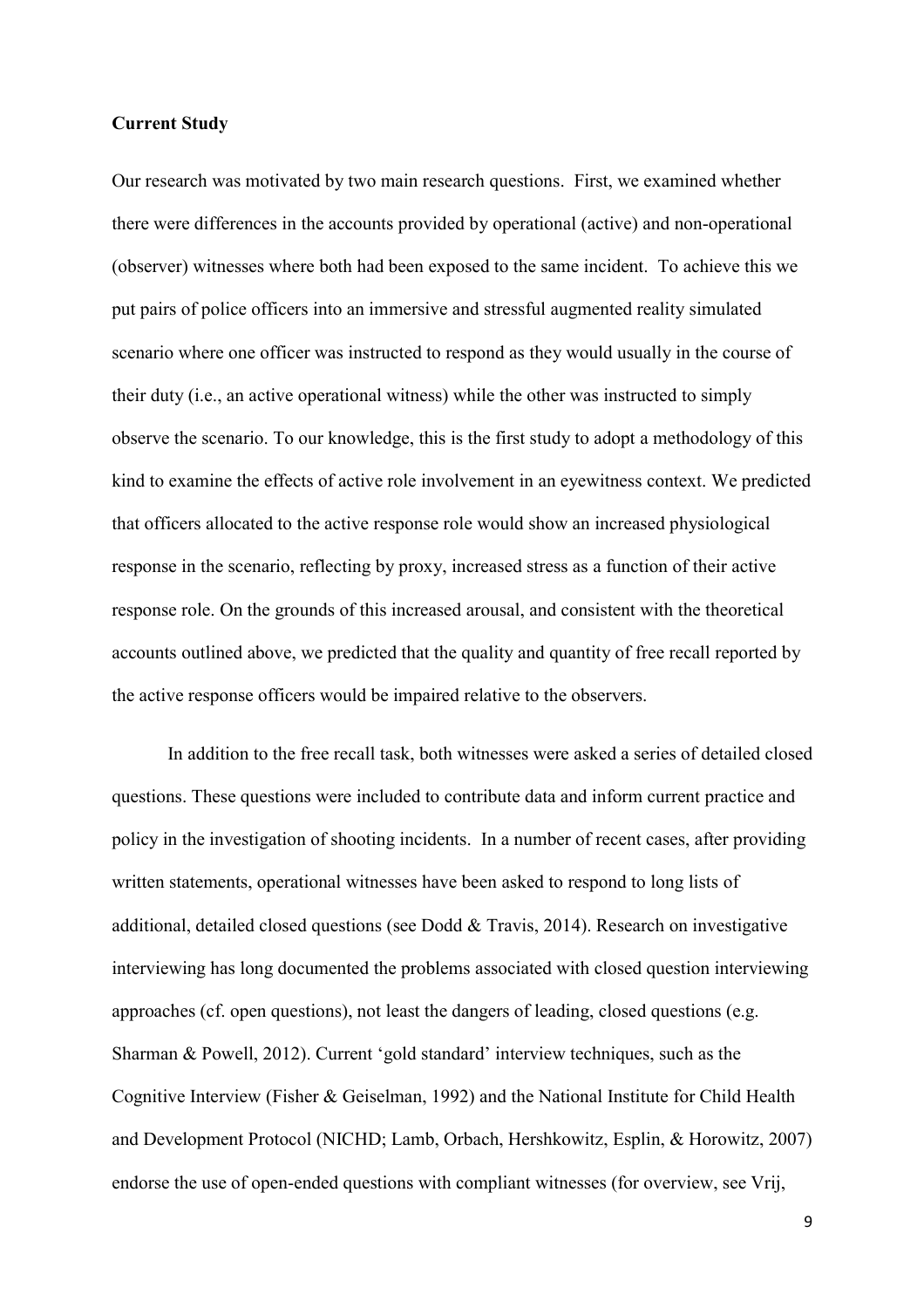### **Current Study**

Our research was motivated by two main research questions. First, we examined whether there were differences in the accounts provided by operational (active) and non-operational (observer) witnesses where both had been exposed to the same incident. To achieve this we put pairs of police officers into an immersive and stressful augmented reality simulated scenario where one officer was instructed to respond as they would usually in the course of their duty (i.e., an active operational witness) while the other was instructed to simply observe the scenario. To our knowledge, this is the first study to adopt a methodology of this kind to examine the effects of active role involvement in an eyewitness context. We predicted that officers allocated to the active response role would show an increased physiological response in the scenario, reflecting by proxy, increased stress as a function of their active response role. On the grounds of this increased arousal, and consistent with the theoretical accounts outlined above, we predicted that the quality and quantity of free recall reported by the active response officers would be impaired relative to the observers.

In addition to the free recall task, both witnesses were asked a series of detailed closed questions. These questions were included to contribute data and inform current practice and policy in the investigation of shooting incidents. In a number of recent cases, after providing written statements, operational witnesses have been asked to respond to long lists of additional, detailed closed questions (see Dodd & Travis, 2014). Research on investigative interviewing has long documented the problems associated with closed question interviewing approaches (cf. open questions), not least the dangers of leading, closed questions (e.g. Sharman & Powell, 2012). Current 'gold standard' interview techniques, such as the Cognitive Interview (Fisher & Geiselman, 1992) and the National Institute for Child Health and Development Protocol (NICHD; Lamb, Orbach, Hershkowitz, Esplin, & Horowitz, 2007) endorse the use of open-ended questions with compliant witnesses (for overview, see Vrij,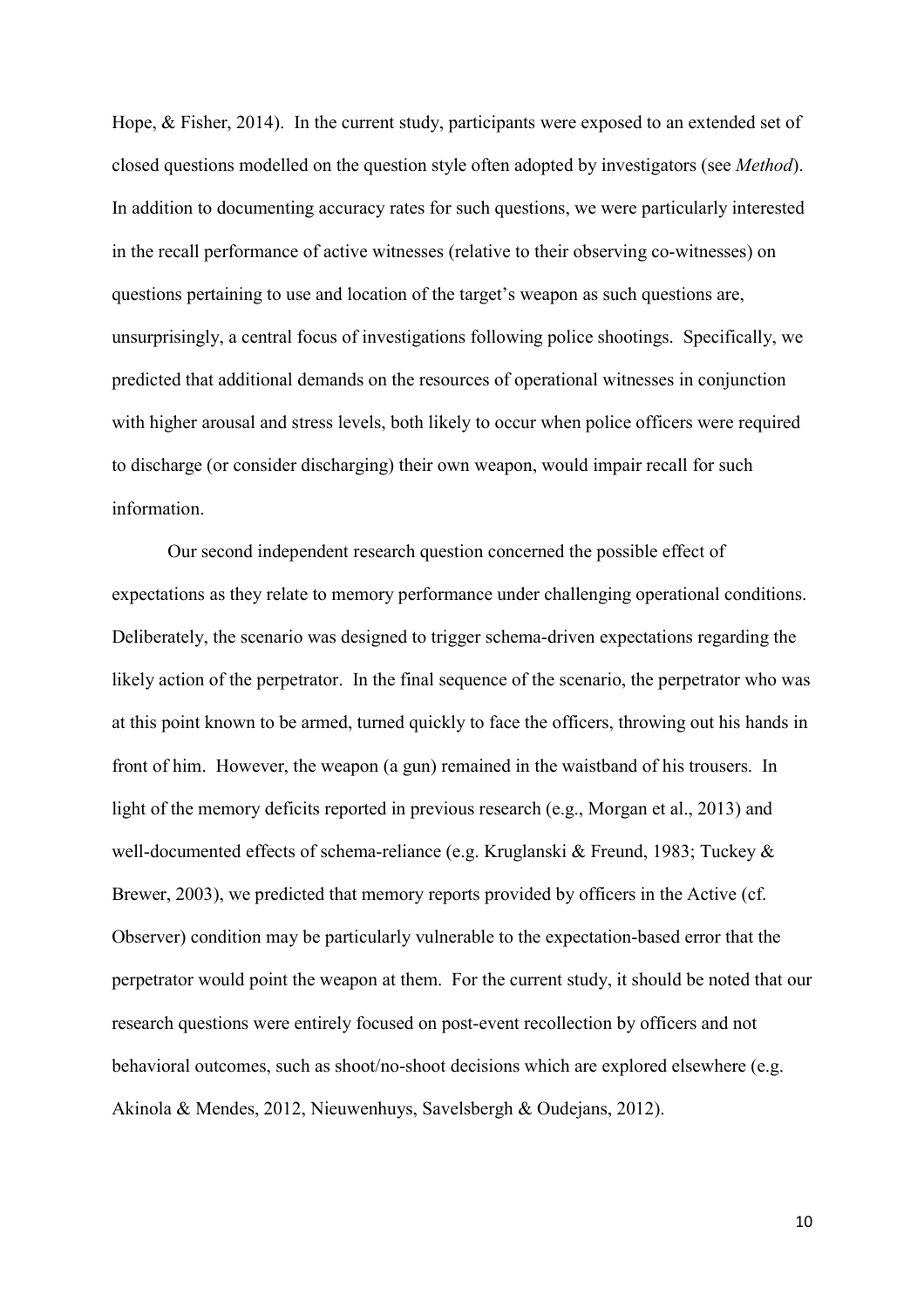Hope, & Fisher, 2014). In the current study, participants were exposed to an extended set of closed questions modelled on the question style often adopted by investigators (see *Method*). In addition to documenting accuracy rates for such questions, we were particularly interested in the recall performance of active witnesses (relative to their observing co-witnesses) on questions pertaining to use and location of the target's weapon as such questions are, unsurprisingly, a central focus of investigations following police shootings. Specifically, we predicted that additional demands on the resources of operational witnesses in conjunction with higher arousal and stress levels, both likely to occur when police officers were required to discharge (or consider discharging) their own weapon, would impair recall for such information.

Our second independent research question concerned the possible effect of expectations as they relate to memory performance under challenging operational conditions. Deliberately, the scenario was designed to trigger schema-driven expectations regarding the likely action of the perpetrator. In the final sequence of the scenario, the perpetrator who was at this point known to be armed, turned quickly to face the officers, throwing out his hands in front of him. However, the weapon (a gun) remained in the waistband of his trousers. In light of the memory deficits reported in previous research (e.g., Morgan et al., 2013) and well-documented effects of schema-reliance (e.g. Kruglanski & Freund, 1983; Tuckey & Brewer, 2003), we predicted that memory reports provided by officers in the Active (cf. Observer) condition may be particularly vulnerable to the expectation-based error that the perpetrator would point the weapon at them. For the current study, it should be noted that our research questions were entirely focused on post-event recollection by officers and not behavioral outcomes, such as shoot/no-shoot decisions which are explored elsewhere (e.g. Akinola & Mendes, 2012, Nieuwenhuys, Savelsbergh & Oudejans, 2012).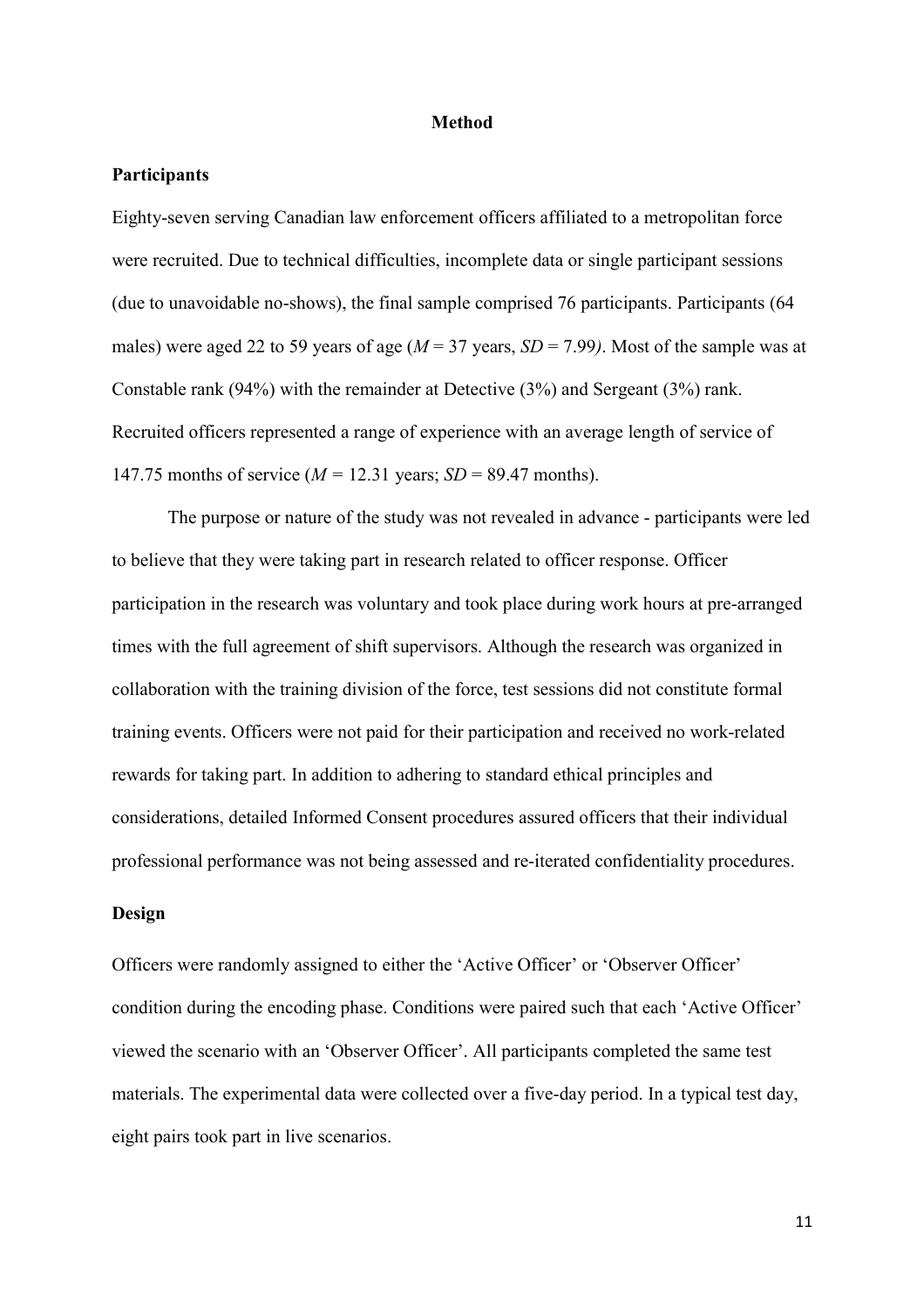#### **Method**

## **Participants**

Eighty-seven serving Canadian law enforcement officers affiliated to a metropolitan force were recruited. Due to technical difficulties, incomplete data or single participant sessions (due to unavoidable no-shows), the final sample comprised 76 participants. Participants (64 males) were aged 22 to 59 years of age (*M* = 37 years, *SD* = 7.99*)*. Most of the sample was at Constable rank (94%) with the remainder at Detective (3%) and Sergeant (3%) rank. Recruited officers represented a range of experience with an average length of service of 147.75 months of service  $(M = 12.31$  years;  $SD = 89.47$  months).

The purpose or nature of the study was not revealed in advance - participants were led to believe that they were taking part in research related to officer response. Officer participation in the research was voluntary and took place during work hours at pre-arranged times with the full agreement of shift supervisors. Although the research was organized in collaboration with the training division of the force, test sessions did not constitute formal training events. Officers were not paid for their participation and received no work-related rewards for taking part. In addition to adhering to standard ethical principles and considerations, detailed Informed Consent procedures assured officers that their individual professional performance was not being assessed and re-iterated confidentiality procedures.

## **Design**

Officers were randomly assigned to either the 'Active Officer' or 'Observer Officer' condition during the encoding phase. Conditions were paired such that each 'Active Officer' viewed the scenario with an 'Observer Officer'. All participants completed the same test materials. The experimental data were collected over a five-day period. In a typical test day, eight pairs took part in live scenarios.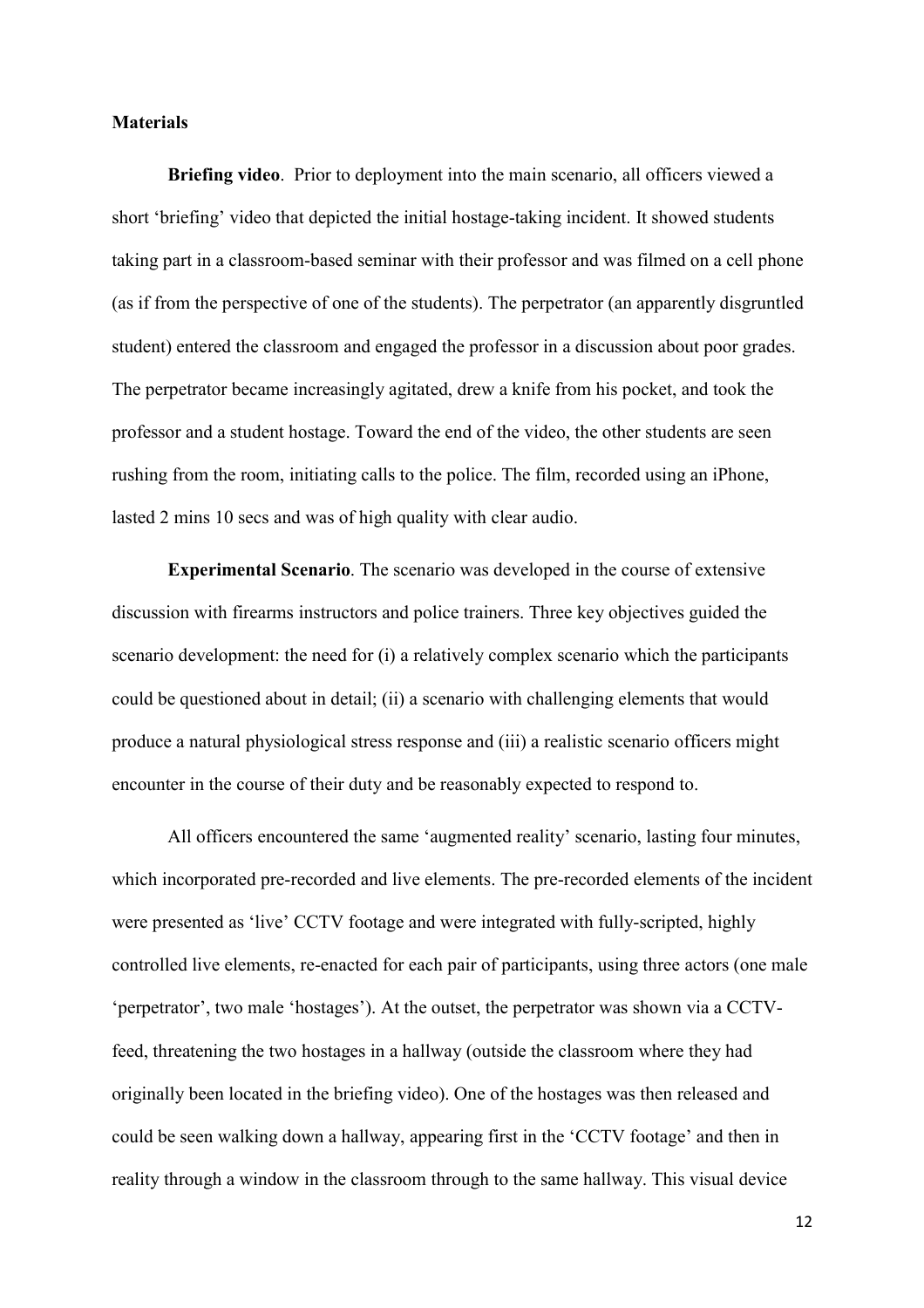#### **Materials**

**Briefing video**. Prior to deployment into the main scenario, all officers viewed a short 'briefing' video that depicted the initial hostage-taking incident. It showed students taking part in a classroom-based seminar with their professor and was filmed on a cell phone (as if from the perspective of one of the students). The perpetrator (an apparently disgruntled student) entered the classroom and engaged the professor in a discussion about poor grades. The perpetrator became increasingly agitated, drew a knife from his pocket, and took the professor and a student hostage. Toward the end of the video, the other students are seen rushing from the room, initiating calls to the police. The film, recorded using an iPhone, lasted 2 mins 10 secs and was of high quality with clear audio.

**Experimental Scenario**. The scenario was developed in the course of extensive discussion with firearms instructors and police trainers. Three key objectives guided the scenario development: the need for (i) a relatively complex scenario which the participants could be questioned about in detail; (ii) a scenario with challenging elements that would produce a natural physiological stress response and (iii) a realistic scenario officers might encounter in the course of their duty and be reasonably expected to respond to.

All officers encountered the same 'augmented reality' scenario, lasting four minutes, which incorporated pre-recorded and live elements. The pre-recorded elements of the incident were presented as 'live' CCTV footage and were integrated with fully-scripted, highly controlled live elements, re-enacted for each pair of participants, using three actors (one male 'perpetrator', two male 'hostages'). At the outset, the perpetrator was shown via a CCTVfeed, threatening the two hostages in a hallway (outside the classroom where they had originally been located in the briefing video). One of the hostages was then released and could be seen walking down a hallway, appearing first in the 'CCTV footage' and then in reality through a window in the classroom through to the same hallway. This visual device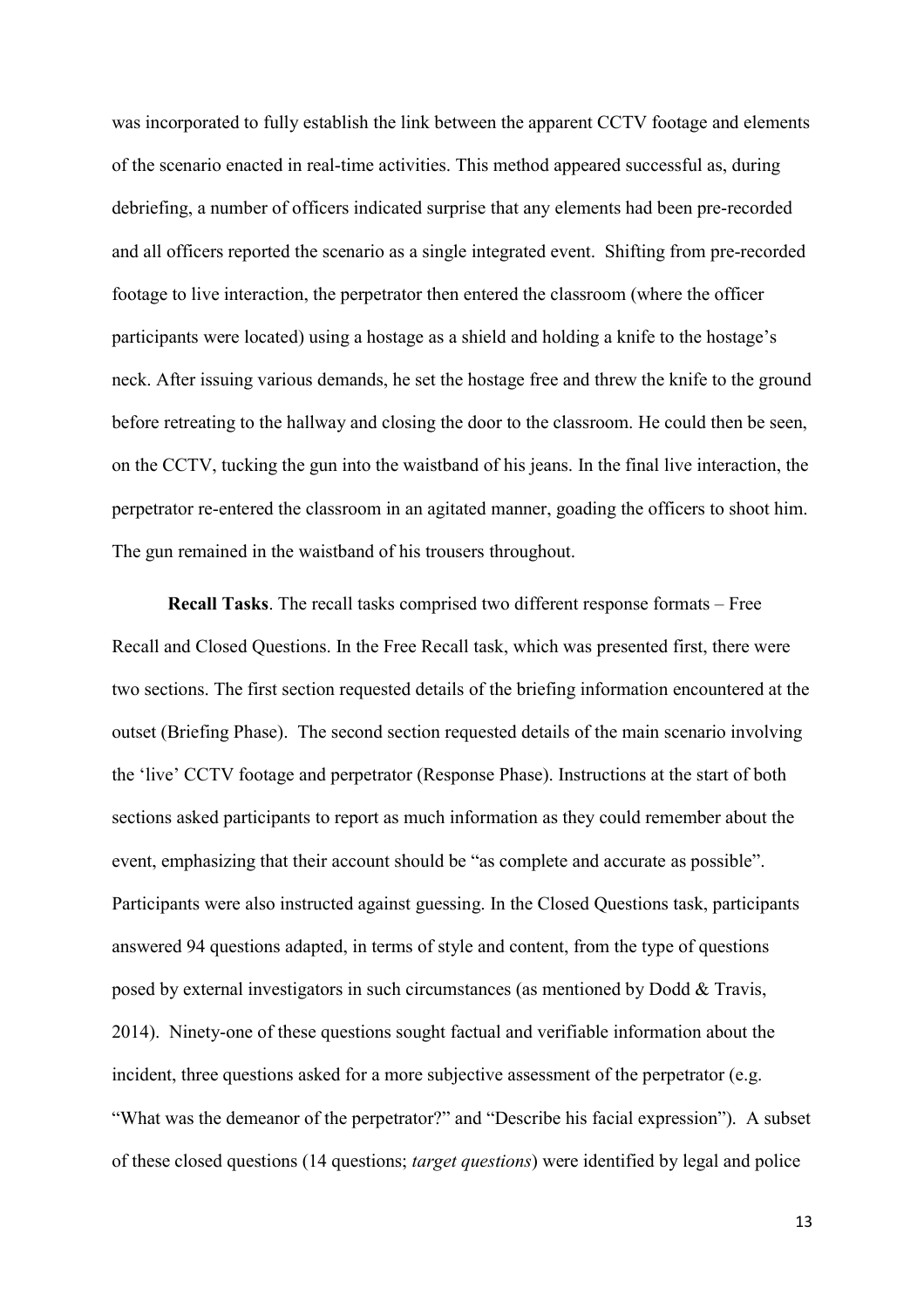was incorporated to fully establish the link between the apparent CCTV footage and elements of the scenario enacted in real-time activities. This method appeared successful as, during debriefing, a number of officers indicated surprise that any elements had been pre-recorded and all officers reported the scenario as a single integrated event. Shifting from pre-recorded footage to live interaction, the perpetrator then entered the classroom (where the officer participants were located) using a hostage as a shield and holding a knife to the hostage's neck. After issuing various demands, he set the hostage free and threw the knife to the ground before retreating to the hallway and closing the door to the classroom. He could then be seen, on the CCTV, tucking the gun into the waistband of his jeans. In the final live interaction, the perpetrator re-entered the classroom in an agitated manner, goading the officers to shoot him. The gun remained in the waistband of his trousers throughout.

**Recall Tasks**. The recall tasks comprised two different response formats – Free Recall and Closed Questions. In the Free Recall task, which was presented first, there were two sections. The first section requested details of the briefing information encountered at the outset (Briefing Phase). The second section requested details of the main scenario involving the 'live' CCTV footage and perpetrator (Response Phase). Instructions at the start of both sections asked participants to report as much information as they could remember about the event, emphasizing that their account should be "as complete and accurate as possible". Participants were also instructed against guessing. In the Closed Questions task, participants answered 94 questions adapted, in terms of style and content, from the type of questions posed by external investigators in such circumstances (as mentioned by Dodd  $\&$  Travis, 2014). Ninety-one of these questions sought factual and verifiable information about the incident, three questions asked for a more subjective assessment of the perpetrator (e.g. "What was the demeanor of the perpetrator?" and "Describe his facial expression"). A subset of these closed questions (14 questions; *target questions*) were identified by legal and police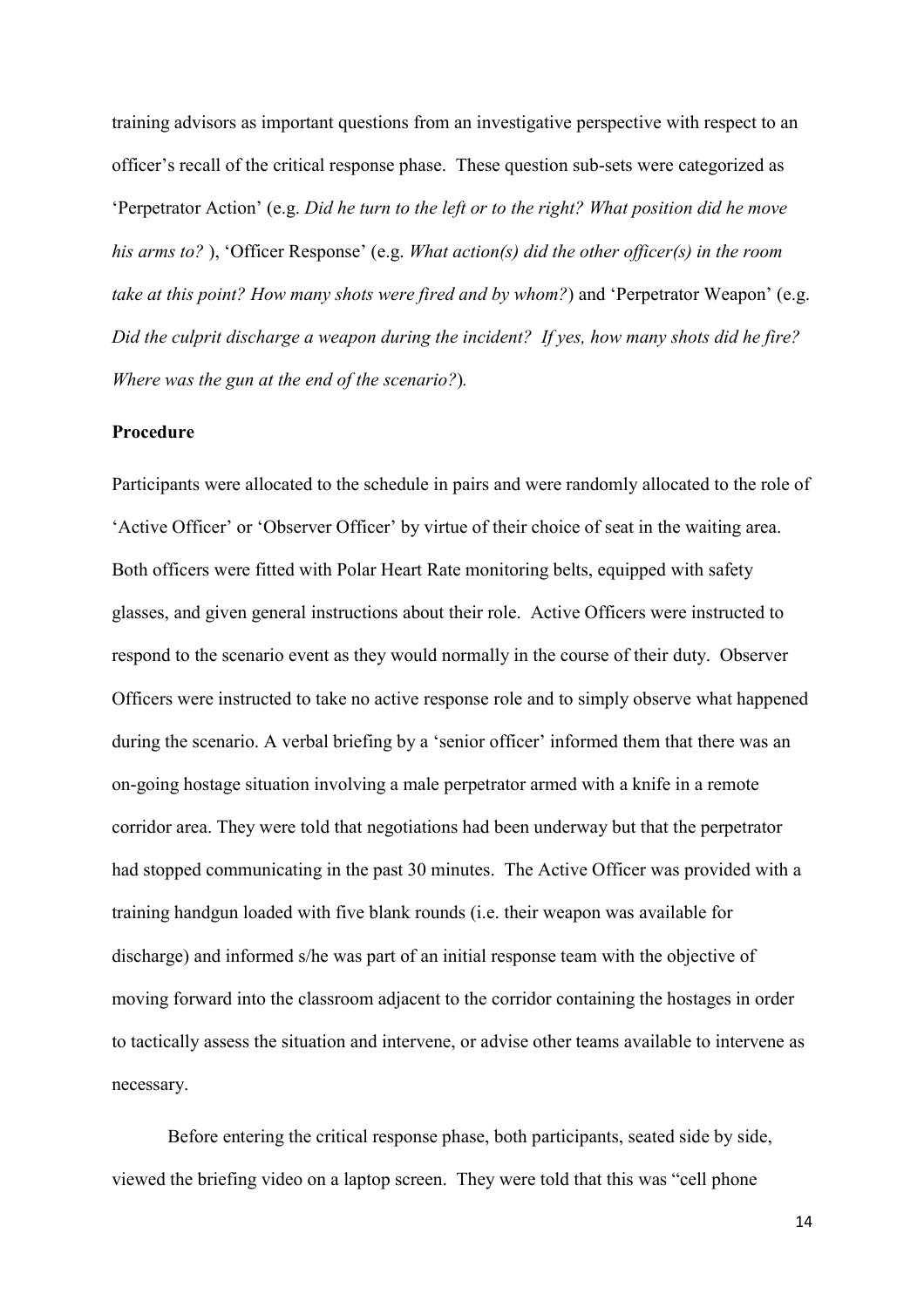training advisors as important questions from an investigative perspective with respect to an officer's recall of the critical response phase. These question sub-sets were categorized as <sup>'</sup>Perpetrator Action' (e.g. *Did he turn to the left or to the right? What position did he move* his arms to?), 'Officer Response' (e.g. *What action(s) did the other officer(s) in the room take at this point? How many shots were fired and by whom?*) and 'Perpetrator Weapon' (e.g. *Did the culprit discharge a weapon during the incident? If yes, how many shots did he fire? Where was the gun at the end of the scenario?*)*.*

#### **Procedure**

Participants were allocated to the schedule in pairs and were randomly allocated to the role of ëActive Officerí or ëObserver Officerí by virtue of their choice of seat in the waiting area. Both officers were fitted with Polar Heart Rate monitoring belts, equipped with safety glasses, and given general instructions about their role. Active Officers were instructed to respond to the scenario event as they would normally in the course of their duty. Observer Officers were instructed to take no active response role and to simply observe what happened during the scenario. A verbal briefing by a 'senior officer' informed them that there was an on-going hostage situation involving a male perpetrator armed with a knife in a remote corridor area. They were told that negotiations had been underway but that the perpetrator had stopped communicating in the past 30 minutes. The Active Officer was provided with a training handgun loaded with five blank rounds (i.e. their weapon was available for discharge) and informed s/he was part of an initial response team with the objective of moving forward into the classroom adjacent to the corridor containing the hostages in order to tactically assess the situation and intervene, or advise other teams available to intervene as necessary.

Before entering the critical response phase, both participants, seated side by side, viewed the briefing video on a laptop screen. They were told that this was "cell phone"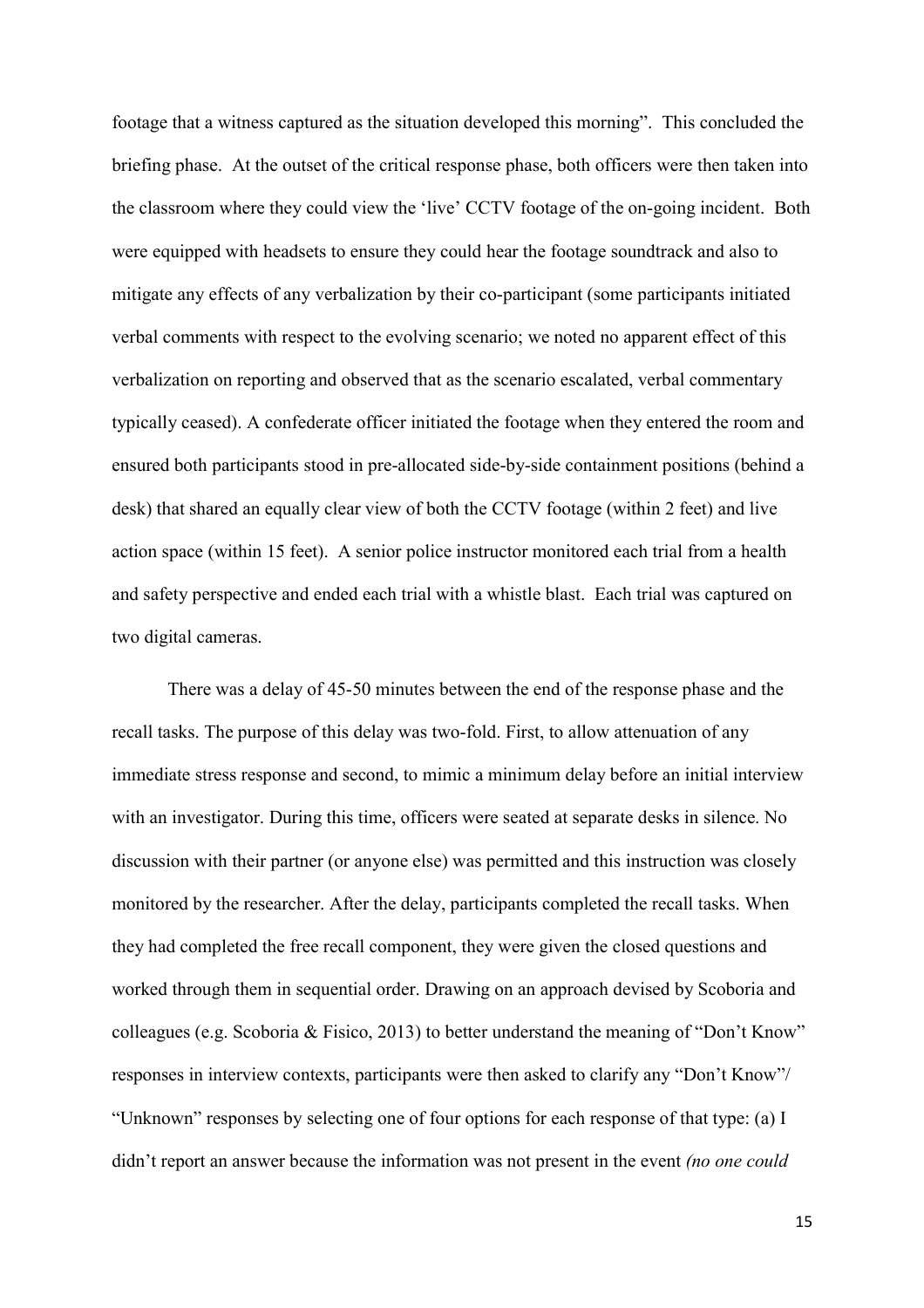footage that a witness captured as the situation developed this morningî. This concluded the briefing phase. At the outset of the critical response phase, both officers were then taken into the classroom where they could view the 'live' CCTV footage of the on-going incident. Both were equipped with headsets to ensure they could hear the footage soundtrack and also to mitigate any effects of any verbalization by their co-participant (some participants initiated verbal comments with respect to the evolving scenario; we noted no apparent effect of this verbalization on reporting and observed that as the scenario escalated, verbal commentary typically ceased). A confederate officer initiated the footage when they entered the room and ensured both participants stood in pre-allocated side-by-side containment positions (behind a desk) that shared an equally clear view of both the CCTV footage (within 2 feet) and live action space (within 15 feet). A senior police instructor monitored each trial from a health and safety perspective and ended each trial with a whistle blast. Each trial was captured on two digital cameras.

There was a delay of 45-50 minutes between the end of the response phase and the recall tasks. The purpose of this delay was two-fold. First, to allow attenuation of any immediate stress response and second, to mimic a minimum delay before an initial interview with an investigator. During this time, officers were seated at separate desks in silence. No discussion with their partner (or anyone else) was permitted and this instruction was closely monitored by the researcher. After the delay, participants completed the recall tasks. When they had completed the free recall component, they were given the closed questions and worked through them in sequential order. Drawing on an approach devised by Scoboria and colleagues (e.g. Scoboria & Fisico, 2013) to better understand the meaning of "Don't Know" responses in interview contexts, participants were then asked to clarify any "Don't Know"/ ìUnknownî responses by selecting one of four options for each response of that type: (a) I didn't report an answer because the information was not present in the event *(no one could*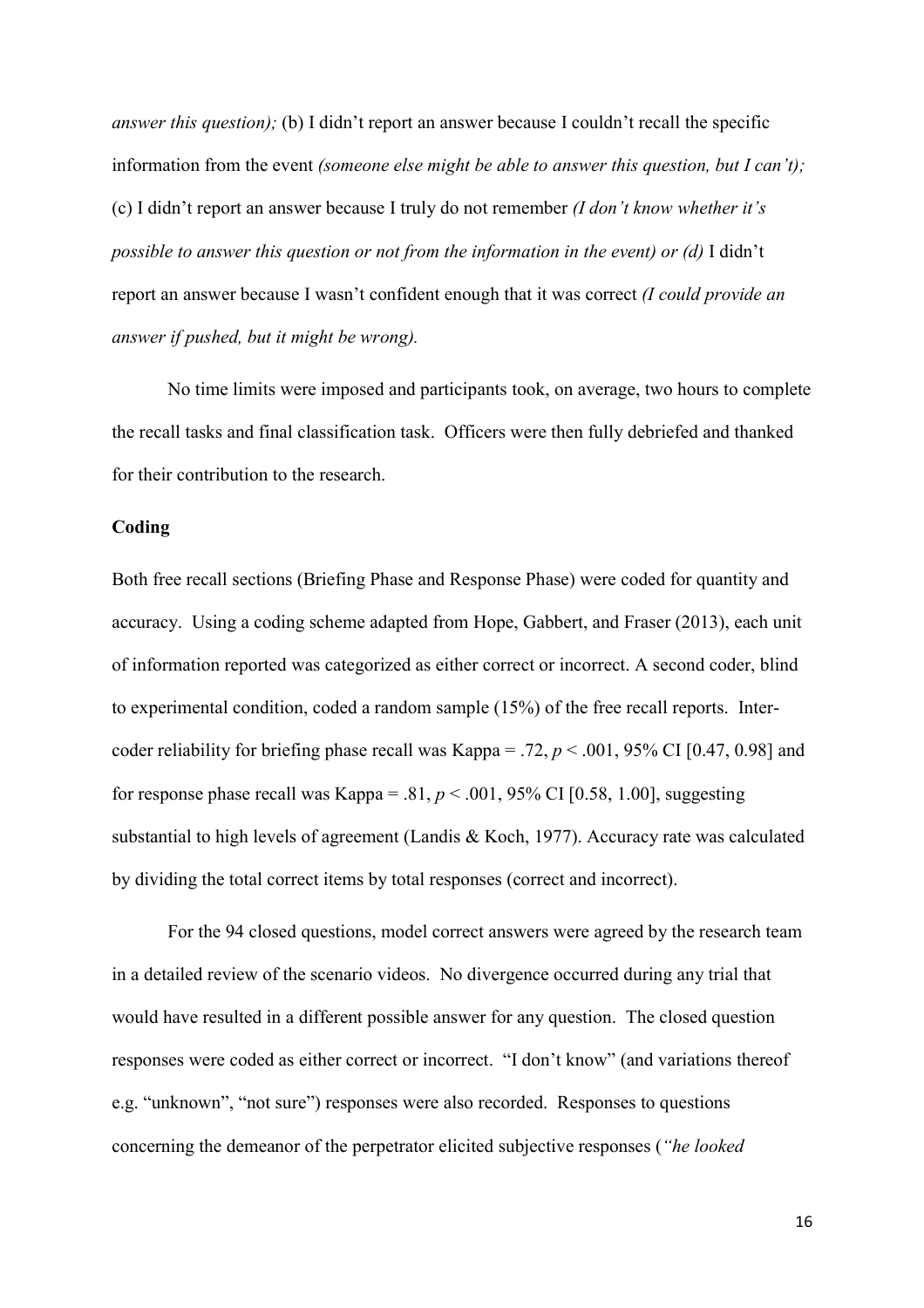*answer this question);* (b) I didn't report an answer because I couldn't recall the specific information from the event *(someone else might be able to answer this question, but I can't);*  (c) I didnít report an answer because I truly do not remember *(I don't know whether it's possible to answer this question or not from the information in the event) or (d)* I didn't report an answer because I wasn't confident enough that it was correct *(I could provide an answer if pushed, but it might be wrong).*

No time limits were imposed and participants took, on average, two hours to complete the recall tasks and final classification task. Officers were then fully debriefed and thanked for their contribution to the research.

## **Coding**

Both free recall sections (Briefing Phase and Response Phase) were coded for quantity and accuracy. Using a coding scheme adapted from Hope, Gabbert, and Fraser (2013), each unit of information reported was categorized as either correct or incorrect. A second coder, blind to experimental condition, coded a random sample (15%) of the free recall reports. Intercoder reliability for briefing phase recall was Kappa = .72,  $p < .001$ , 95% CI [0.47, 0.98] and for response phase recall was Kappa = .81,  $p < .001$ , 95% CI [0.58, 1.00], suggesting substantial to high levels of agreement (Landis & Koch, 1977). Accuracy rate was calculated by dividing the total correct items by total responses (correct and incorrect).

For the 94 closed questions, model correct answers were agreed by the research team in a detailed review of the scenario videos. No divergence occurred during any trial that would have resulted in a different possible answer for any question. The closed question responses were coded as either correct or incorrect. "I don't know" (and variations thereof e.g. "unknown", "not sure") responses were also recorded. Responses to questions concerning the demeanor of the perpetrator elicited subjective responses (*"he looked*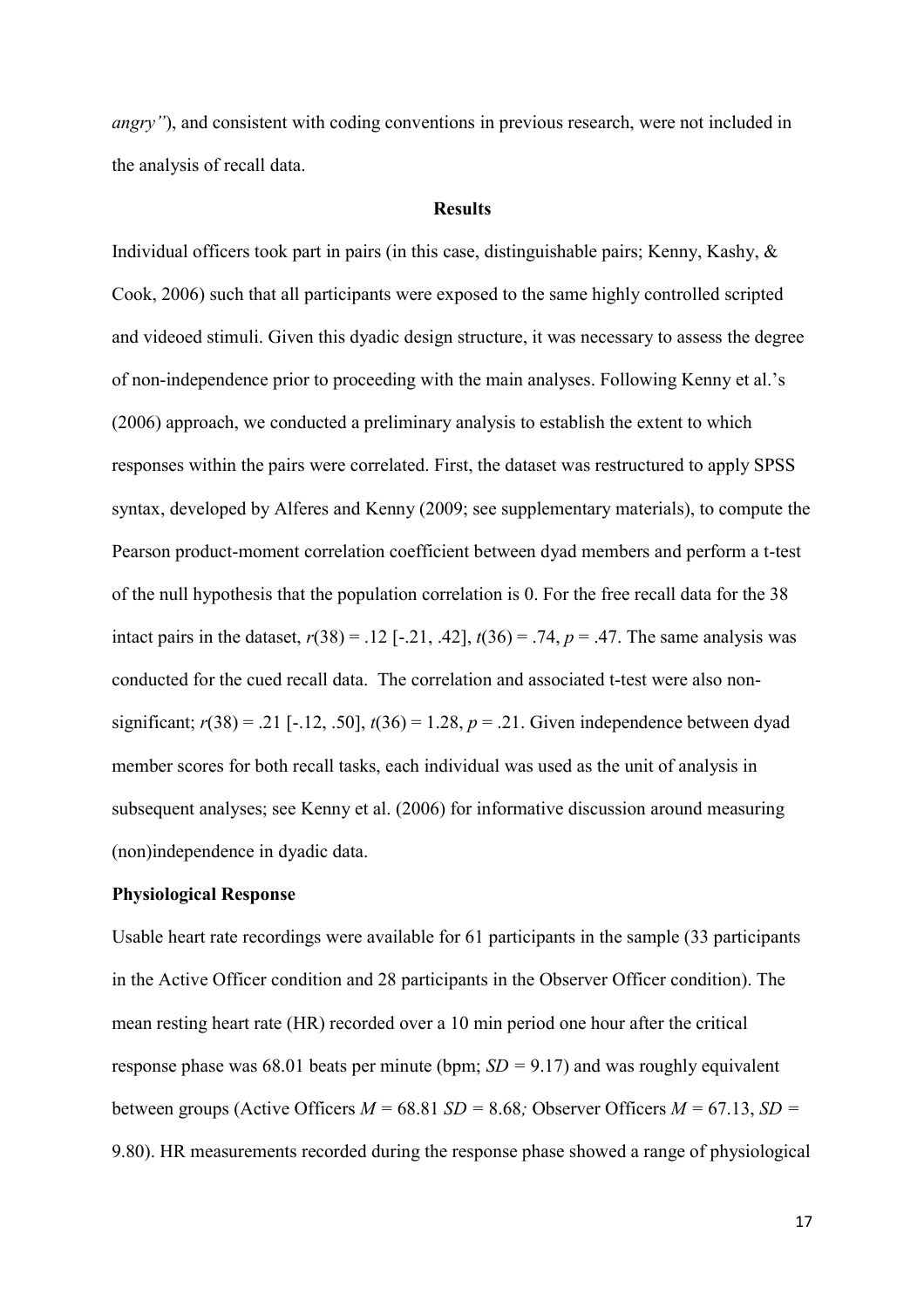*angry*"), and consistent with coding conventions in previous research, were not included in the analysis of recall data.

#### **Results**

Individual officers took part in pairs (in this case, distinguishable pairs; Kenny, Kashy, & Cook, 2006) such that all participants were exposed to the same highly controlled scripted and videoed stimuli. Given this dyadic design structure, it was necessary to assess the degree of non-independence prior to proceeding with the main analyses. Following Kenny et al.'s (2006) approach, we conducted a preliminary analysis to establish the extent to which responses within the pairs were correlated. First, the dataset was restructured to apply SPSS syntax, developed by Alferes and Kenny (2009; see supplementary materials), to compute the Pearson product-moment correlation coefficient between dyad members and perform a t-test of the null hypothesis that the population correlation is 0. For the free recall data for the 38 intact pairs in the dataset,  $r(38) = .12$  [-.21, .42],  $t(36) = .74$ ,  $p = .47$ . The same analysis was conducted for the cued recall data. The correlation and associated t-test were also nonsignificant;  $r(38) = .21$  [-.12, .50],  $t(36) = 1.28$ ,  $p = .21$ . Given independence between dyad member scores for both recall tasks, each individual was used as the unit of analysis in subsequent analyses; see Kenny et al. (2006) for informative discussion around measuring (non)independence in dyadic data.

## **Physiological Response**

Usable heart rate recordings were available for 61 participants in the sample (33 participants in the Active Officer condition and 28 participants in the Observer Officer condition). The mean resting heart rate (HR) recorded over a 10 min period one hour after the critical response phase was 68.01 beats per minute (bpm; *SD =* 9.17) and was roughly equivalent between groups (Active Officers  $M = 68.81$  *SD* = 8.68; Observer Officers  $M = 67.13$ , *SD* = 9.80). HR measurements recorded during the response phase showed a range of physiological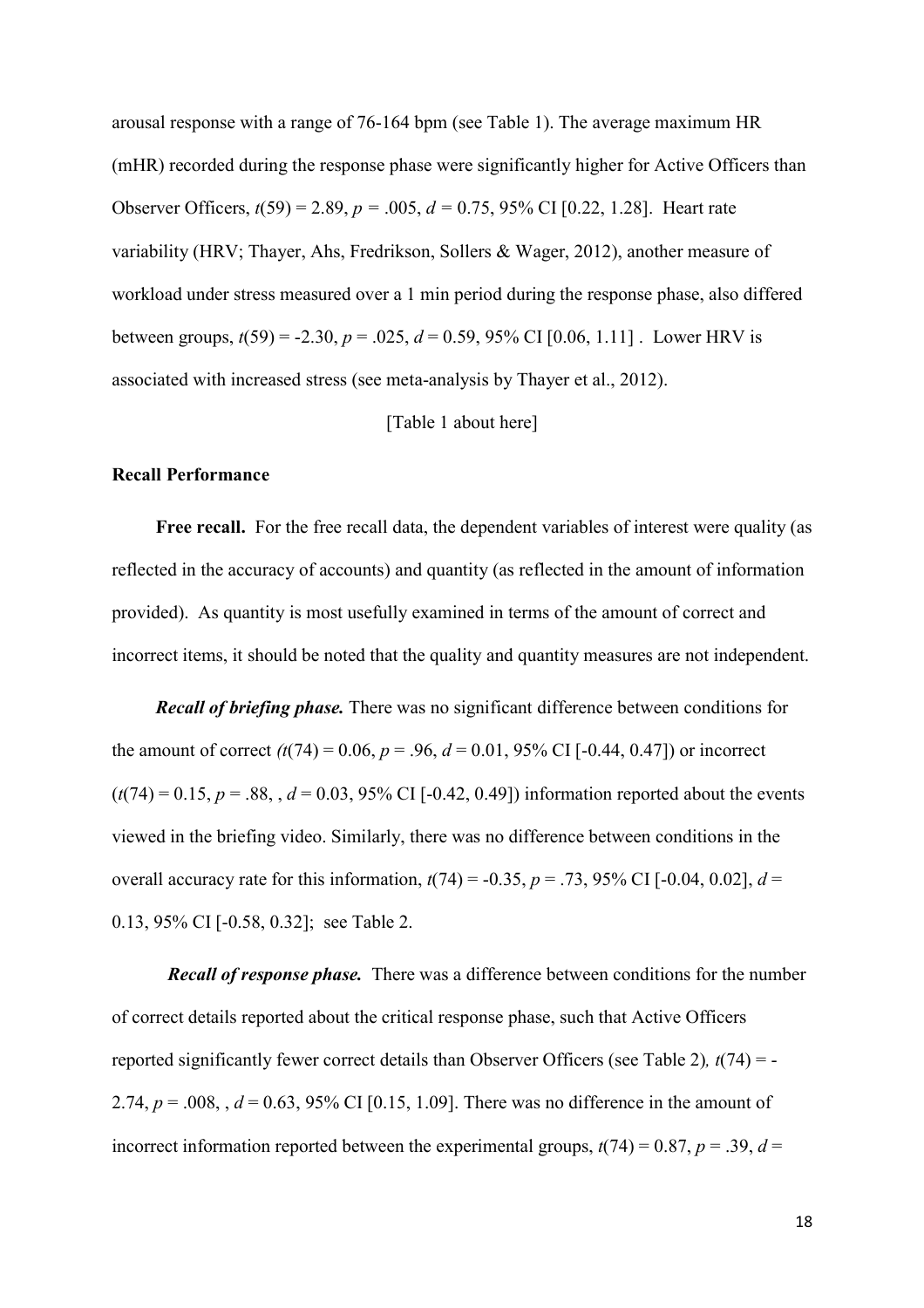arousal response with a range of 76-164 bpm (see Table 1). The average maximum HR (mHR) recorded during the response phase were significantly higher for Active Officers than Observer Officers, *t*(59) = 2.89, *p =* .005, *d =* 0.75, 95% CI [0.22, 1.28]. Heart rate variability (HRV; Thayer, Ahs, Fredrikson, Sollers & Wager, 2012), another measure of workload under stress measured over a 1 min period during the response phase, also differed between groups,  $t(59) = -2.30$ ,  $p = .025$ ,  $d = 0.59$ , 95% CI [0.06, 1.11]. Lower HRV is associated with increased stress (see meta-analysis by Thayer et al., 2012).

## [Table 1 about here]

#### **Recall Performance**

Free recall. For the free recall data, the dependent variables of interest were quality (as reflected in the accuracy of accounts) and quantity (as reflected in the amount of information provided). As quantity is most usefully examined in terms of the amount of correct and incorrect items, it should be noted that the quality and quantity measures are not independent.

*Recall of briefing phase.* There was no significant difference between conditions for the amount of correct  $(t(74) = 0.06, p = .96, d = 0.01, 95\%$  CI [-0.44, 0.47]) or incorrect  $(t(74) = 0.15, p = .88, d = 0.03, 95\% \text{ CI}$  [-0.42, 0.49]) information reported about the events viewed in the briefing video. Similarly, there was no difference between conditions in the overall accuracy rate for this information,  $t(74) = -0.35$ ,  $p = .73$ , 95% CI [-0.04, 0.02],  $d =$ 0.13, 95% CI [-0.58, 0.32]; see Table 2.

*Recall of response phase.* There was a difference between conditions for the number of correct details reported about the critical response phase, such that Active Officers reported significantly fewer correct details than Observer Officers (see Table 2)*, t*(74) = - 2.74,  $p = .008$ ,  $d = 0.63$ , 95% CI [0.15, 1.09]. There was no difference in the amount of incorrect information reported between the experimental groups,  $t(74) = 0.87$ ,  $p = .39$ ,  $d =$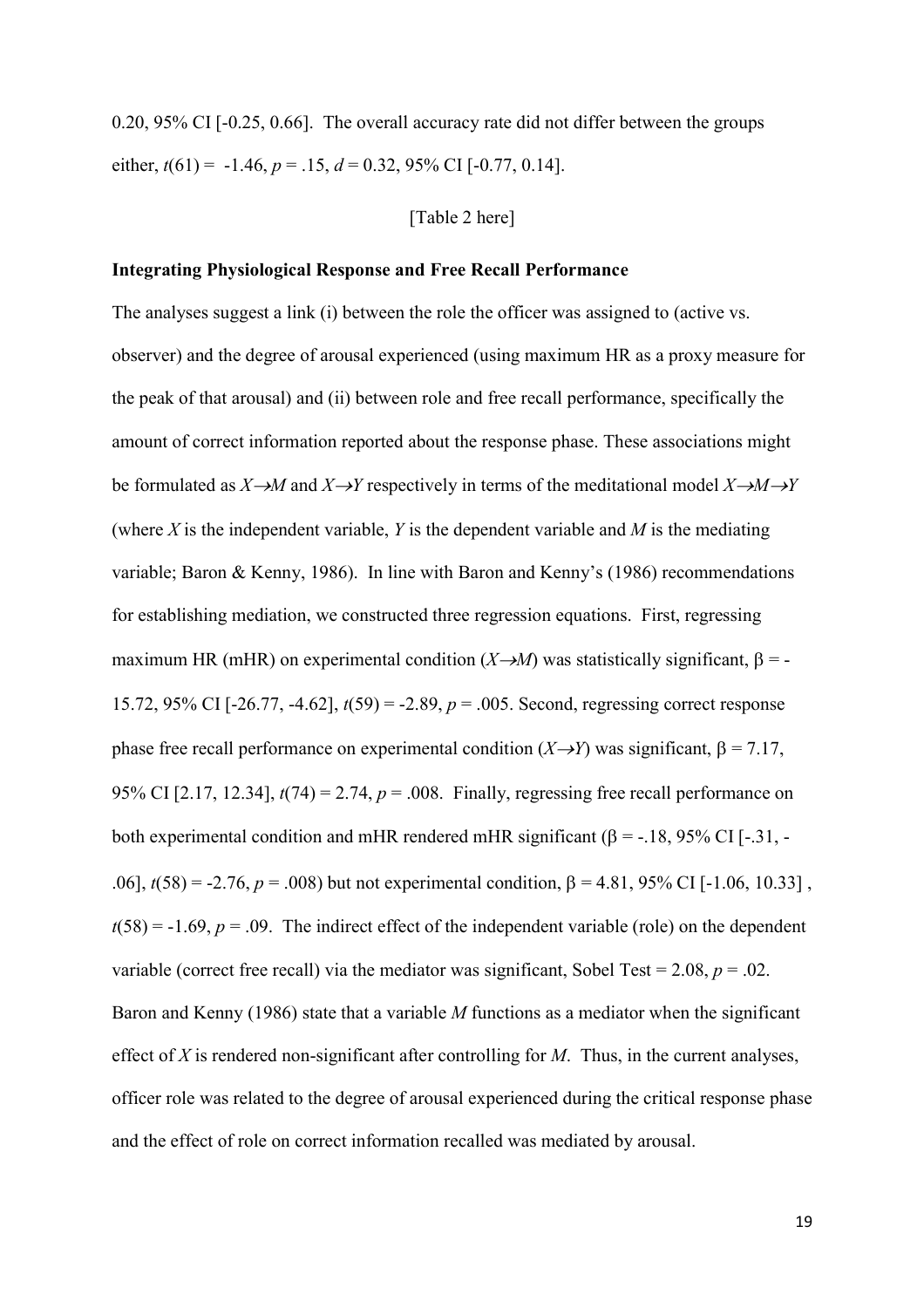0.20, 95% CI [-0.25, 0.66]. The overall accuracy rate did not differ between the groups either,  $t(61) = -1.46$ ,  $p = 0.15$ ,  $d = 0.32$ , 95% CI [-0.77, 0.14].

## [Table 2 here]

## **Integrating Physiological Response and Free Recall Performance**

The analyses suggest a link (i) between the role the officer was assigned to (active vs. observer) and the degree of arousal experienced (using maximum HR as a proxy measure for the peak of that arousal) and (ii) between role and free recall performance, specifically the amount of correct information reported about the response phase. These associations might be formulated as  $X \rightarrow M$  and  $X \rightarrow Y$  respectively in terms of the meditational model  $X \rightarrow M \rightarrow Y$ (where *X* is the independent variable, *Y* is the dependent variable and *M* is the mediating variable; Baron & Kenny, 1986). In line with Baron and Kenny's (1986) recommendations for establishing mediation, we constructed three regression equations. First, regressing maximum HR (mHR) on experimental condition  $(X \rightarrow M)$  was statistically significant,  $\beta = -$ 15.72, 95% CI [-26.77, -4.62], *t*(59) = -2.89, *p* = .005. Second, regressing correct response phase free recall performance on experimental condition  $(X \rightarrow Y)$  was significant,  $\beta = 7.17$ , 95% CI [2.17, 12.34], *t*(74) = 2.74, *p* = .008. Finally, regressing free recall performance on both experimental condition and mHR rendered mHR significant ( $\beta$  = -.18, 95% CI [-.31, -.06],  $t(58) = -2.76$ ,  $p = .008$ ) but not experimental condition,  $\beta = 4.81$ , 95% CI [-1.06, 10.33],  $t(58) = -1.69$ ,  $p = .09$ . The indirect effect of the independent variable (role) on the dependent variable (correct free recall) via the mediator was significant, Sobel Test =  $2.08$ ,  $p = .02$ . Baron and Kenny (1986) state that a variable *M* functions as a mediator when the significant effect of *X* is rendered non-significant after controlling for *M*. Thus, in the current analyses, officer role was related to the degree of arousal experienced during the critical response phase and the effect of role on correct information recalled was mediated by arousal.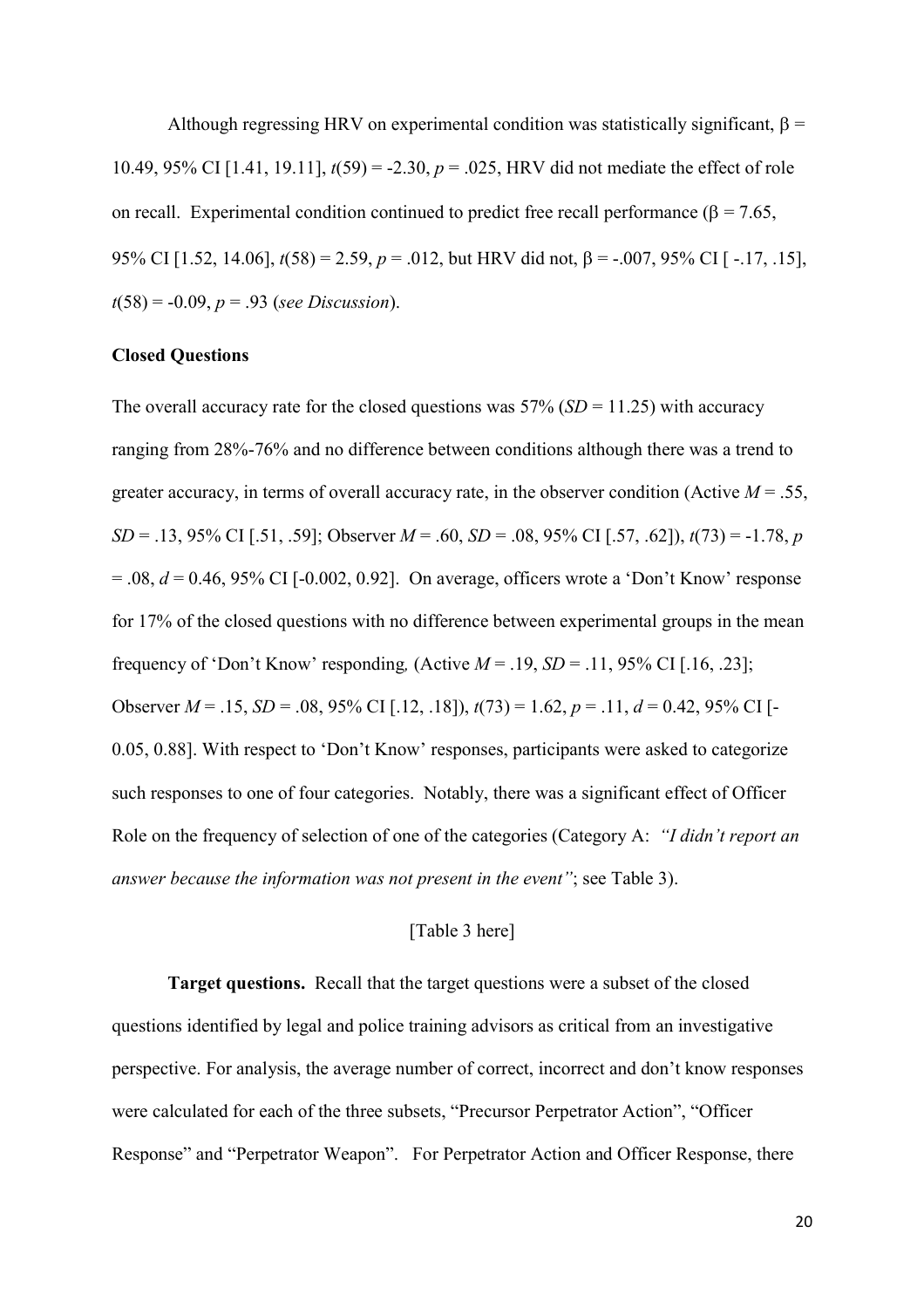Although regressing HRV on experimental condition was statistically significant,  $\beta$  = 10.49, 95% CI [1.41, 19.11], *t*(59) = -2.30, *p* = .025, HRV did not mediate the effect of role on recall. Experimental condition continued to predict free recall performance ( $\beta$  = 7.65, 95% CI [1.52, 14.06],  $t(58) = 2.59$ ,  $p = .012$ , but HRV did not,  $\beta = -.007$ , 95% CI [-.17, .15], *t*(58) = -0.09, *p* = .93 (*see Discussion*).

## **Closed Questions**

The overall accuracy rate for the closed questions was  $57\%$  (*SD* = 11.25) with accuracy ranging from 28%-76% and no difference between conditions although there was a trend to greater accuracy, in terms of overall accuracy rate, in the observer condition (Active  $M = 0.55$ , *SD* = .13, 95% CI [.51, .59]; Observer *M* = .60, *SD* = .08, 95% CI [.57, .62]), *t*(73) = -1.78, *p*  $= .08$ ,  $d = 0.46$ , 95% CI [-0.002, 0.92]. On average, officers wrote a 'Don't Know' response for 17% of the closed questions with no difference between experimental groups in the mean frequency of 'Don't Know' responding,  $(Active M = .19, SD = .11, 95\% \text{ CI} [.16, .23]$ ; Observer *M* = .15, *SD* = .08, 95% CI [.12, .18]), *t*(73) = 1.62, *p* = .11, *d* = 0.42, 95% CI [- 0.05, 0.88]. With respect to 'Don't Know' responses, participants were asked to categorize such responses to one of four categories. Notably, there was a significant effect of Officer Role on the frequency of selection of one of the categories (Category A: *"I didn't report an answer because the information was not present in the event"*; see Table 3).

# [Table 3 here]

**Target questions.** Recall that the target questions were a subset of the closed questions identified by legal and police training advisors as critical from an investigative perspective. For analysis, the average number of correct, incorrect and don't know responses were calculated for each of the three subsets, "Precursor Perpetrator Action", "Officer Response" and "Perpetrator Weapon". For Perpetrator Action and Officer Response, there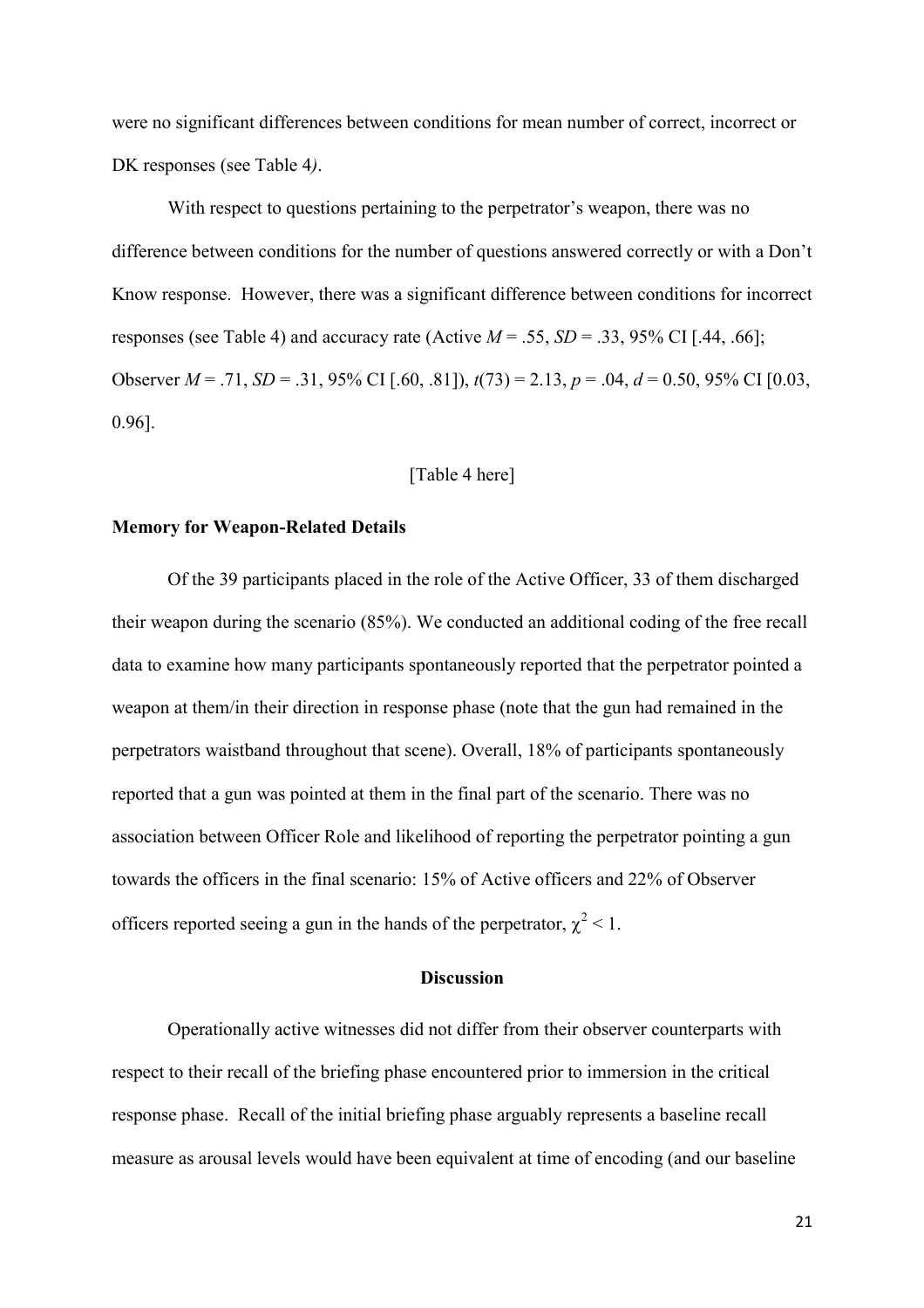were no significant differences between conditions for mean number of correct, incorrect or DK responses (see Table 4*)*.

With respect to questions pertaining to the perpetrator's weapon, there was no difference between conditions for the number of questions answered correctly or with a Don't Know response. However, there was a significant difference between conditions for incorrect responses (see Table 4) and accuracy rate (Active  $M = .55$ ,  $SD = .33$ , 95% CI [.44, .66]; Observer *M* = .71, *SD* = .31, 95% CI [.60, .81]), *t*(73) = 2.13, *p* = .04, *d* = 0.50, 95% CI [0.03, 0.96].

## [Table 4 here]

#### **Memory for Weapon-Related Details**

 Of the 39 participants placed in the role of the Active Officer, 33 of them discharged their weapon during the scenario (85%). We conducted an additional coding of the free recall data to examine how many participants spontaneously reported that the perpetrator pointed a weapon at them/in their direction in response phase (note that the gun had remained in the perpetrators waistband throughout that scene). Overall, 18% of participants spontaneously reported that a gun was pointed at them in the final part of the scenario. There was no association between Officer Role and likelihood of reporting the perpetrator pointing a gun towards the officers in the final scenario: 15% of Active officers and 22% of Observer officers reported seeing a gun in the hands of the perpetrator,  $\chi^2$  < 1.

# **Discussion**

Operationally active witnesses did not differ from their observer counterparts with respect to their recall of the briefing phase encountered prior to immersion in the critical response phase. Recall of the initial briefing phase arguably represents a baseline recall measure as arousal levels would have been equivalent at time of encoding (and our baseline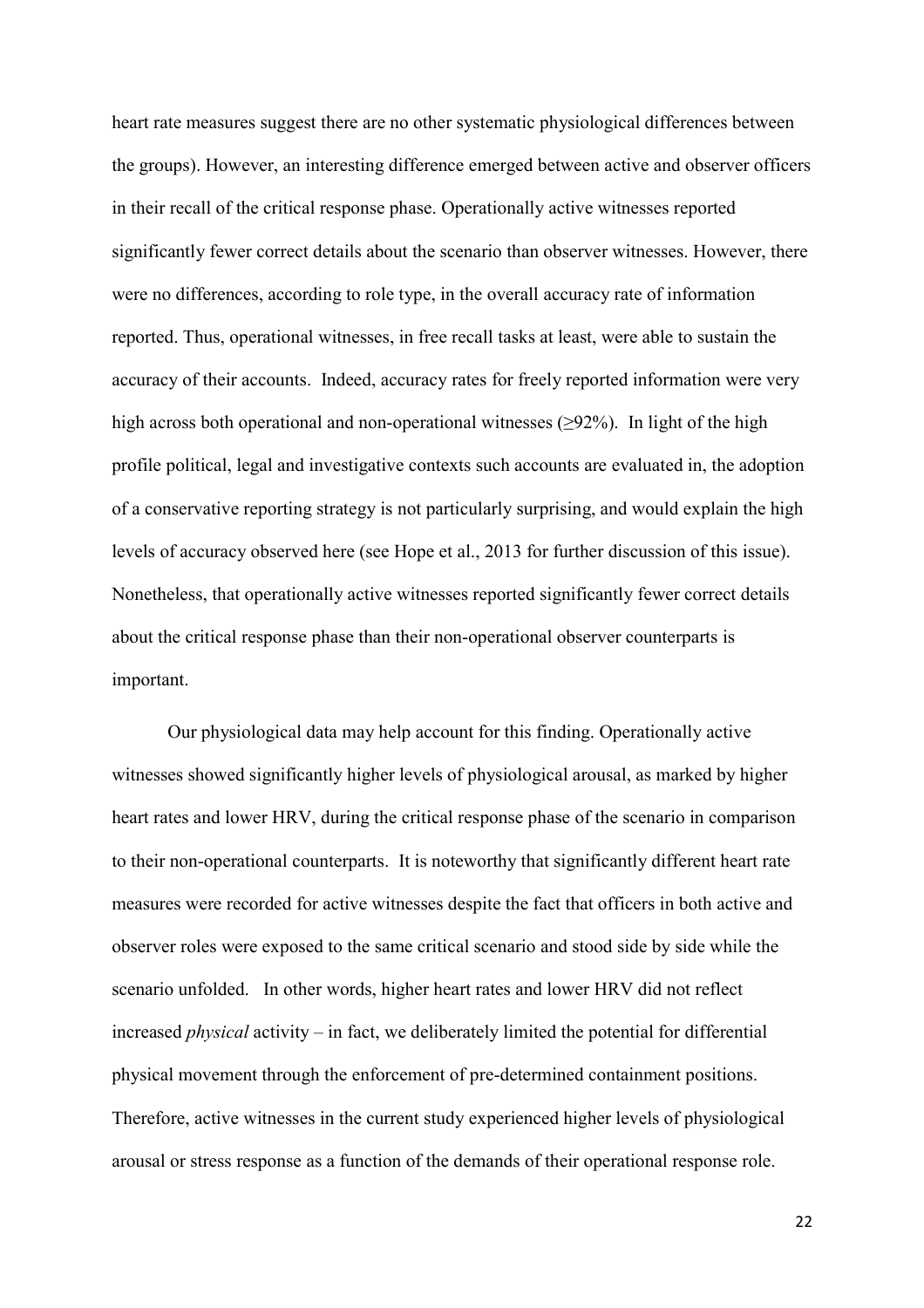heart rate measures suggest there are no other systematic physiological differences between the groups). However, an interesting difference emerged between active and observer officers in their recall of the critical response phase. Operationally active witnesses reported significantly fewer correct details about the scenario than observer witnesses. However, there were no differences, according to role type, in the overall accuracy rate of information reported. Thus, operational witnesses, in free recall tasks at least, were able to sustain the accuracy of their accounts. Indeed, accuracy rates for freely reported information were very high across both operational and non-operational witnesses  $(\geq 92\%)$ . In light of the high profile political, legal and investigative contexts such accounts are evaluated in, the adoption of a conservative reporting strategy is not particularly surprising, and would explain the high levels of accuracy observed here (see Hope et al., 2013 for further discussion of this issue). Nonetheless, that operationally active witnesses reported significantly fewer correct details about the critical response phase than their non-operational observer counterparts is important.

Our physiological data may help account for this finding. Operationally active witnesses showed significantly higher levels of physiological arousal, as marked by higher heart rates and lower HRV, during the critical response phase of the scenario in comparison to their non-operational counterparts. It is noteworthy that significantly different heart rate measures were recorded for active witnesses despite the fact that officers in both active and observer roles were exposed to the same critical scenario and stood side by side while the scenario unfolded. In other words, higher heart rates and lower HRV did not reflect increased *physical* activity – in fact, we deliberately limited the potential for differential physical movement through the enforcement of pre-determined containment positions. Therefore, active witnesses in the current study experienced higher levels of physiological arousal or stress response as a function of the demands of their operational response role.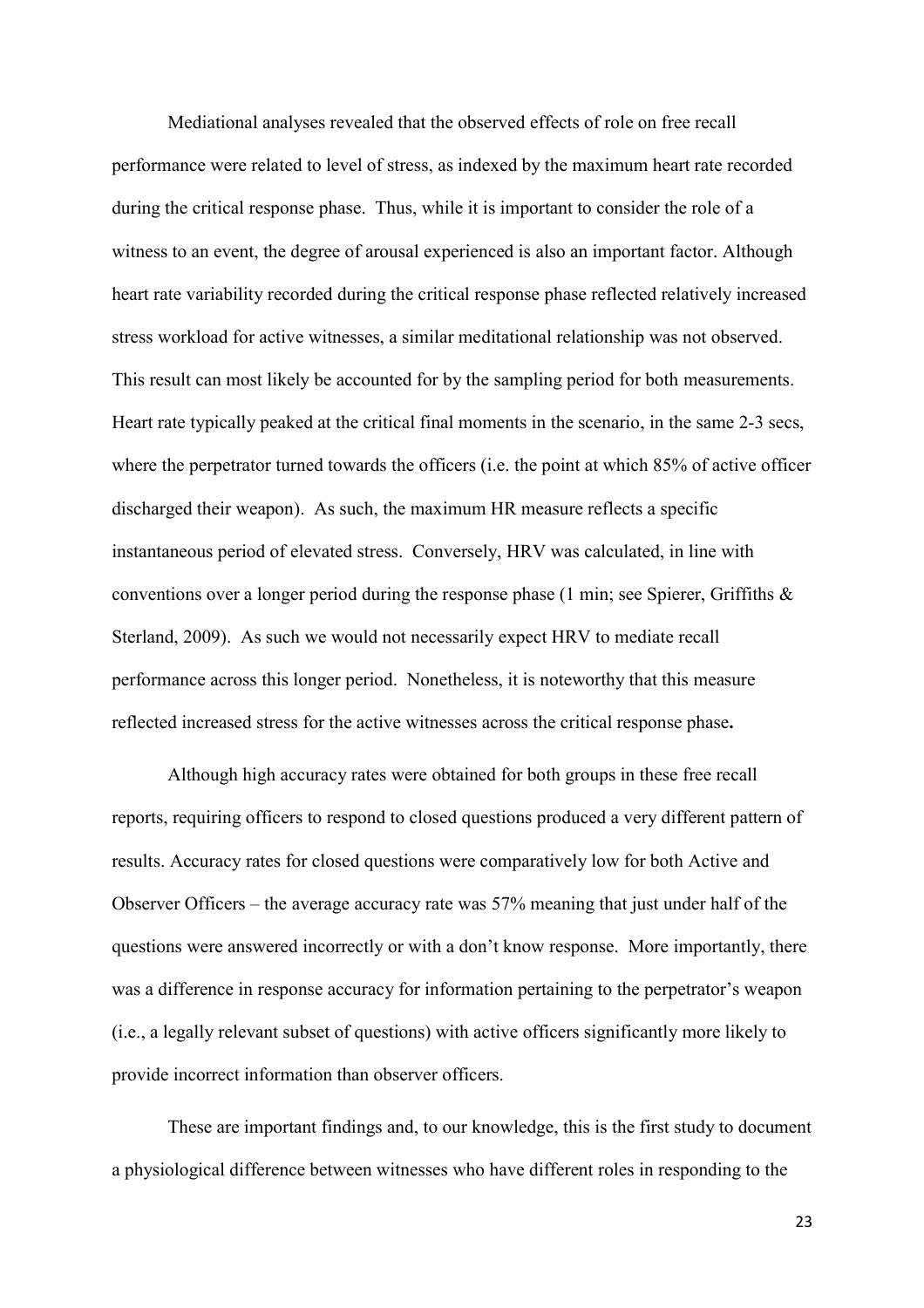Mediational analyses revealed that the observed effects of role on free recall performance were related to level of stress, as indexed by the maximum heart rate recorded during the critical response phase. Thus, while it is important to consider the role of a witness to an event, the degree of arousal experienced is also an important factor. Although heart rate variability recorded during the critical response phase reflected relatively increased stress workload for active witnesses, a similar meditational relationship was not observed. This result can most likely be accounted for by the sampling period for both measurements. Heart rate typically peaked at the critical final moments in the scenario, in the same 2-3 secs, where the perpetrator turned towards the officers (i.e. the point at which 85% of active officer discharged their weapon). As such, the maximum HR measure reflects a specific instantaneous period of elevated stress. Conversely, HRV was calculated, in line with conventions over a longer period during the response phase  $(1 \text{ min}; \text{ see Spierer}, \text{Griffiths } \& )$ Sterland, 2009). As such we would not necessarily expect HRV to mediate recall performance across this longer period. Nonetheless, it is noteworthy that this measure reflected increased stress for the active witnesses across the critical response phase**.**

Although high accuracy rates were obtained for both groups in these free recall reports, requiring officers to respond to closed questions produced a very different pattern of results. Accuracy rates for closed questions were comparatively low for both Active and Observer Officers – the average accuracy rate was  $57%$  meaning that just under half of the questions were answered incorrectly or with a don't know response. More importantly, there was a difference in response accuracy for information pertaining to the perpetrator's weapon (i.e., a legally relevant subset of questions) with active officers significantly more likely to provide incorrect information than observer officers.

These are important findings and, to our knowledge, this is the first study to document a physiological difference between witnesses who have different roles in responding to the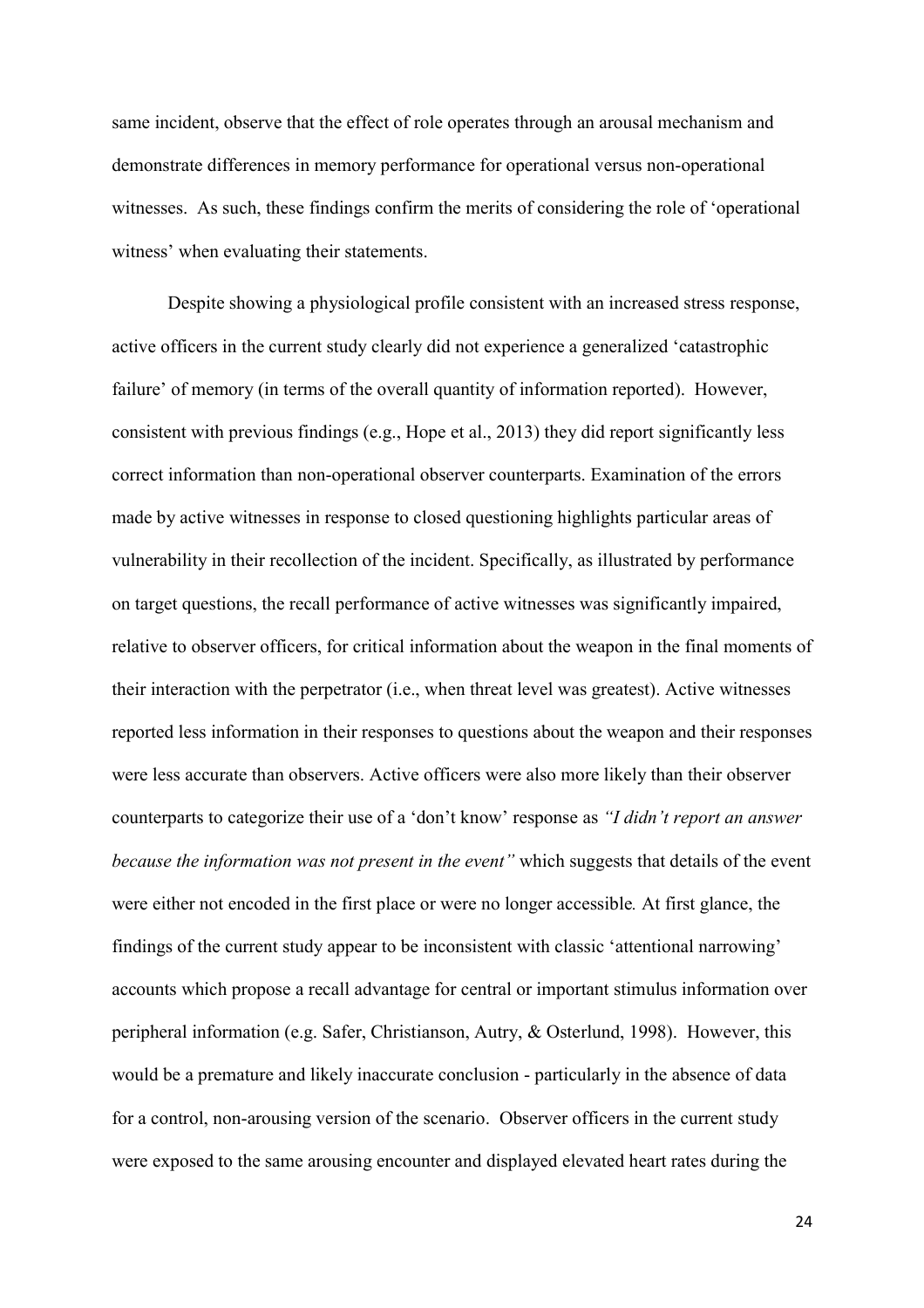same incident, observe that the effect of role operates through an arousal mechanism and demonstrate differences in memory performance for operational versus non-operational witnesses. As such, these findings confirm the merits of considering the role of 'operational witness' when evaluating their statements.

Despite showing a physiological profile consistent with an increased stress response, active officers in the current study clearly did not experience a generalized 'catastrophic failure' of memory (in terms of the overall quantity of information reported). However, consistent with previous findings (e.g., Hope et al., 2013) they did report significantly less correct information than non-operational observer counterparts. Examination of the errors made by active witnesses in response to closed questioning highlights particular areas of vulnerability in their recollection of the incident. Specifically, as illustrated by performance on target questions, the recall performance of active witnesses was significantly impaired, relative to observer officers, for critical information about the weapon in the final moments of their interaction with the perpetrator (i.e., when threat level was greatest). Active witnesses reported less information in their responses to questions about the weapon and their responses were less accurate than observers. Active officers were also more likely than their observer counterparts to categorize their use of a 'don't know' response as "I didn't report an answer *because the information was not present in the event"* which suggests that details of the event were either not encoded in the first place or were no longer accessible*.* At first glance, the findings of the current study appear to be inconsistent with classic 'attentional narrowing' accounts which propose a recall advantage for central or important stimulus information over peripheral information (e.g. Safer, Christianson, Autry, & Osterlund, 1998). However, this would be a premature and likely inaccurate conclusion - particularly in the absence of data for a control, non-arousing version of the scenario. Observer officers in the current study were exposed to the same arousing encounter and displayed elevated heart rates during the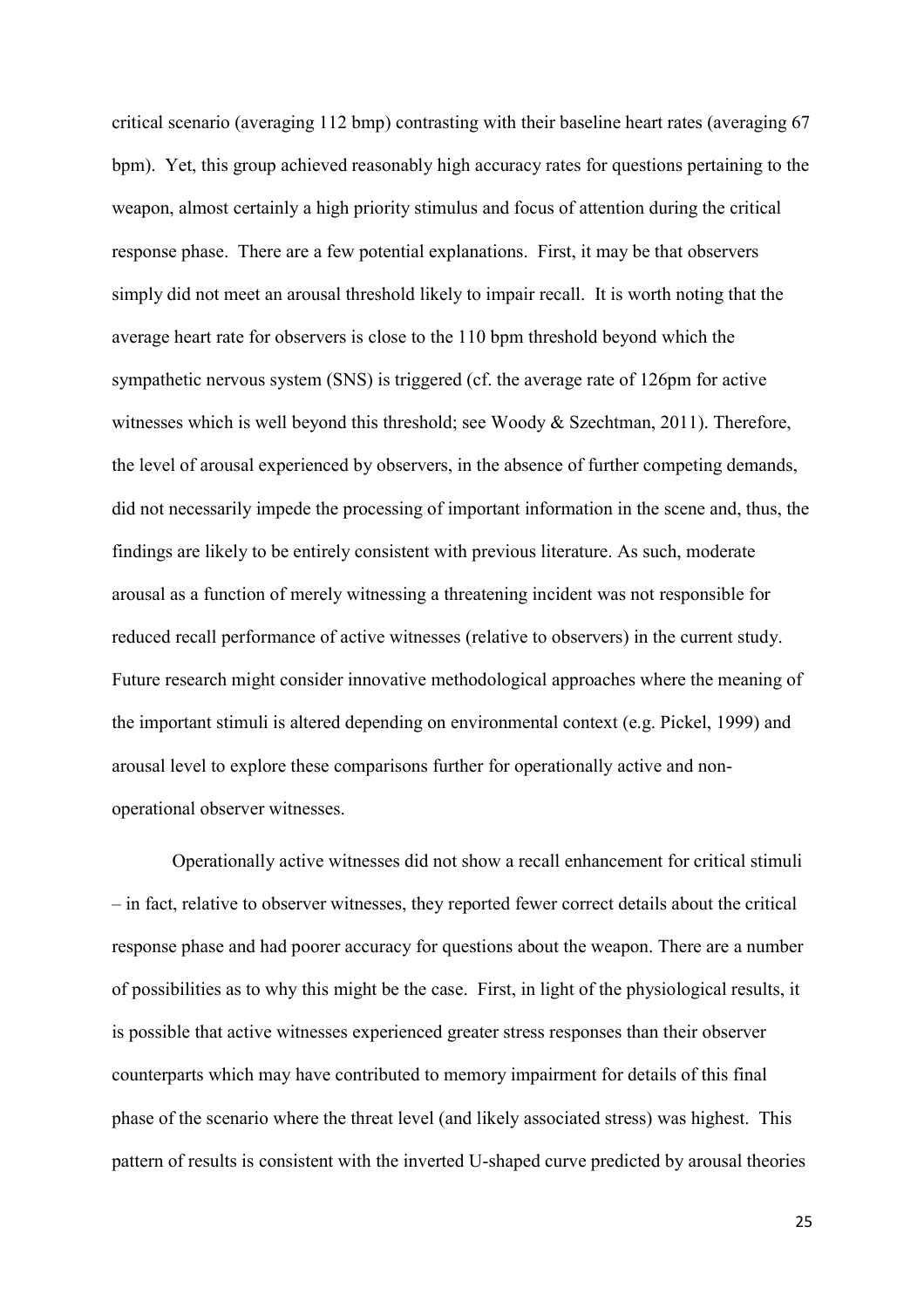critical scenario (averaging 112 bmp) contrasting with their baseline heart rates (averaging 67 bpm). Yet, this group achieved reasonably high accuracy rates for questions pertaining to the weapon, almost certainly a high priority stimulus and focus of attention during the critical response phase. There are a few potential explanations. First, it may be that observers simply did not meet an arousal threshold likely to impair recall. It is worth noting that the average heart rate for observers is close to the 110 bpm threshold beyond which the sympathetic nervous system (SNS) is triggered (cf. the average rate of 126pm for active witnesses which is well beyond this threshold; see Woody & Szechtman, 2011). Therefore, the level of arousal experienced by observers, in the absence of further competing demands, did not necessarily impede the processing of important information in the scene and, thus, the findings are likely to be entirely consistent with previous literature. As such, moderate arousal as a function of merely witnessing a threatening incident was not responsible for reduced recall performance of active witnesses (relative to observers) in the current study. Future research might consider innovative methodological approaches where the meaning of the important stimuli is altered depending on environmental context (e.g. Pickel, 1999) and arousal level to explore these comparisons further for operationally active and nonoperational observer witnesses.

 Operationally active witnesses did not show a recall enhancement for critical stimuli – in fact, relative to observer witnesses, they reported fewer correct details about the critical response phase and had poorer accuracy for questions about the weapon. There are a number of possibilities as to why this might be the case. First, in light of the physiological results, it is possible that active witnesses experienced greater stress responses than their observer counterparts which may have contributed to memory impairment for details of this final phase of the scenario where the threat level (and likely associated stress) was highest. This pattern of results is consistent with the inverted U-shaped curve predicted by arousal theories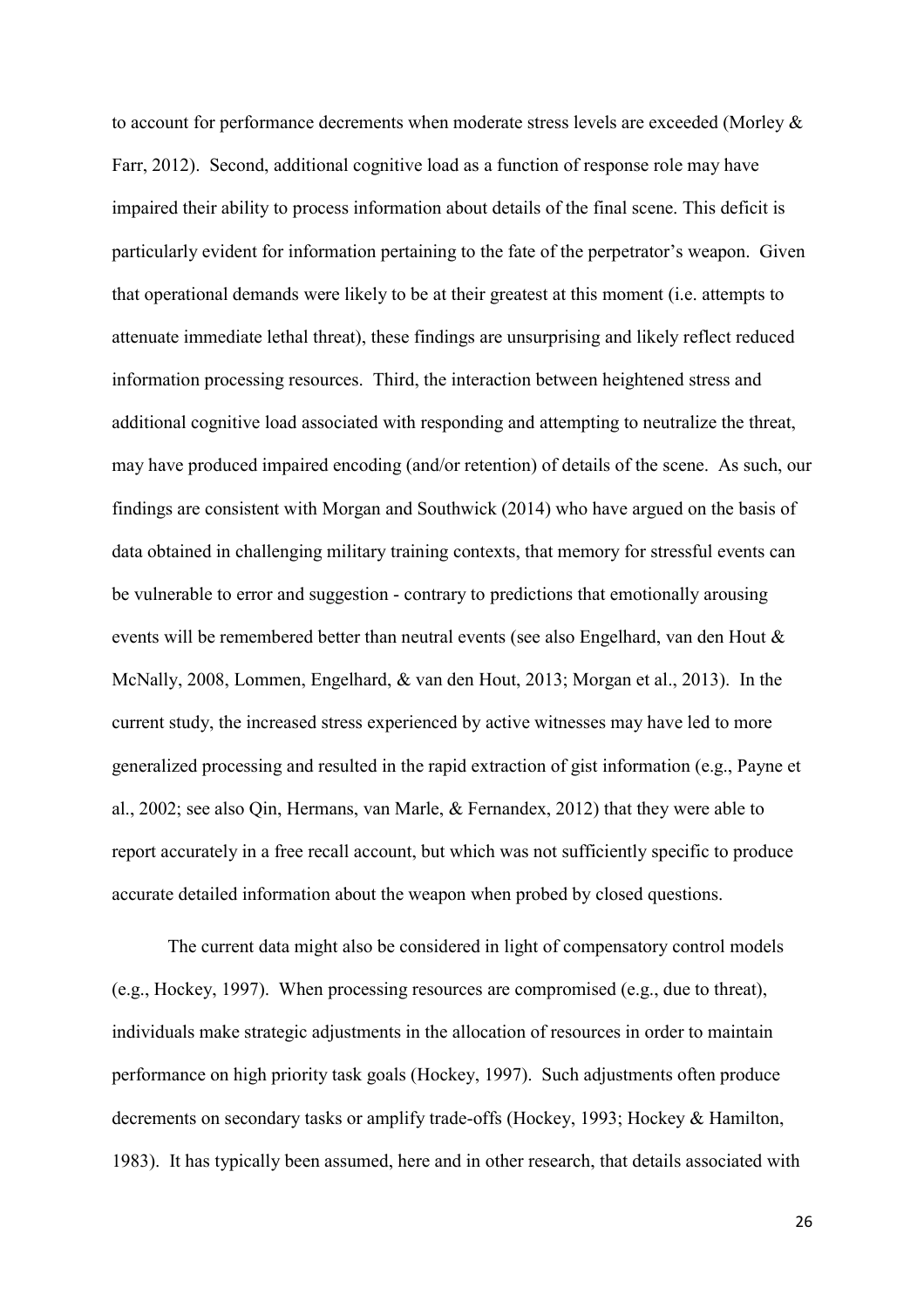to account for performance decrements when moderate stress levels are exceeded (Morley & Farr, 2012). Second, additional cognitive load as a function of response role may have impaired their ability to process information about details of the final scene. This deficit is particularly evident for information pertaining to the fate of the perpetrator's weapon. Given that operational demands were likely to be at their greatest at this moment (i.e. attempts to attenuate immediate lethal threat), these findings are unsurprising and likely reflect reduced information processing resources. Third, the interaction between heightened stress and additional cognitive load associated with responding and attempting to neutralize the threat, may have produced impaired encoding (and/or retention) of details of the scene. As such, our findings are consistent with Morgan and Southwick (2014) who have argued on the basis of data obtained in challenging military training contexts, that memory for stressful events can be vulnerable to error and suggestion - contrary to predictions that emotionally arousing events will be remembered better than neutral events (see also Engelhard, van den Hout & McNally, 2008, Lommen, Engelhard, & van den Hout, 2013; Morgan et al., 2013). In the current study, the increased stress experienced by active witnesses may have led to more generalized processing and resulted in the rapid extraction of gist information (e.g., Payne et al., 2002; see also Qin, Hermans, van Marle, & Fernandex, 2012) that they were able to report accurately in a free recall account, but which was not sufficiently specific to produce accurate detailed information about the weapon when probed by closed questions.

The current data might also be considered in light of compensatory control models (e.g., Hockey, 1997). When processing resources are compromised (e.g., due to threat), individuals make strategic adjustments in the allocation of resources in order to maintain performance on high priority task goals (Hockey, 1997). Such adjustments often produce decrements on secondary tasks or amplify trade-offs (Hockey, 1993; Hockey & Hamilton, 1983). It has typically been assumed, here and in other research, that details associated with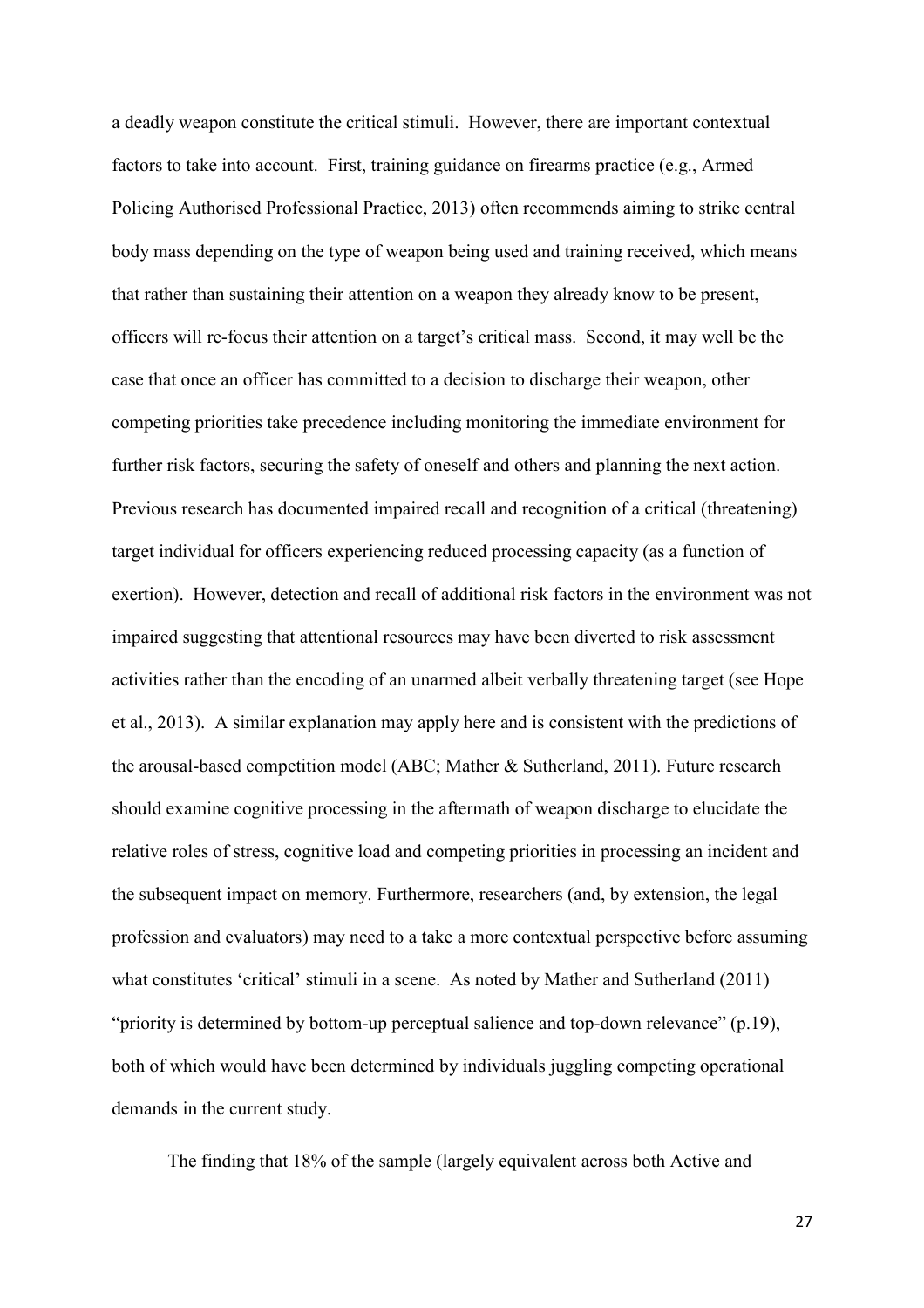a deadly weapon constitute the critical stimuli. However, there are important contextual factors to take into account. First, training guidance on firearms practice (e.g., Armed Policing Authorised Professional Practice, 2013) often recommends aiming to strike central body mass depending on the type of weapon being used and training received, which means that rather than sustaining their attention on a weapon they already know to be present, officers will re-focus their attention on a target's critical mass. Second, it may well be the case that once an officer has committed to a decision to discharge their weapon, other competing priorities take precedence including monitoring the immediate environment for further risk factors, securing the safety of oneself and others and planning the next action. Previous research has documented impaired recall and recognition of a critical (threatening) target individual for officers experiencing reduced processing capacity (as a function of exertion). However, detection and recall of additional risk factors in the environment was not impaired suggesting that attentional resources may have been diverted to risk assessment activities rather than the encoding of an unarmed albeit verbally threatening target (see Hope et al., 2013). A similar explanation may apply here and is consistent with the predictions of the arousal-based competition model (ABC; Mather & Sutherland, 2011). Future research should examine cognitive processing in the aftermath of weapon discharge to elucidate the relative roles of stress, cognitive load and competing priorities in processing an incident and the subsequent impact on memory. Furthermore, researchers (and, by extension, the legal profession and evaluators) may need to a take a more contextual perspective before assuming what constitutes 'critical' stimuli in a scene. As noted by Mather and Sutherland (2011) "priority is determined by bottom-up perceptual salience and top-down relevance"  $(p.19)$ , both of which would have been determined by individuals juggling competing operational demands in the current study.

The finding that 18% of the sample (largely equivalent across both Active and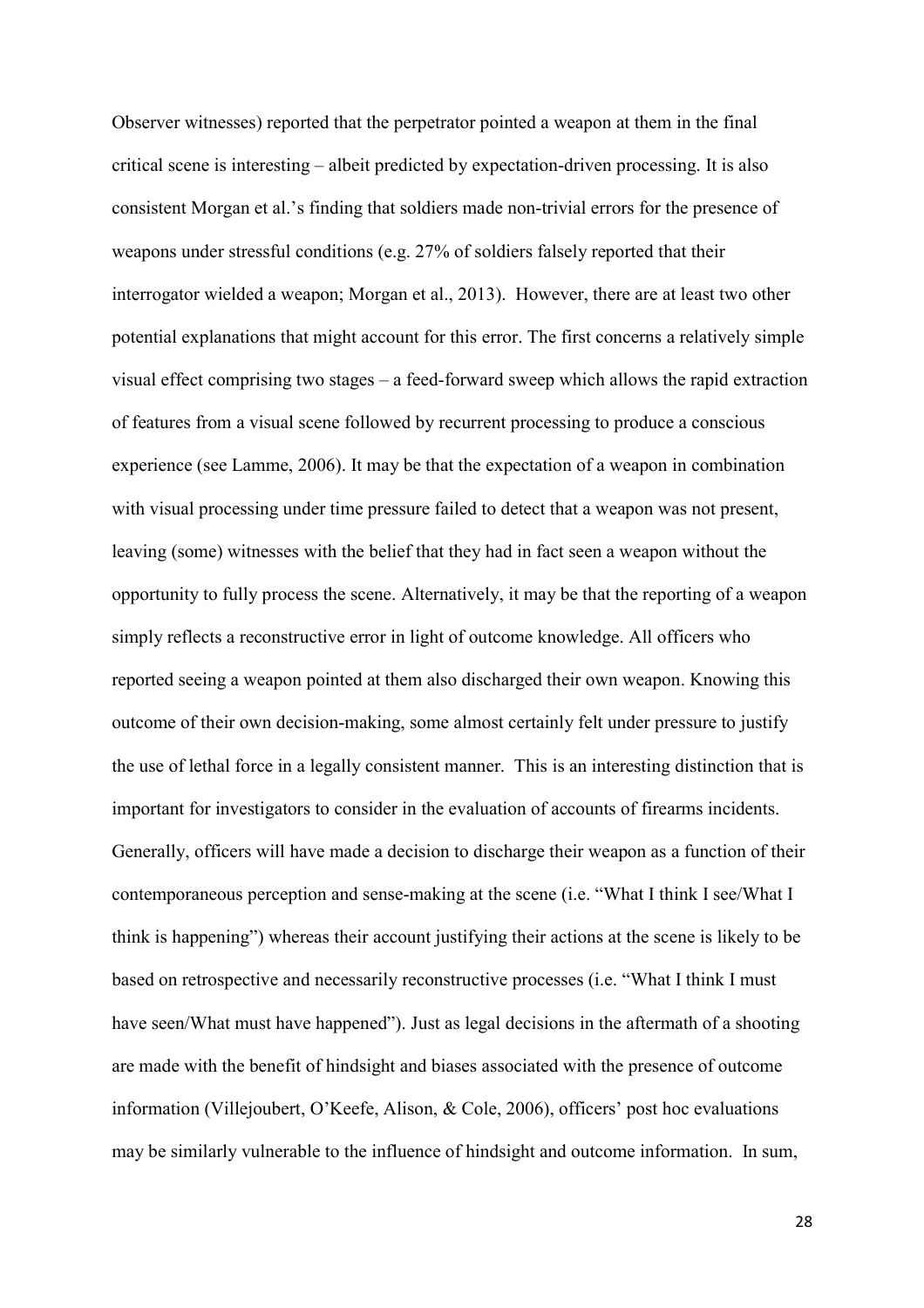Observer witnesses) reported that the perpetrator pointed a weapon at them in the final critical scene is interesting – albeit predicted by expectation-driven processing. It is also consistent Morgan et al.'s finding that soldiers made non-trivial errors for the presence of weapons under stressful conditions (e.g. 27% of soldiers falsely reported that their interrogator wielded a weapon; Morgan et al., 2013). However, there are at least two other potential explanations that might account for this error. The first concerns a relatively simple visual effect comprising two stages – a feed-forward sweep which allows the rapid extraction of features from a visual scene followed by recurrent processing to produce a conscious experience (see Lamme, 2006). It may be that the expectation of a weapon in combination with visual processing under time pressure failed to detect that a weapon was not present, leaving (some) witnesses with the belief that they had in fact seen a weapon without the opportunity to fully process the scene. Alternatively, it may be that the reporting of a weapon simply reflects a reconstructive error in light of outcome knowledge. All officers who reported seeing a weapon pointed at them also discharged their own weapon. Knowing this outcome of their own decision-making, some almost certainly felt under pressure to justify the use of lethal force in a legally consistent manner. This is an interesting distinction that is important for investigators to consider in the evaluation of accounts of firearms incidents. Generally, officers will have made a decision to discharge their weapon as a function of their contemporaneous perception and sense-making at the scene (i.e. "What I think I see/What I think is happening") whereas their account justifying their actions at the scene is likely to be based on retrospective and necessarily reconstructive processes (i.e. "What I think I must have seen/What must have happened"). Just as legal decisions in the aftermath of a shooting are made with the benefit of hindsight and biases associated with the presence of outcome information (Villejoubert, O'Keefe, Alison, & Cole, 2006), officers' post hoc evaluations may be similarly vulnerable to the influence of hindsight and outcome information. In sum,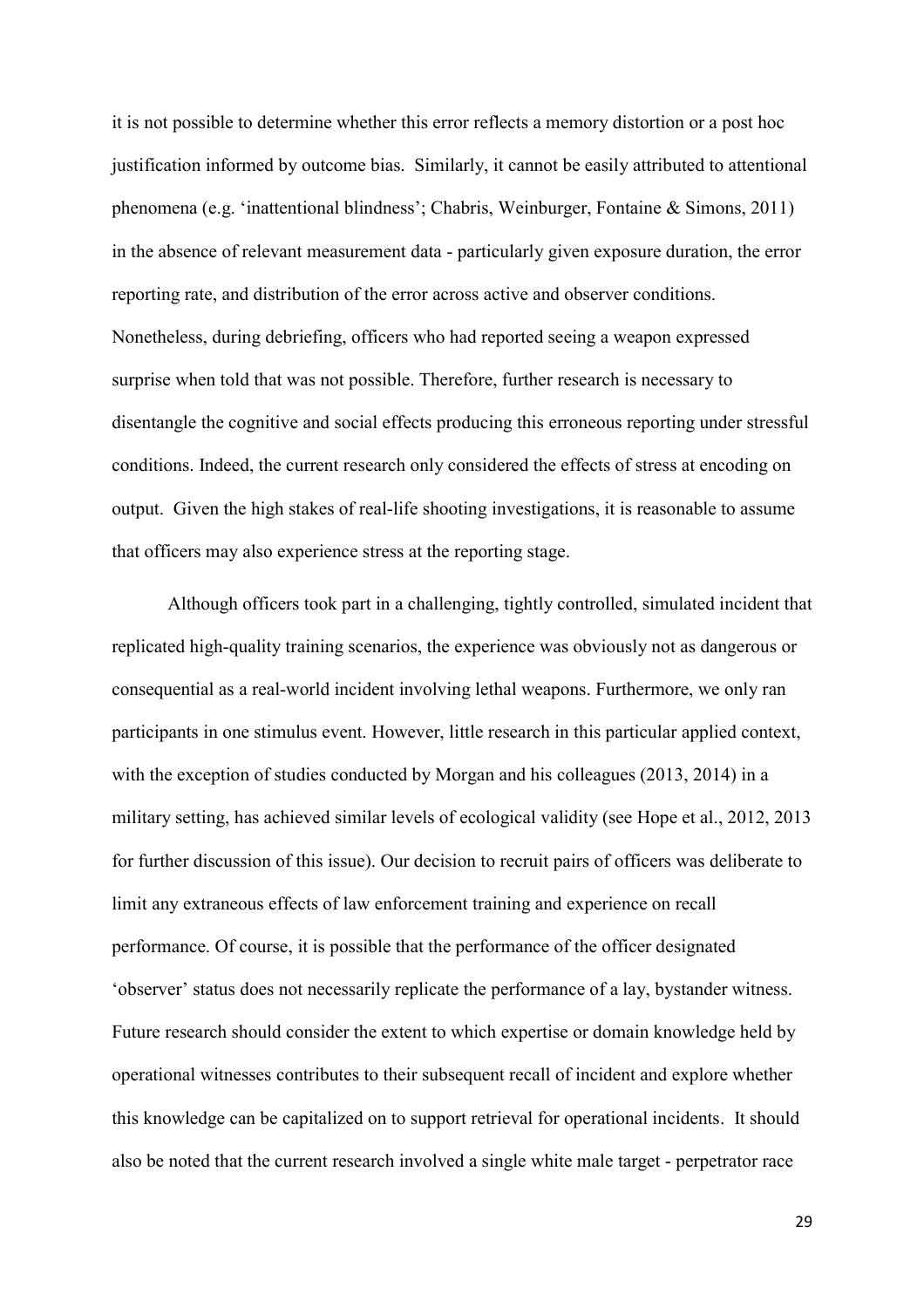it is not possible to determine whether this error reflects a memory distortion or a post hoc justification informed by outcome bias. Similarly, it cannot be easily attributed to attentional phenomena (e.g. 'inattentional blindness'; Chabris, Weinburger, Fontaine & Simons, 2011) in the absence of relevant measurement data - particularly given exposure duration, the error reporting rate, and distribution of the error across active and observer conditions. Nonetheless, during debriefing, officers who had reported seeing a weapon expressed surprise when told that was not possible. Therefore, further research is necessary to disentangle the cognitive and social effects producing this erroneous reporting under stressful conditions. Indeed, the current research only considered the effects of stress at encoding on output. Given the high stakes of real-life shooting investigations, it is reasonable to assume that officers may also experience stress at the reporting stage.

Although officers took part in a challenging, tightly controlled, simulated incident that replicated high-quality training scenarios, the experience was obviously not as dangerous or consequential as a real-world incident involving lethal weapons. Furthermore, we only ran participants in one stimulus event. However, little research in this particular applied context, with the exception of studies conducted by Morgan and his colleagues (2013, 2014) in a military setting, has achieved similar levels of ecological validity (see Hope et al., 2012, 2013 for further discussion of this issue). Our decision to recruit pairs of officers was deliberate to limit any extraneous effects of law enforcement training and experience on recall performance. Of course, it is possible that the performance of the officer designated 'observer' status does not necessarily replicate the performance of a lay, bystander witness. Future research should consider the extent to which expertise or domain knowledge held by operational witnesses contributes to their subsequent recall of incident and explore whether this knowledge can be capitalized on to support retrieval for operational incidents. It should also be noted that the current research involved a single white male target - perpetrator race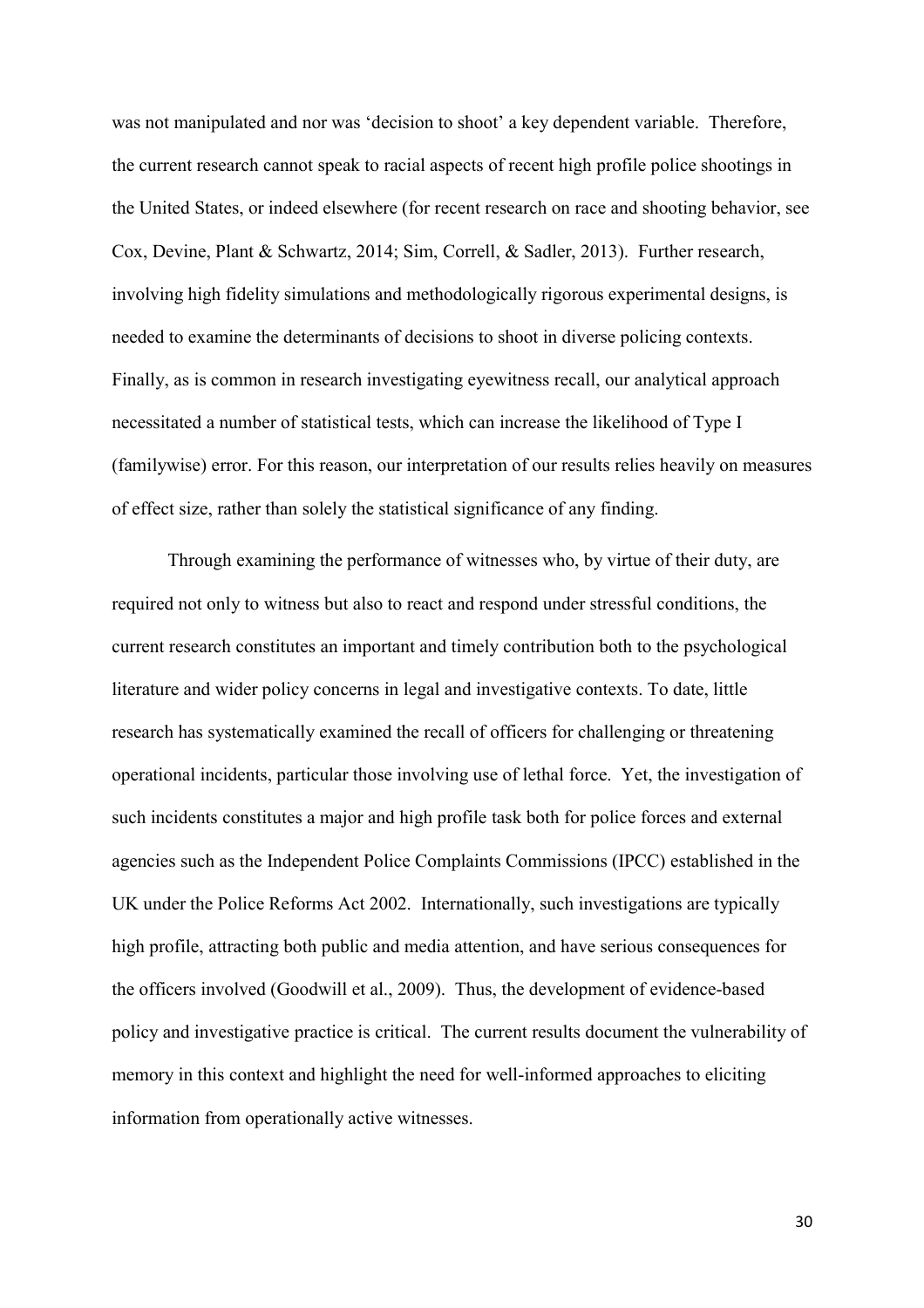was not manipulated and nor was 'decision to shoot' a key dependent variable. Therefore, the current research cannot speak to racial aspects of recent high profile police shootings in the United States, or indeed elsewhere (for recent research on race and shooting behavior, see Cox, Devine, Plant & Schwartz, 2014; Sim, Correll, & Sadler, 2013). Further research, involving high fidelity simulations and methodologically rigorous experimental designs, is needed to examine the determinants of decisions to shoot in diverse policing contexts. Finally, as is common in research investigating eyewitness recall, our analytical approach necessitated a number of statistical tests, which can increase the likelihood of Type I (familywise) error. For this reason, our interpretation of our results relies heavily on measures of effect size, rather than solely the statistical significance of any finding.

Through examining the performance of witnesses who, by virtue of their duty, are required not only to witness but also to react and respond under stressful conditions, the current research constitutes an important and timely contribution both to the psychological literature and wider policy concerns in legal and investigative contexts. To date, little research has systematically examined the recall of officers for challenging or threatening operational incidents, particular those involving use of lethal force. Yet, the investigation of such incidents constitutes a major and high profile task both for police forces and external agencies such as the Independent Police Complaints Commissions (IPCC) established in the UK under the Police Reforms Act 2002. Internationally, such investigations are typically high profile, attracting both public and media attention, and have serious consequences for the officers involved (Goodwill et al., 2009). Thus, the development of evidence-based policy and investigative practice is critical. The current results document the vulnerability of memory in this context and highlight the need for well-informed approaches to eliciting information from operationally active witnesses.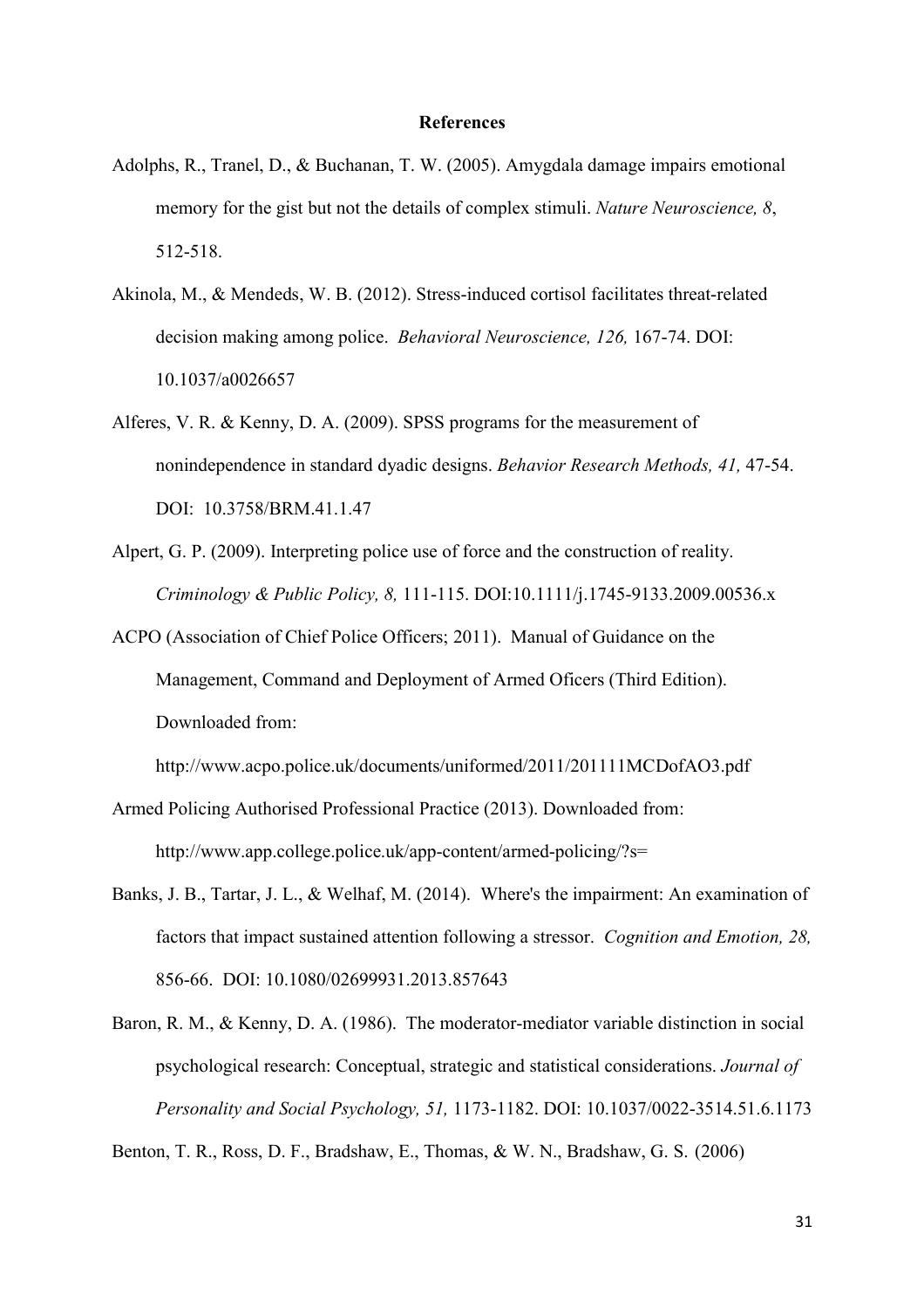#### **References**

- Adolphs, R., Tranel, D., & Buchanan, T. W. (2005). Amygdala damage impairs emotional memory for the gist but not the details of complex stimuli. *Nature Neuroscience, 8*, 512-518.
- Akinola, M., & Mendeds, W. B. (2012). Stress-induced cortisol facilitates threat-related decision making among police. *Behavioral Neuroscience, 126,* 167-74. DOI: 10.1037/a0026657
- Alferes, V. R. & Kenny, D. A. (2009). SPSS programs for the measurement of nonindependence in standard dyadic designs. *Behavior Research Methods, 41,* 47-54. DOI: 10.3758/BRM.41.1.47
- Alpert, G. P. (2009). Interpreting police use of force and the construction of reality. *Criminology & Public Policy, 8,* 111-115. DOI:10.1111/j.1745-9133.2009.00536.x
- ACPO (Association of Chief Police Officers; 2011). Manual of Guidance on the Management, Command and Deployment of Armed Oficers (Third Edition). Downloaded from:

http://www.acpo.police.uk/documents/uniformed/2011/201111MCDofAO3.pdf

- Armed Policing Authorised Professional Practice (2013). Downloaded from: http://www.app.college.police.uk/app-content/armed-policing/?s=
- Banks, J. B., Tartar, J. L., & Welhaf, M. (2014). Where's the impairment: An examination of factors that impact sustained attention following a stressor. *Cognition and Emotion, 28,*  856-66. DOI: 10.1080/02699931.2013.857643
- Baron, R. M., & Kenny, D. A. (1986). The moderator-mediator variable distinction in social psychological research: Conceptual, strategic and statistical considerations. *Journal of Personality and Social Psychology, 51,* 1173-1182. DOI: 10.1037/0022-3514.51.6.1173

Benton, T. R., Ross, D. F., Bradshaw, E., Thomas, & W. N., Bradshaw, G. S. (2006)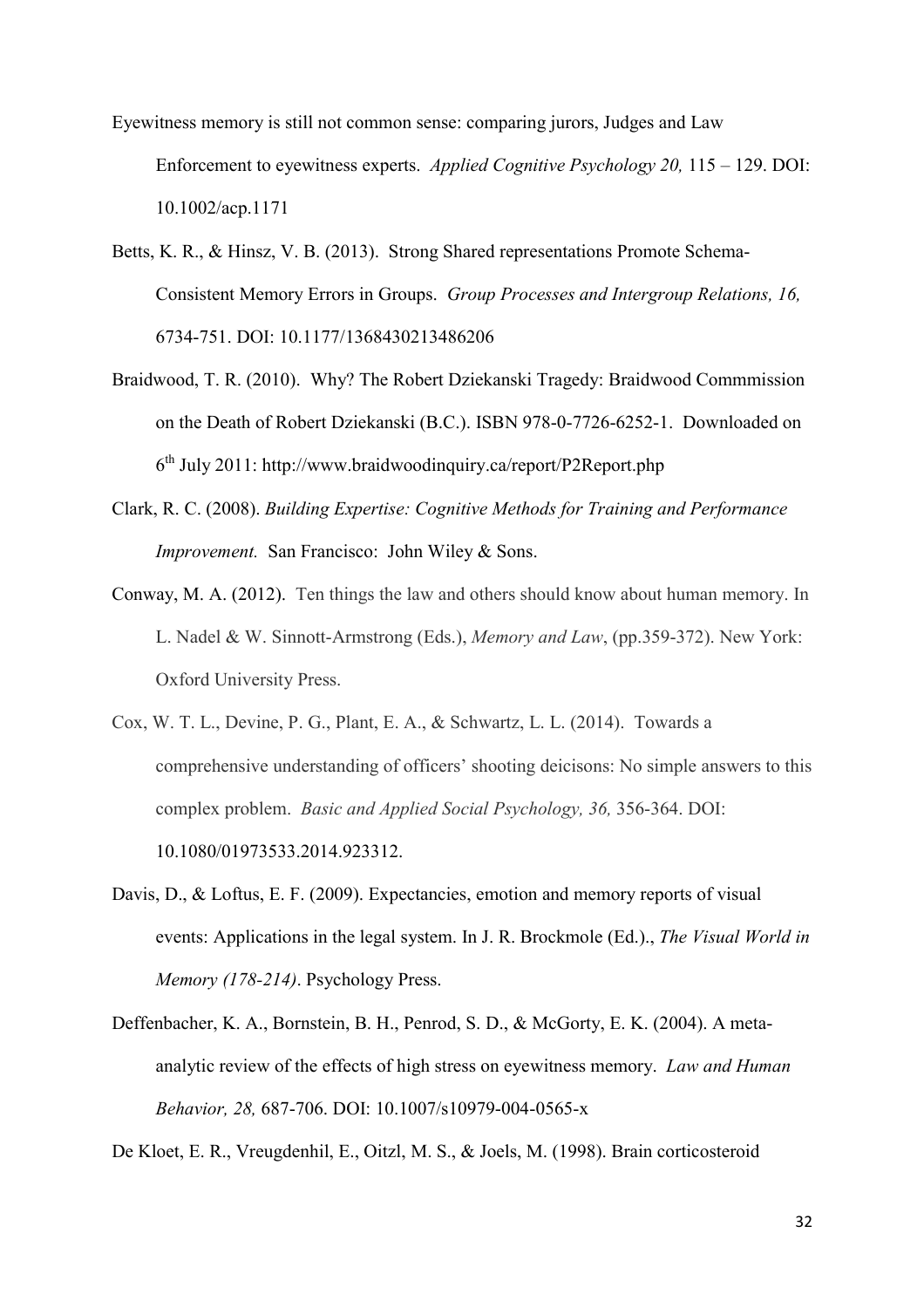Eyewitness memory is still not common sense: comparing jurors, Judges and Law Enforcement to eyewitness experts. *Applied Cognitive Psychology 20,* 115 – 129. DOI: 10.1002/acp.1171

- Betts, K. R., & Hinsz, V. B. (2013). Strong Shared representations Promote Schema-Consistent Memory Errors in Groups. *Group Processes and Intergroup Relations, 16,*  6734-751. DOI: 10.1177/1368430213486206
- Braidwood, T. R. (2010). Why? The Robert Dziekanski Tragedy: Braidwood Commmission on the Death of Robert Dziekanski (B.C.). ISBN 978-0-7726-6252-1. Downloaded on  $6<sup>th</sup>$  July 2011: http://www.braidwoodinguiry.ca/report/P2Report.php
- Clark, R. C. (2008). *Building Expertise: Cognitive Methods for Training and Performance Improvement.* San Francisco: John Wiley & Sons.
- Conway, M. A. (2012). Ten things the law and others should know about human memory. In L. Nadel & W. Sinnott-Armstrong (Eds.), *Memory and Law*, (pp.359-372). New York: Oxford University Press.
- Cox, W. T. L., Devine, P. G., Plant, E. A., & Schwartz, L. L. (2014). Towards a comprehensive understanding of officers' shooting deicisons: No simple answers to this complex problem. *Basic and Applied Social Psychology, 36,* 356-364. DOI: 10.1080/01973533.2014.923312.
- Davis, D., & Loftus, E. F. (2009). Expectancies, emotion and memory reports of visual events: Applications in the legal system. In J. R. Brockmole (Ed.)., *The Visual World in Memory (178-214)*. Psychology Press.
- Deffenbacher, K. A., Bornstein, B. H., Penrod, S. D., & McGorty, E. K. (2004). A metaanalytic review of the effects of high stress on eyewitness memory. *Law and Human Behavior, 28,* 687-706. DOI: 10.1007/s10979-004-0565-x

De Kloet, E. R., Vreugdenhil, E., Oitzl, M. S., & Joels, M. (1998). Brain corticosteroid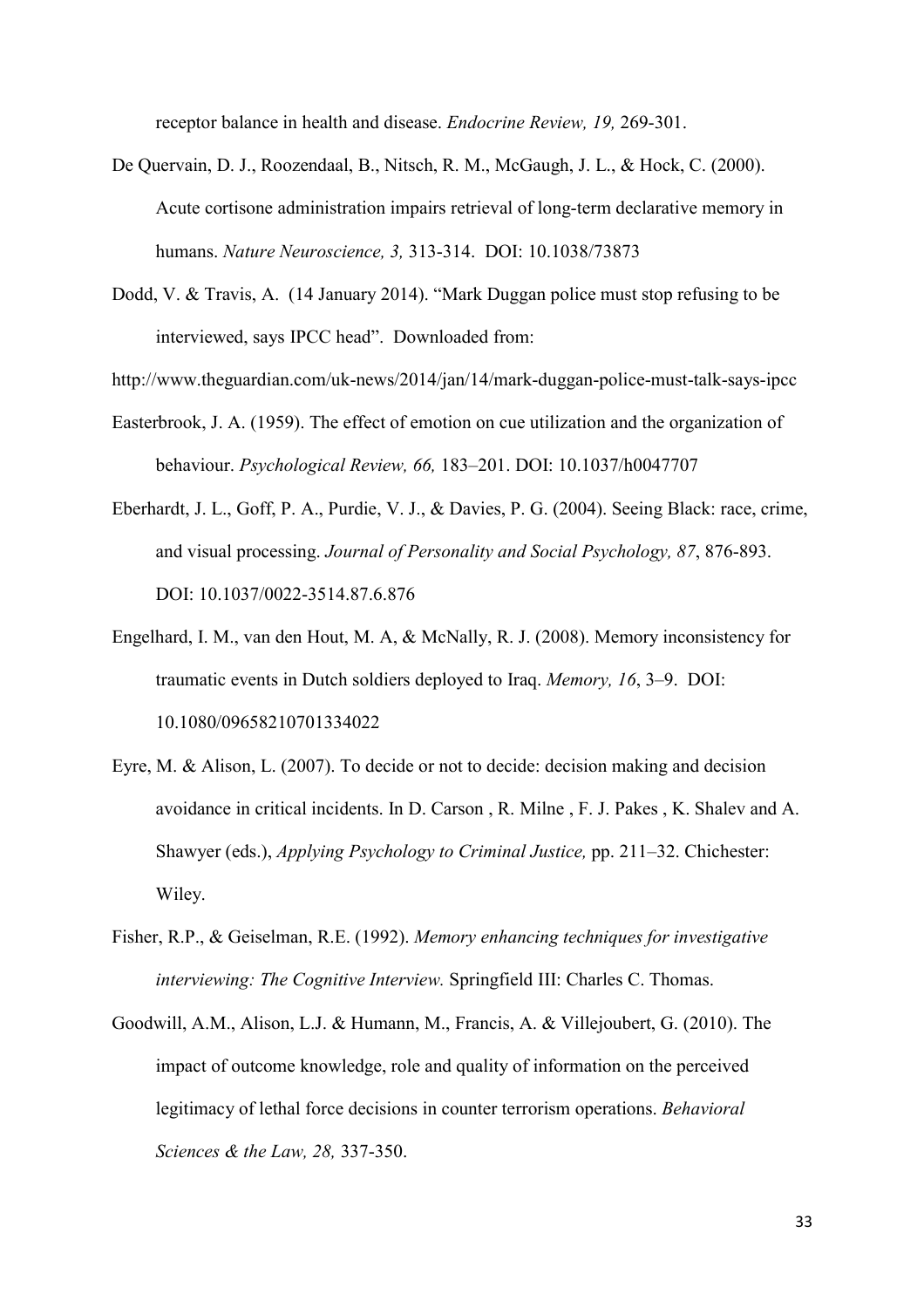receptor balance in health and disease. *Endocrine Review, 19,* 269-301.

- De Quervain, D. J., Roozendaal, B., Nitsch, R. M., McGaugh, J. L., & Hock, C. (2000). Acute cortisone administration impairs retrieval of long-term declarative memory in humans. *Nature Neuroscience, 3,* 313-314. DOI: 10.1038/73873
- Dodd, V. & Travis, A. (14 January 2014). "Mark Duggan police must stop refusing to be interviewed, says IPCC head". Downloaded from:
- http://www.theguardian.com/uk-news/2014/jan/14/mark-duggan-police-must-talk-says-ipcc
- Easterbrook, J. A. (1959). The effect of emotion on cue utilization and the organization of behaviour. *Psychological Review, 66,* 183–201. DOI: 10.1037/h0047707
- Eberhardt, J. L., Goff, P. A., Purdie, V. J., & Davies, P. G. (2004). Seeing Black: race, crime, and visual processing. *Journal of Personality and Social Psychology, 87*, 876-893. DOI: 10.1037/0022-3514.87.6.876
- Engelhard, I. M., van den Hout, M. A, & McNally, R. J. (2008). Memory inconsistency for traumatic events in Dutch soldiers deployed to Iraq. *Memory, 16*, 3–9. DOI: 10.1080/09658210701334022
- Eyre, M. & Alison, L. (2007). To decide or not to decide: decision making and decision avoidance in critical incidents. In D. Carson , R. Milne , F. J. Pakes , K. Shalev and A. Shawyer (eds.), *Applying Psychology to Criminal Justice,* pp. 211–32. Chichester: Wiley.
- Fisher, R.P., & Geiselman, R.E. (1992). *Memory enhancing techniques for investigative interviewing: The Cognitive Interview.* Springfield III: Charles C. Thomas.
- Goodwill, A.M., Alison, L.J. & Humann, M., Francis, A. & Villejoubert, G. (2010). The impact of outcome knowledge, role and quality of information on the perceived legitimacy of lethal force decisions in counter terrorism operations. *Behavioral Sciences & the Law, 28,* 337-350.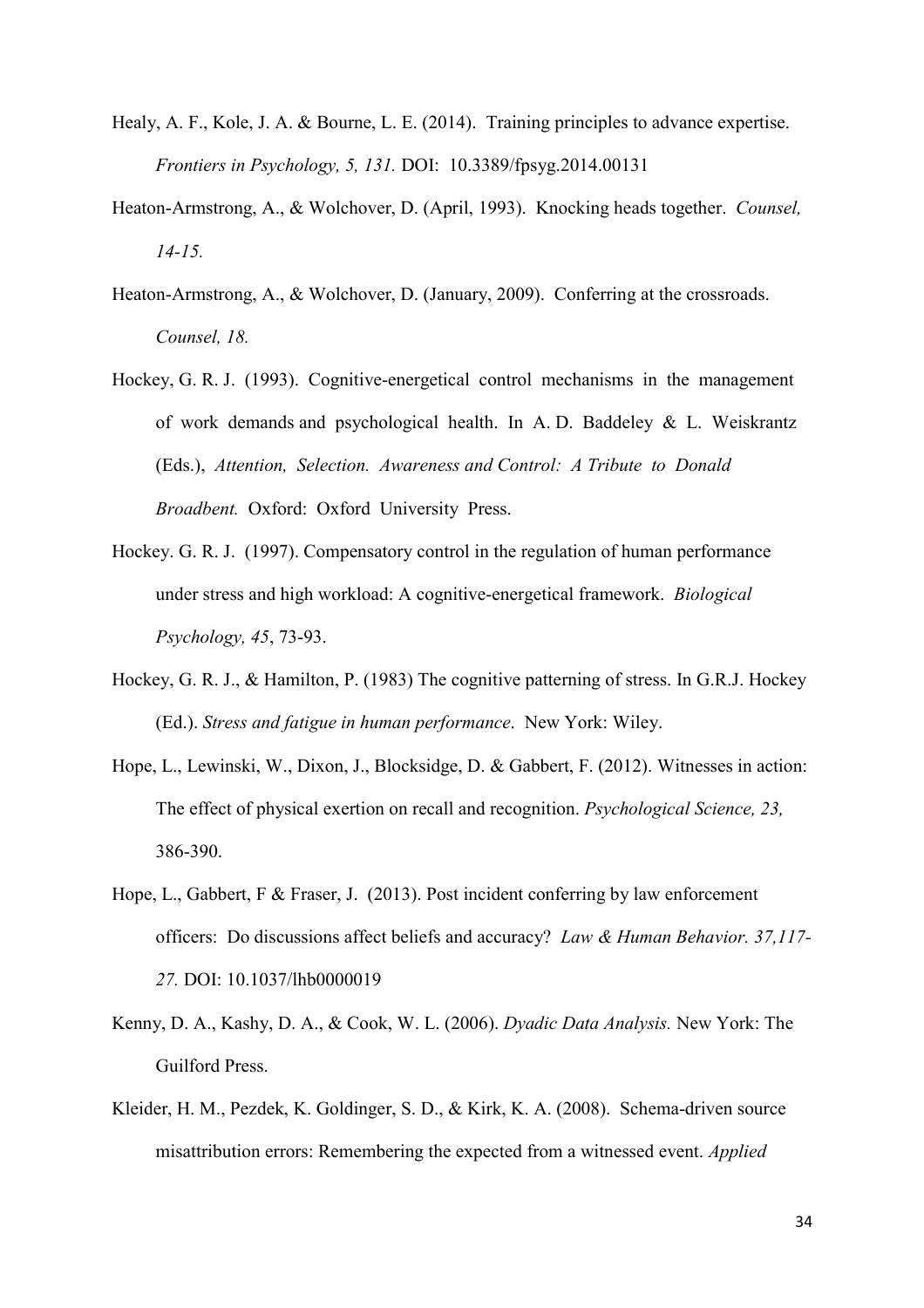- Healy, A. F., Kole, J. A. & Bourne, L. E. (2014). Training principles to advance expertise. *Frontiers in Psychology, 5, 131.* DOI: 10.3389/fpsyg.2014.00131
- Heaton-Armstrong, A., & Wolchover, D. (April, 1993). Knocking heads together. *Counsel, 14-15.*
- Heaton-Armstrong, A., & Wolchover, D. (January, 2009). Conferring at the crossroads. *Counsel, 18.*
- Hockey, G. R. J. (1993). Cognitive-energetical control mechanisms in the management of work demands and psychological health. In A. D. Baddeley  $\&$  L. Weiskrantz (Eds.), *Attention, Selection. Awareness and Control: A Tribute to Donald Broadbent.* Oxford: Oxford University Press.
- Hockey. G. R. J. (1997). Compensatory control in the regulation of human performance under stress and high workload: A cognitive-energetical framework. *Biological Psychology, 45*, 73-93.
- Hockey, G. R. J., & Hamilton, P. (1983) The cognitive patterning of stress. In G.R.J. Hockey (Ed.). *Stress and fatigue in human performance*. New York: Wiley.
- Hope, L., Lewinski, W., Dixon, J., Blocksidge, D. & Gabbert, F. (2012). Witnesses in action: The effect of physical exertion on recall and recognition. *Psychological Science, 23,* 386-390.
- Hope, L., Gabbert, F & Fraser, J. (2013). Post incident conferring by law enforcement officers: Do discussions affect beliefs and accuracy? *Law & Human Behavior. 37,117- 27.* DOI: 10.1037/lhb0000019
- Kenny, D. A., Kashy, D. A., & Cook, W. L. (2006). *Dyadic Data Analysis.* New York: The Guilford Press.
- Kleider, H. M., Pezdek, K. Goldinger, S. D., & Kirk, K. A. (2008). Schema-driven source misattribution errors: Remembering the expected from a witnessed event. *Applied*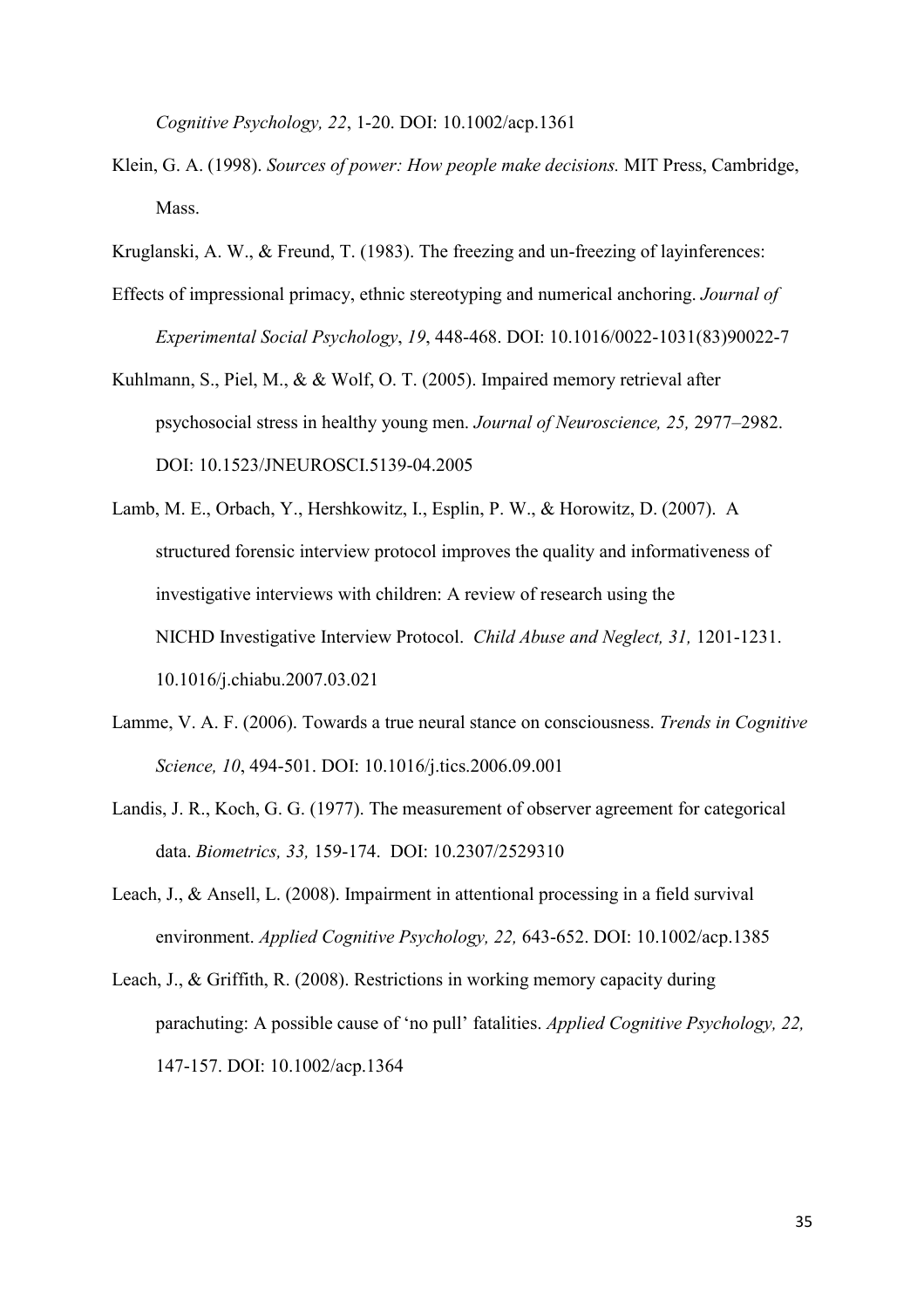*Cognitive Psychology, 22*, 1-20. DOI: 10.1002/acp.1361

- Klein, G. A. (1998). *Sources of power: How people make decisions.* MIT Press, Cambridge, Mass.
- Kruglanski, A. W., & Freund, T. (1983). The freezing and un-freezing of layinferences:
- Effects of impressional primacy, ethnic stereotyping and numerical anchoring. *Journal of Experimental Social Psychology*, *19*, 448-468. DOI: 10.1016/0022-1031(83)90022-7
- Kuhlmann, S., Piel, M., & & Wolf, O. T. (2005). Impaired memory retrieval after psychosocial stress in healthy young men. *Journal of Neuroscience, 25,* 2977–2982. DOI: 10.1523/JNEUROSCI.5139-04.2005
- Lamb, M. E., Orbach, Y., Hershkowitz, I., Esplin, P. W., & Horowitz, D. (2007). A structured forensic interview protocol improves the quality and informativeness of investigative interviews with children: A review of research using the NICHD Investigative Interview Protocol. *Child Abuse and Neglect, 31,* 1201-1231. 10.1016/j.chiabu.2007.03.021
- Lamme, V. A. F. (2006). Towards a true neural stance on consciousness. *Trends in Cognitive Science, 10*, 494-501. DOI: 10.1016/j.tics.2006.09.001
- Landis, J. R., Koch, G. G. (1977). The measurement of observer agreement for categorical data. *Biometrics, 33,* 159-174. DOI: 10.2307/2529310
- Leach, J., & Ansell, L. (2008). Impairment in attentional processing in a field survival environment. *Applied Cognitive Psychology, 22,* 643-652. DOI: 10.1002/acp.1385
- Leach, J., & Griffith, R. (2008). Restrictions in working memory capacity during parachuting: A possible cause of 'no pull' fatalities. *Applied Cognitive Psychology, 22,*  147-157. DOI: 10.1002/acp.1364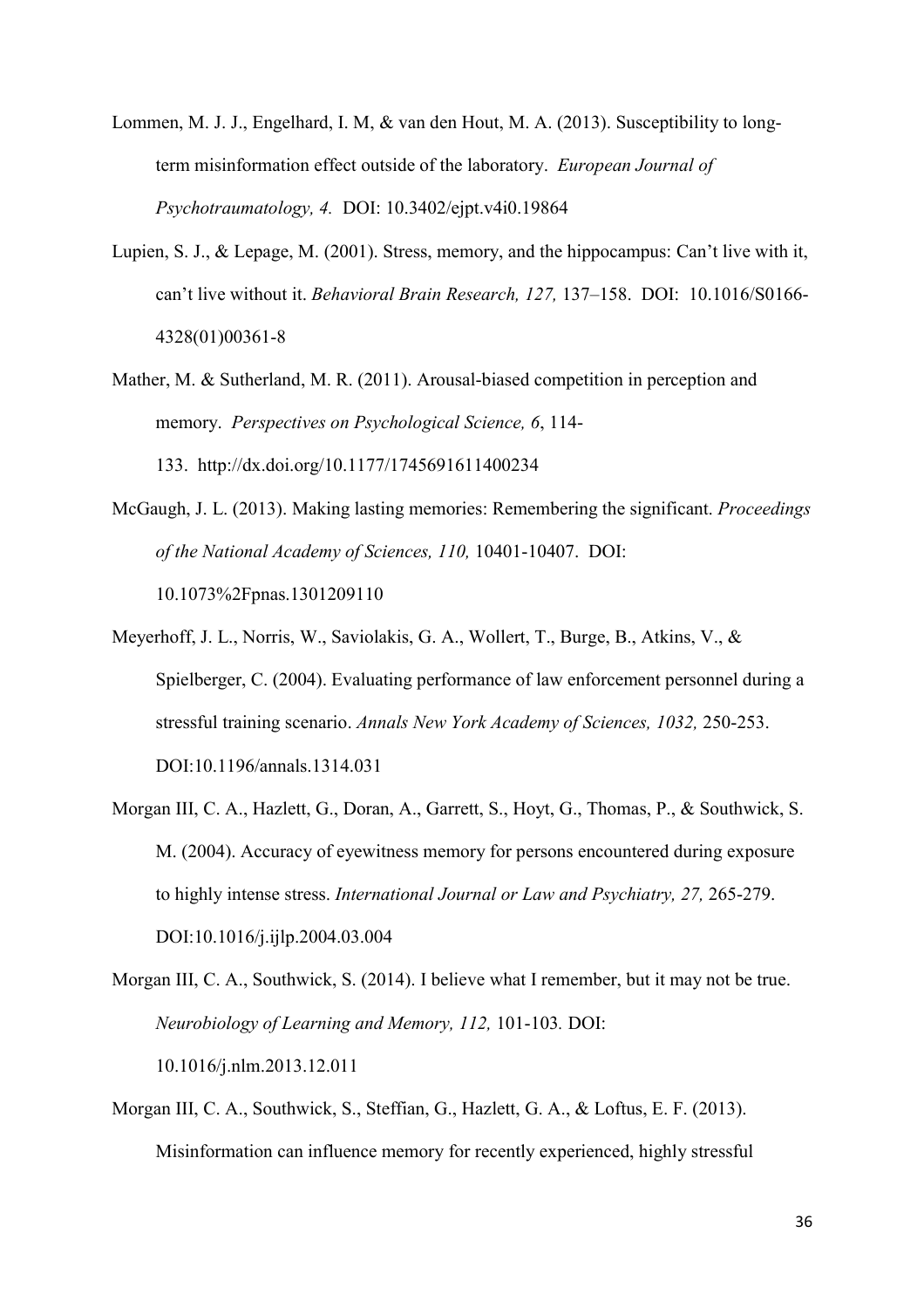- Lommen, M. J. J., Engelhard, I. M, & van den Hout, M. A. (2013). Susceptibility to longterm misinformation effect outside of the laboratory. *European Journal of Psychotraumatology, 4.* DOI: 10.3402/ejpt.v4i0.19864
- Lupien, S. J., & Lepage, M. (2001). Stress, memory, and the hippocampus: Can't live with it, can't live without it. *Behavioral Brain Research, 127,* 137–158. DOI: 10.1016/S0166- 4328(01)00361-8
- Mather, M. & Sutherland, M. R. (2011). Arousal-biased competition in perception and memory. *Perspectives on Psychological Science, 6*, 114- 133. http://dx.doi.org/10.1177/1745691611400234
- McGaugh, J. L. (2013). Making lasting memories: Remembering the significant. *Proceedings of the National Academy of Sciences, 110,* 10401-10407. DOI: 10.1073%2Fpnas.1301209110
- Meyerhoff, J. L., Norris, W., Saviolakis, G. A., Wollert, T., Burge, B., Atkins, V., & Spielberger, C. (2004). Evaluating performance of law enforcement personnel during a stressful training scenario. *Annals New York Academy of Sciences, 1032,* 250-253. DOI:10.1196/annals.1314.031
- Morgan III, C. A., Hazlett, G., Doran, A., Garrett, S., Hoyt, G., Thomas, P., & Southwick, S. M. (2004). Accuracy of eyewitness memory for persons encountered during exposure to highly intense stress. *International Journal or Law and Psychiatry, 27,* 265-279. DOI:10.1016/j.ijlp.2004.03.004
- Morgan III, C. A., Southwick, S. (2014). I believe what I remember, but it may not be true. *Neurobiology of Learning and Memory, 112,* 101-103*.* DOI: 10.1016/j.nlm.2013.12.011
- Morgan III, C. A., Southwick, S., Steffian, G., Hazlett, G. A., & Loftus, E. F. (2013). Misinformation can influence memory for recently experienced, highly stressful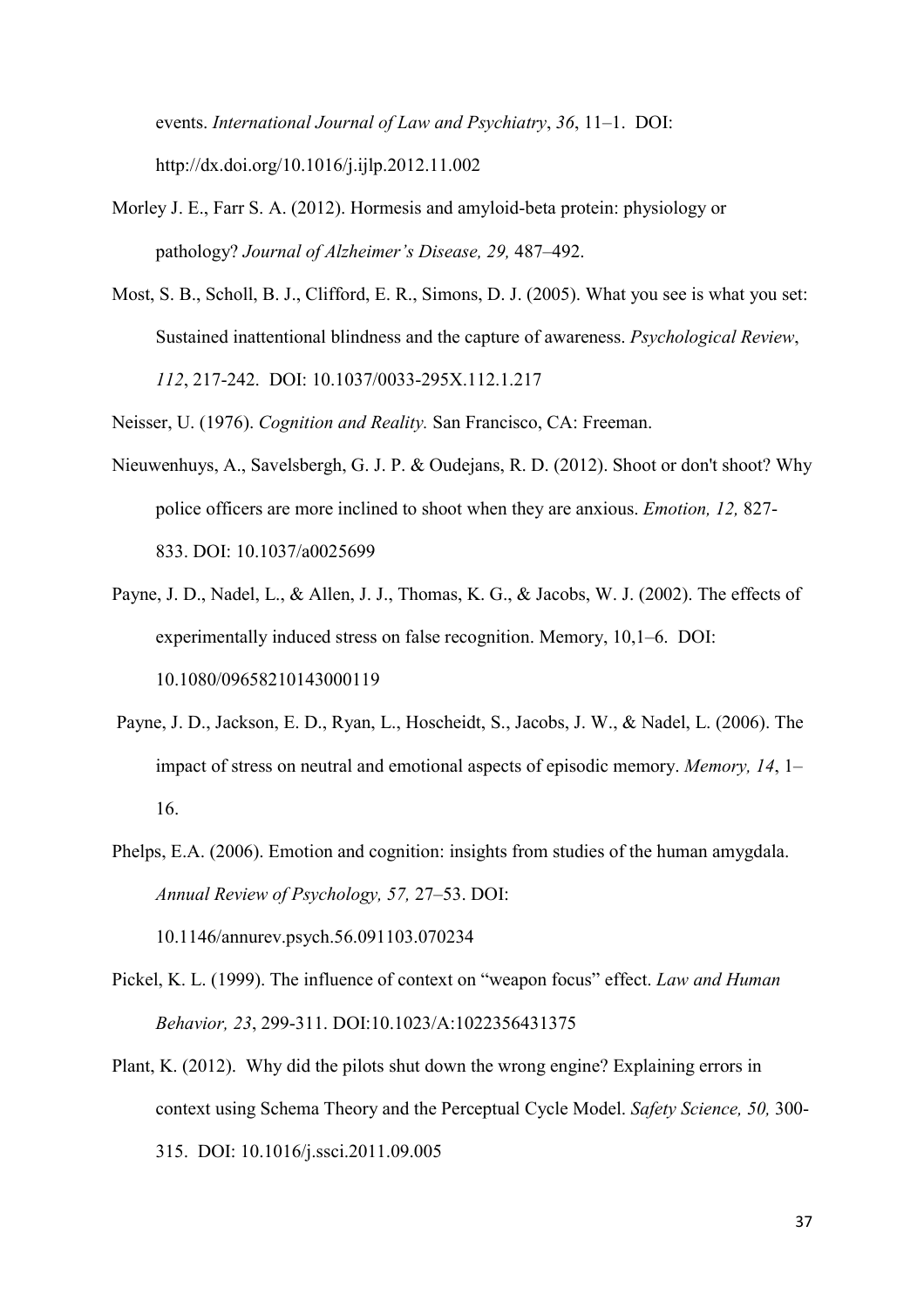events. *International Journal of Law and Psychiatry*, *36*, 11–1. DOI: http://dx.doi.org/10.1016/j.ijlp.2012.11.002

- Morley J. E., Farr S. A. (2012). Hormesis and amyloid-beta protein: physiology or pathology? *Journal of Alzheimer's Disease, 29,* 487–492.
- Most, S. B., Scholl, B. J., Clifford, E. R., Simons, D. J. (2005). What you see is what you set: Sustained inattentional blindness and the capture of awareness. *Psychological Review*, *112*, 217-242. DOI: 10.1037/0033-295X.112.1.217

Neisser, U. (1976). *Cognition and Reality.* San Francisco, CA: Freeman.

- Nieuwenhuys, A., Savelsbergh, G. J. P. & Oudejans, R. D. (2012). Shoot or don't shoot? Why police officers are more inclined to shoot when they are anxious. *Emotion, 12,* 827- 833. DOI: 10.1037/a0025699
- Payne, J. D., Nadel, L., & Allen, J. J., Thomas, K. G., & Jacobs, W. J. (2002). The effects of experimentally induced stress on false recognition. Memory, 10,1–6. DOI: 10.1080/09658210143000119
- Payne, J. D., Jackson, E. D., Ryan, L., Hoscheidt, S., Jacobs, J. W., & Nadel, L. (2006). The impact of stress on neutral and emotional aspects of episodic memory. *Memory, 14*, 1– 16.
- Phelps, E.A. (2006). Emotion and cognition: insights from studies of the human amygdala. *Annual Review of Psychology, 57,* 27–53. DOI: 10.1146/annurev.psych.56.091103.070234
- Pickel, K. L. (1999). The influence of context on "weapon focus" effect. *Law and Human Behavior, 23*, 299-311. DOI:10.1023/A:1022356431375
- Plant, K. (2012). Why did the pilots shut down the wrong engine? Explaining errors in context using Schema Theory and the Perceptual Cycle Model. *Safety Science, 50,* 300- 315. DOI: 10.1016/j.ssci.2011.09.005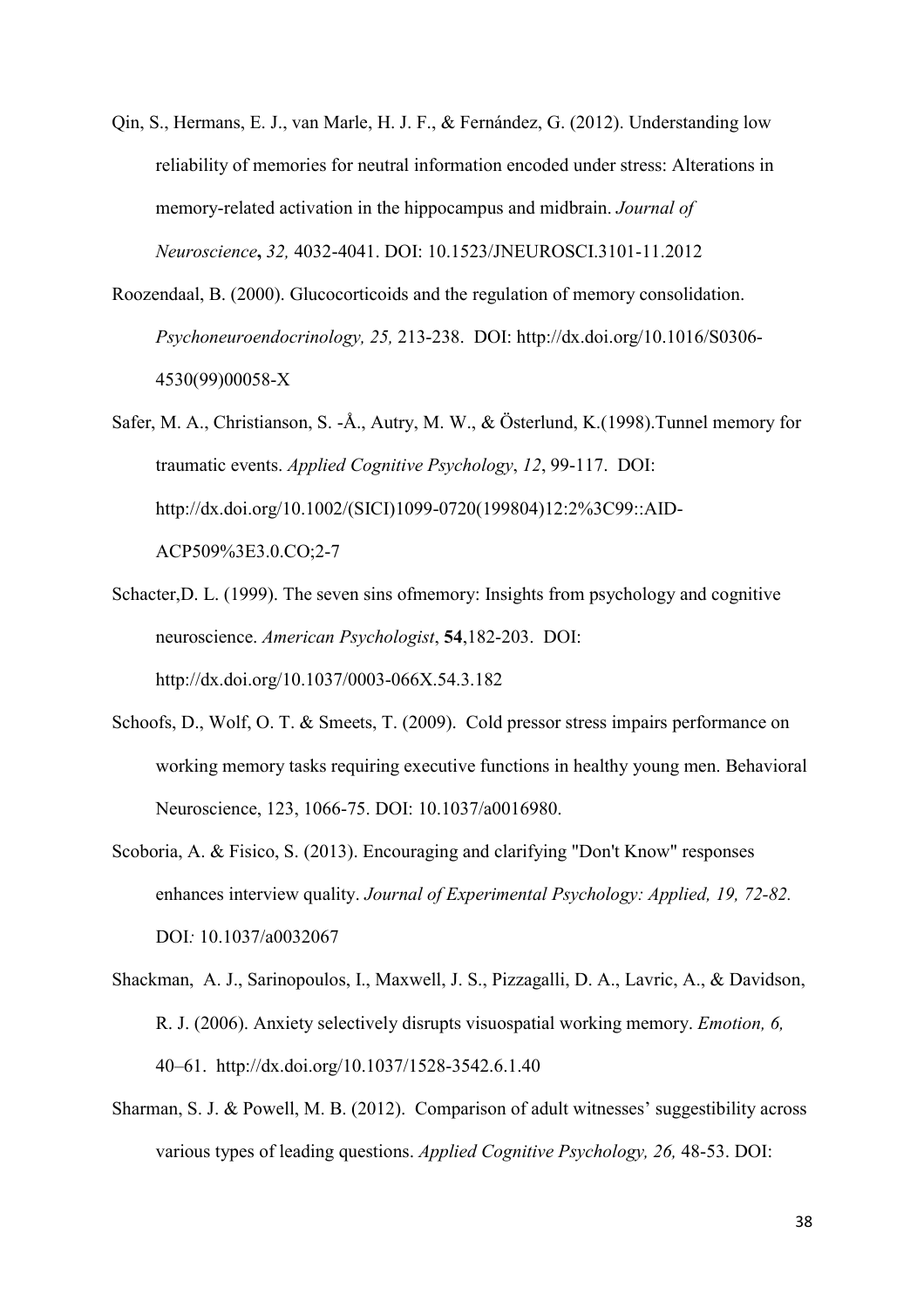- Qin, S., Hermans, E. J., van Marle, H. J. F., & Fernández, G. (2012). Understanding low reliability of memories for neutral information encoded under stress: Alterations in memory-related activation in the hippocampus and midbrain. *Journal of Neuroscience***,** *32,* 4032-4041. DOI: 10.1523/JNEUROSCI.3101-11.2012
- Roozendaal, B. (2000). Glucocorticoids and the regulation of memory consolidation. *Psychoneuroendocrinology, 25,* 213-238. DOI: http://dx.doi.org/10.1016/S0306- 4530(99)00058-X
- Safer, M. A., Christianson, S. -Å., Autry, M. W., & Österlund, K.(1998).Tunnel memory for traumatic events. *Applied Cognitive Psychology*, *12*, 99-117. DOI: http://dx.doi.org/10.1002/(SICI)1099-0720(199804)12:2%3C99::AID-ACP509%3E3.0.CO;2-7
- Schacter,D. L. (1999). The seven sins ofmemory: Insights from psychology and cognitive neuroscience. *American Psychologist*, **54**,182-203. DOI: http://dx.doi.org/10.1037/0003-066X.54.3.182
- Schoofs, D., Wolf, O. T. & Smeets, T. (2009). Cold pressor stress impairs performance on working memory tasks requiring executive functions in healthy young men. Behavioral Neuroscience, 123, 1066-75. DOI: 10.1037/a0016980.
- Scoboria, A. & Fisico, S. (2013). Encouraging and clarifying "Don't Know" responses enhances interview quality. *Journal of Experimental Psychology: Applied, 19, 72-82.*  DOI*:* 10.1037/a0032067
- Shackman, A. J., Sarinopoulos, I., Maxwell, J. S., Pizzagalli, D. A., Lavric, A., & Davidson, R. J. (2006). Anxiety selectively disrupts visuospatial working memory. *Emotion, 6,* 40–61. http://dx.doi.org/10.1037/1528-3542.6.1.40
- Sharman, S. J. & Powell, M. B. (2012). Comparison of adult witnesses' suggestibility across various types of leading questions. *Applied Cognitive Psychology, 26,* 48-53. DOI: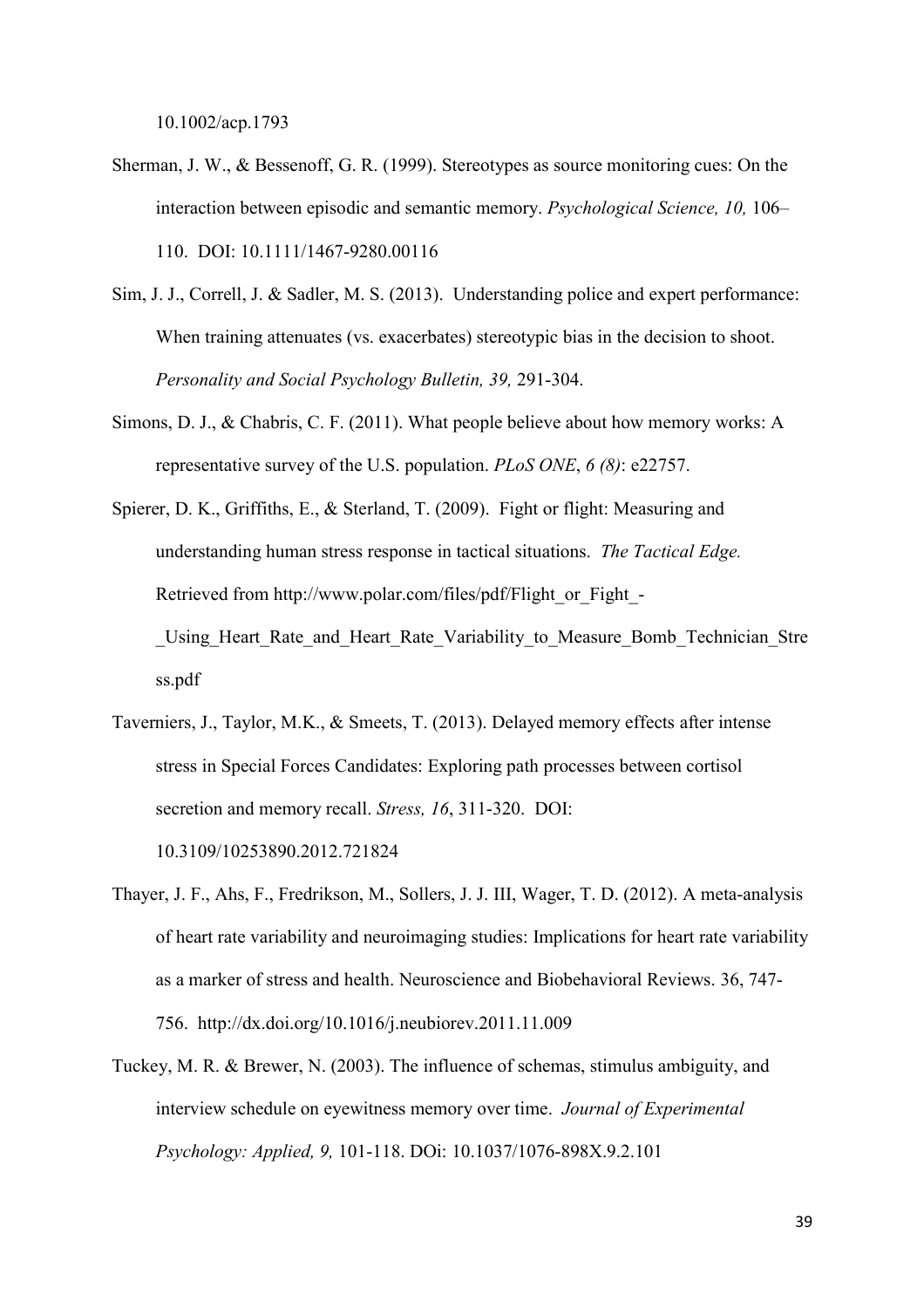10.1002/acp.1793

- Sherman, J. W., & Bessenoff, G. R. (1999). Stereotypes as source monitoring cues: On the interaction between episodic and semantic memory. *Psychological Science, 10,* 106– 110. DOI: 10.1111/1467-9280.00116
- Sim, J. J., Correll, J. & Sadler, M. S. (2013). Understanding police and expert performance: When training attenuates (vs. exacerbates) stereotypic bias in the decision to shoot. *Personality and Social Psychology Bulletin, 39,* 291-304.
- Simons, D. J., & Chabris, C. F. (2011). What people believe about how memory works: A representative survey of the U.S. population. *PLoS ONE*, *6 (8)*: e22757.
- Spierer, D. K., Griffiths, E., & Sterland, T. (2009). Fight or flight: Measuring and understanding human stress response in tactical situations. *The Tactical Edge.*  Retrieved from http://www.polar.com/files/pdf/Flight\_or\_Fight\_-Using Heart Rate and Heart Rate Variability to Measure Bomb Technician Stre ss.pdf
- Taverniers, J., Taylor, M.K., & Smeets, T. (2013). Delayed memory effects after intense stress in Special Forces Candidates: Exploring path processes between cortisol secretion and memory recall. *Stress, 16*, 311-320. DOI: 10.3109/10253890.2012.721824
- Thayer, J. F., Ahs, F., Fredrikson, M., Sollers, J. J. III, Wager, T. D. (2012). A meta-analysis of heart rate variability and neuroimaging studies: Implications for heart rate variability as a marker of stress and health. Neuroscience and Biobehavioral Reviews. 36, 747- 756. http://dx.doi.org/10.1016/j.neubiorev.2011.11.009
- Tuckey, M. R. & Brewer, N. (2003). The influence of schemas, stimulus ambiguity, and interview schedule on eyewitness memory over time. *Journal of Experimental Psychology: Applied, 9,* 101-118. DOi: 10.1037/1076-898X.9.2.101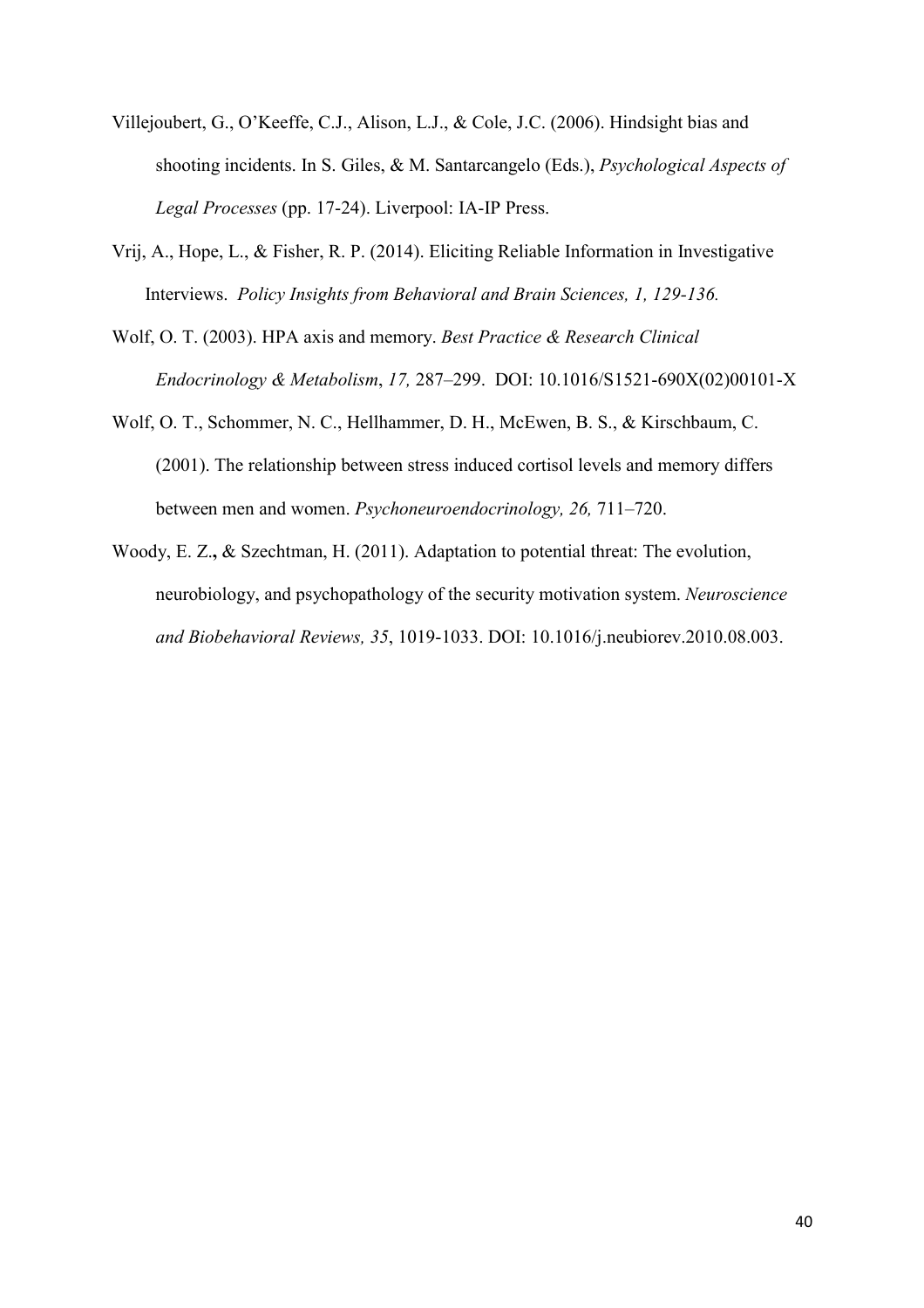- Villejoubert, G., O'Keeffe, C.J., Alison, L.J., & Cole, J.C. (2006). Hindsight bias and shooting incidents. In S. Giles, & M. Santarcangelo (Eds.), *Psychological Aspects of Legal Processes* (pp. 17-24). Liverpool: IA-IP Press.
- Vrij, A., Hope, L., & Fisher, R. P. (2014). Eliciting Reliable Information in Investigative Interviews. *Policy Insights from Behavioral and Brain Sciences, 1, 129-136.*
- Wolf, O. T. (2003). HPA axis and memory. *Best Practice & Research Clinical Endocrinology & Metabolism*, *17,* 287–299. DOI: 10.1016/S1521-690X(02)00101-X
- Wolf, O. T., Schommer, N. C., Hellhammer, D. H., McEwen, B. S., & Kirschbaum, C. (2001). The relationship between stress induced cortisol levels and memory differs between men and women. *Psychoneuroendocrinology, 26,* 711–720.
- Woody, E. Z.**,** & Szechtman, H. (2011). Adaptation to potential threat: The evolution, neurobiology, and psychopathology of the security motivation system. *Neuroscience and Biobehavioral Reviews, 35*, 1019-1033. DOI: 10.1016/j.neubiorev.2010.08.003.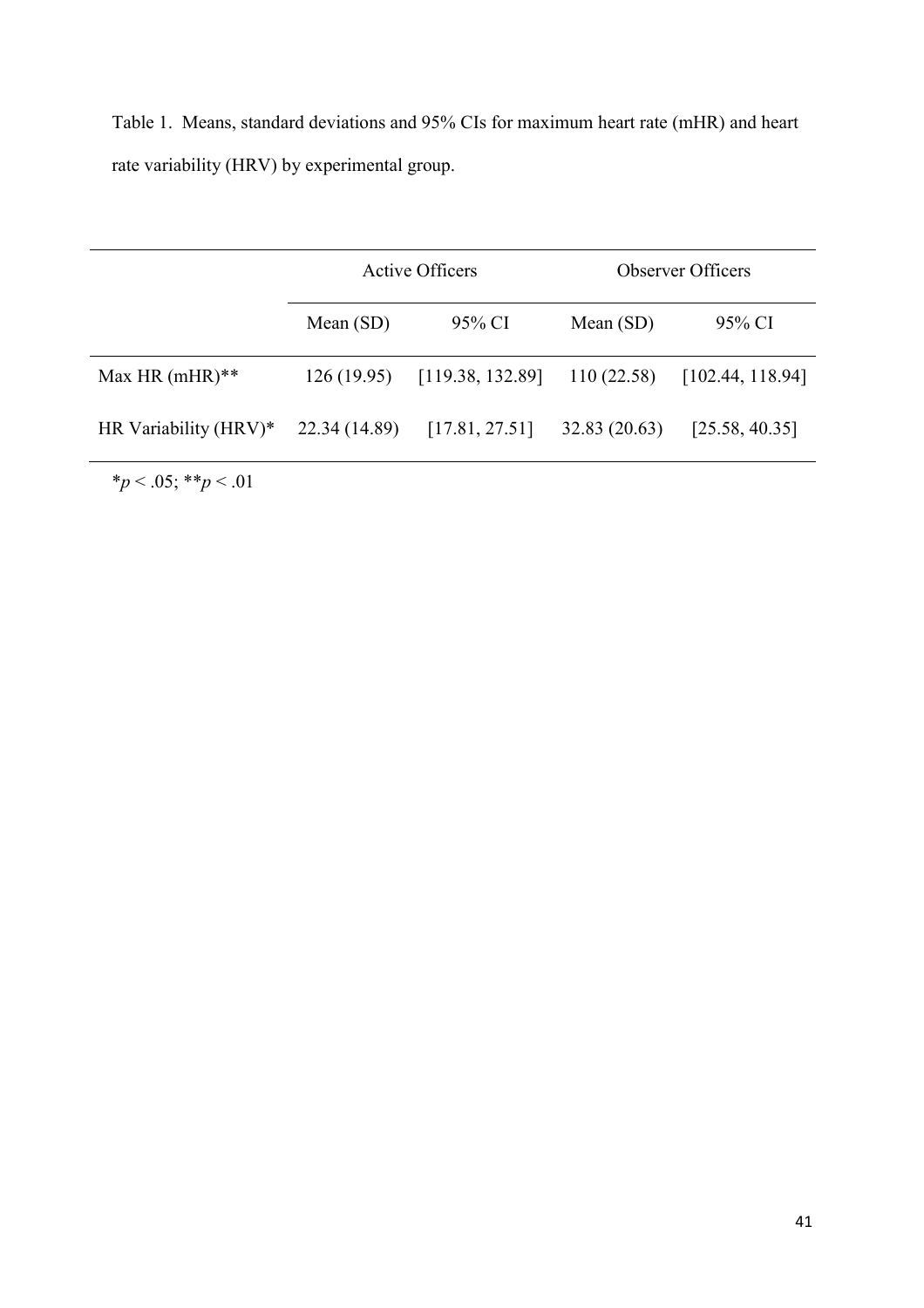Table 1. Means, standard deviations and 95% CIs for maximum heart rate (mHR) and heart rate variability (HRV) by experimental group.

|                       |               | <b>Active Officers</b> | <b>Observer Officers</b> |                  |  |  |
|-----------------------|---------------|------------------------|--------------------------|------------------|--|--|
|                       | Mean $(SD)$   | 95% CI                 | Mean $(SD)$              | 95% CI           |  |  |
| Max HR $(mHR)**$      | 126(19.95)    | [119.38, 132.89]       | 110(22.58)               | [102.44, 118.94] |  |  |
| HR Variability (HRV)* | 22.34 (14.89) | [17.81, 27.51]         | 32.83(20.63)             | [25.58, 40.35]   |  |  |

\**p* < .05; \*\**p* < .01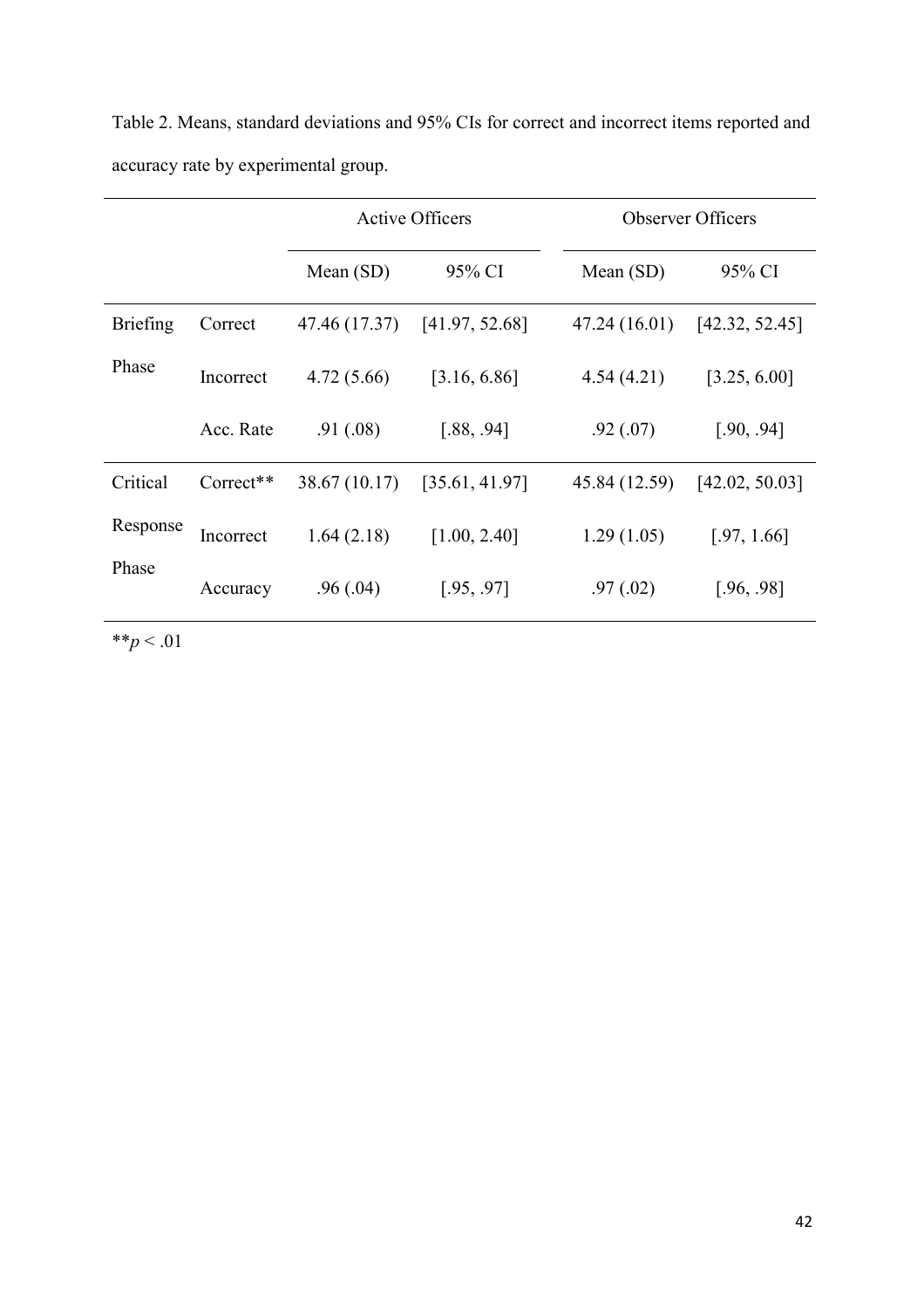| Table 2. Means, standard deviations and 95% CIs for correct and incorrect items reported and |  |  |  |
|----------------------------------------------------------------------------------------------|--|--|--|
| accuracy rate by experimental group.                                                         |  |  |  |

|                 |                       | <b>Active Officers</b> |                |               | <b>Observer Officers</b> |  |
|-----------------|-----------------------|------------------------|----------------|---------------|--------------------------|--|
|                 |                       | Mean $(SD)$            | 95% CI         | Mean $(SD)$   | 95% CI                   |  |
| <b>Briefing</b> | Correct               | 47.46 (17.37)          | [41.97, 52.68] | 47.24 (16.01) | [42.32, 52.45]           |  |
| Phase           | Incorrect             | 4.72(5.66)             | [3.16, 6.86]   | 4.54(4.21)    | [3.25, 6.00]             |  |
|                 | Acc. Rate             | .91(.08)               | [.88, .94]     | .92(0.07)     | [.90, .94]               |  |
| Critical        | Correct <sup>**</sup> | 38.67 (10.17)          | [35.61, 41.97] | 45.84 (12.59) | [42.02, 50.03]           |  |
| Response        | Incorrect             | 1.64(2.18)             | [1.00, 2.40]   | 1.29(1.05)    | [.97, 1.66]              |  |
| Phase           | Accuracy              | .96(.04)               | [.95, .97]     | .97(02)       | [.96, .98]               |  |

\*\**p* < .01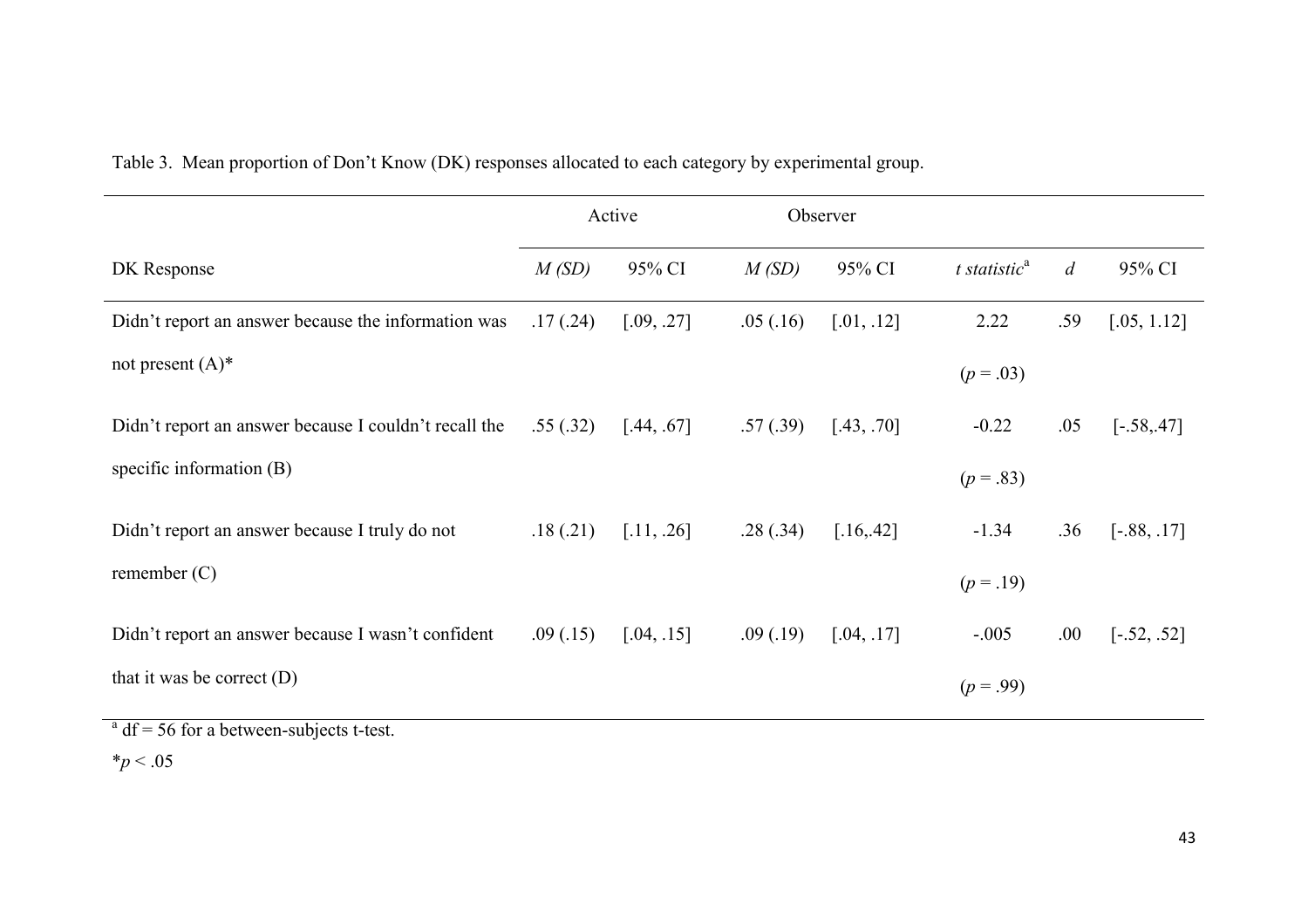|                                                       | Active    |            | Observer |            |                    |                |               |
|-------------------------------------------------------|-----------|------------|----------|------------|--------------------|----------------|---------------|
| DK Response                                           | M(SD)     | 95% CI     | M(SD)    | 95% CI     | $t$ statistic $^a$ | $\overline{d}$ | 95% CI        |
| Didn't report an answer because the information was   | .17(0.24) | [.09, .27] | .05(.16) | [.01, .12] | 2.22               | .59            | [.05, 1.12]   |
| not present $(A)^*$                                   |           |            |          |            | $(p=.03)$          |                |               |
| Didn't report an answer because I couldn't recall the | .55(.32)  | [.44, .67] | .57(.39) | [.43, .70] | $-0.22$            | .05            | $[-.58, .47]$ |
| specific information $(B)$                            |           |            |          |            | $(p=.83)$          |                |               |
| Didn't report an answer because I truly do not        | .18(.21)  | [.11, .26] | .28(.34) | [.16, .42] | $-1.34$            | .36            | $[-.88, .17]$ |
| remember $(C)$                                        |           |            |          |            | $(p=.19)$          |                |               |
| Didn't report an answer because I wasn't confident    | .09(0.15) | [.04, .15] | .09(.19) | [.04, .17] | $-.005$            | .00.           | $[-.52, .52]$ |
| that it was be correct $(D)$                          |           |            |          |            | $(p=.99)$          |                |               |

Table 3. Mean proportion of Don't Know (DK) responses allocated to each category by experimental group.

 $a<sup>a</sup>$  df = 56 for a between-subjects t-test.

\**p* < .05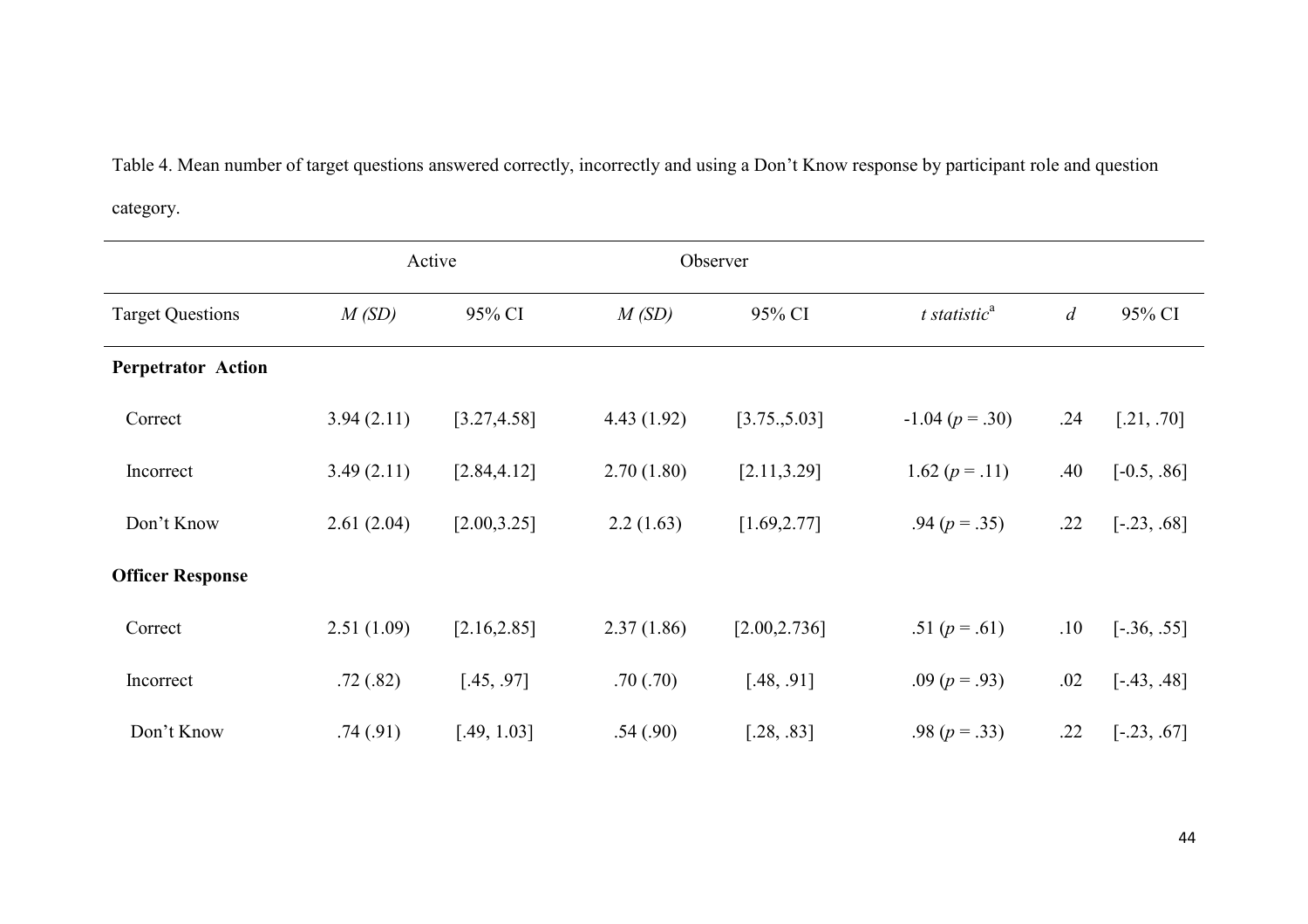Table 4. Mean number of target questions answered correctly, incorrectly and using a Don't Know response by participant role and question category.

|                           | Active     |              |            | Observer      |                  |                |               |
|---------------------------|------------|--------------|------------|---------------|------------------|----------------|---------------|
| <b>Target Questions</b>   | M(SD)      | 95% CI       | M(SD)      | 95% CI        | t statisti $c^a$ | $\overline{d}$ | 95% CI        |
| <b>Perpetrator Action</b> |            |              |            |               |                  |                |               |
| Correct                   | 3.94(2.11) | [3.27, 4.58] | 4.43(1.92) | [3.75, 5.03]  | $-1.04 (p=.30)$  | .24            | [.21, .70]    |
| Incorrect                 | 3.49(2.11) | [2.84, 4.12] | 2.70(1.80) | [2.11, 3.29]  | 1.62 $(p=.11)$   | .40            | $[-0.5, .86]$ |
| Don't Know                | 2.61(2.04) | [2.00, 3.25] | 2.2(1.63)  | [1.69, 2.77]  | .94 $(p=.35)$    | .22            | $[-.23, .68]$ |
| <b>Officer Response</b>   |            |              |            |               |                  |                |               |
| Correct                   | 2.51(1.09) | [2.16, 2.85] | 2.37(1.86) | [2.00, 2.736] | .51 $(p=.61)$    | .10            | $[-.36, .55]$ |
| Incorrect                 | .72(.82)   | [.45, .97]   | .70(.70)   | [.48, .91]    | .09 $(p = .93)$  | .02            | $[-.43, .48]$ |
| Don't Know                | .74(.91)   | [.49, 1.03]  | .54(.90)   | [.28, .83]    | .98 $(p=.33)$    | .22            | $[-.23, .67]$ |